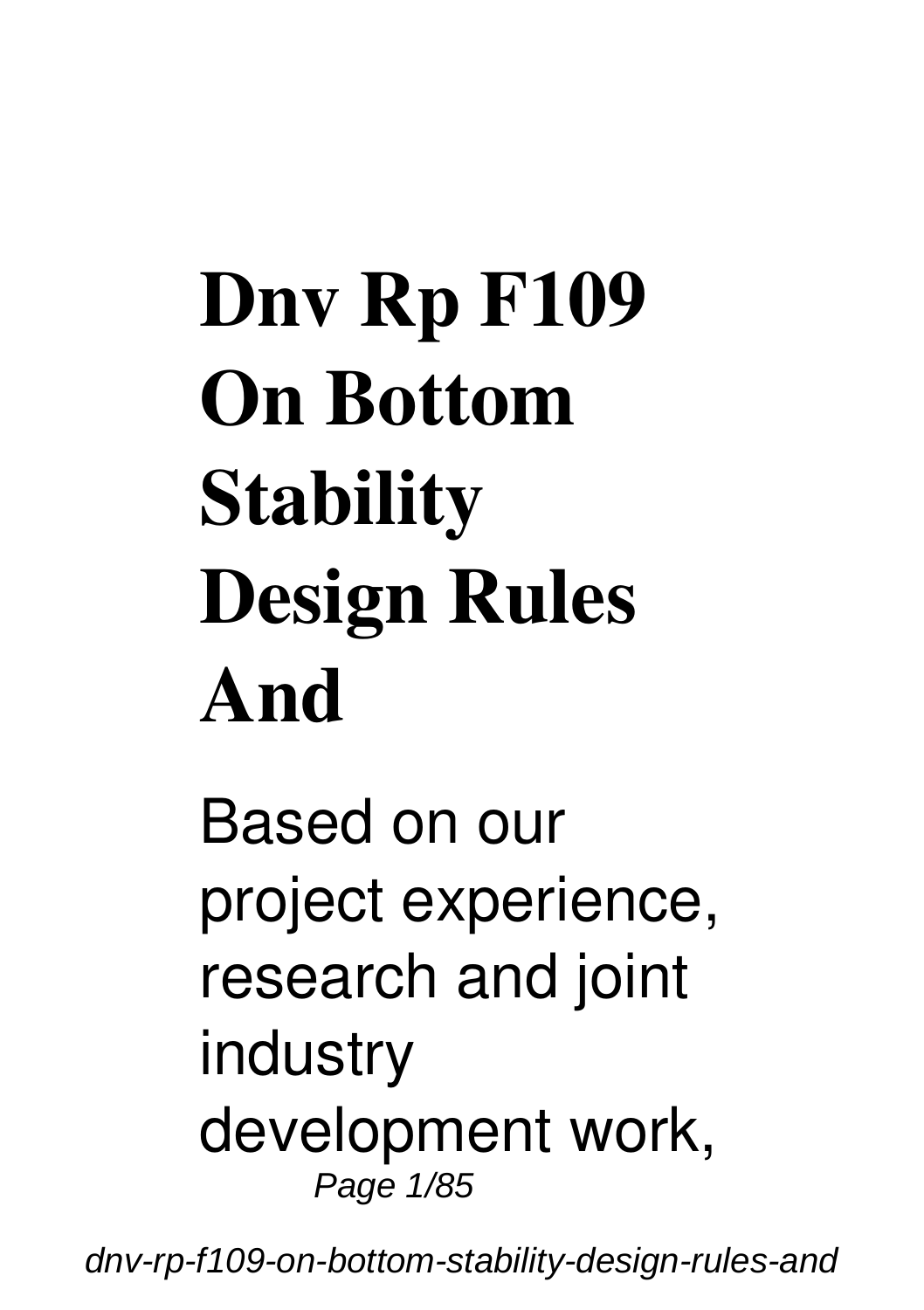# **Dnv Rp F109 On Bottom Stability Design Rules And**

Based on our project experience, research and joint industry development work, Page 1/85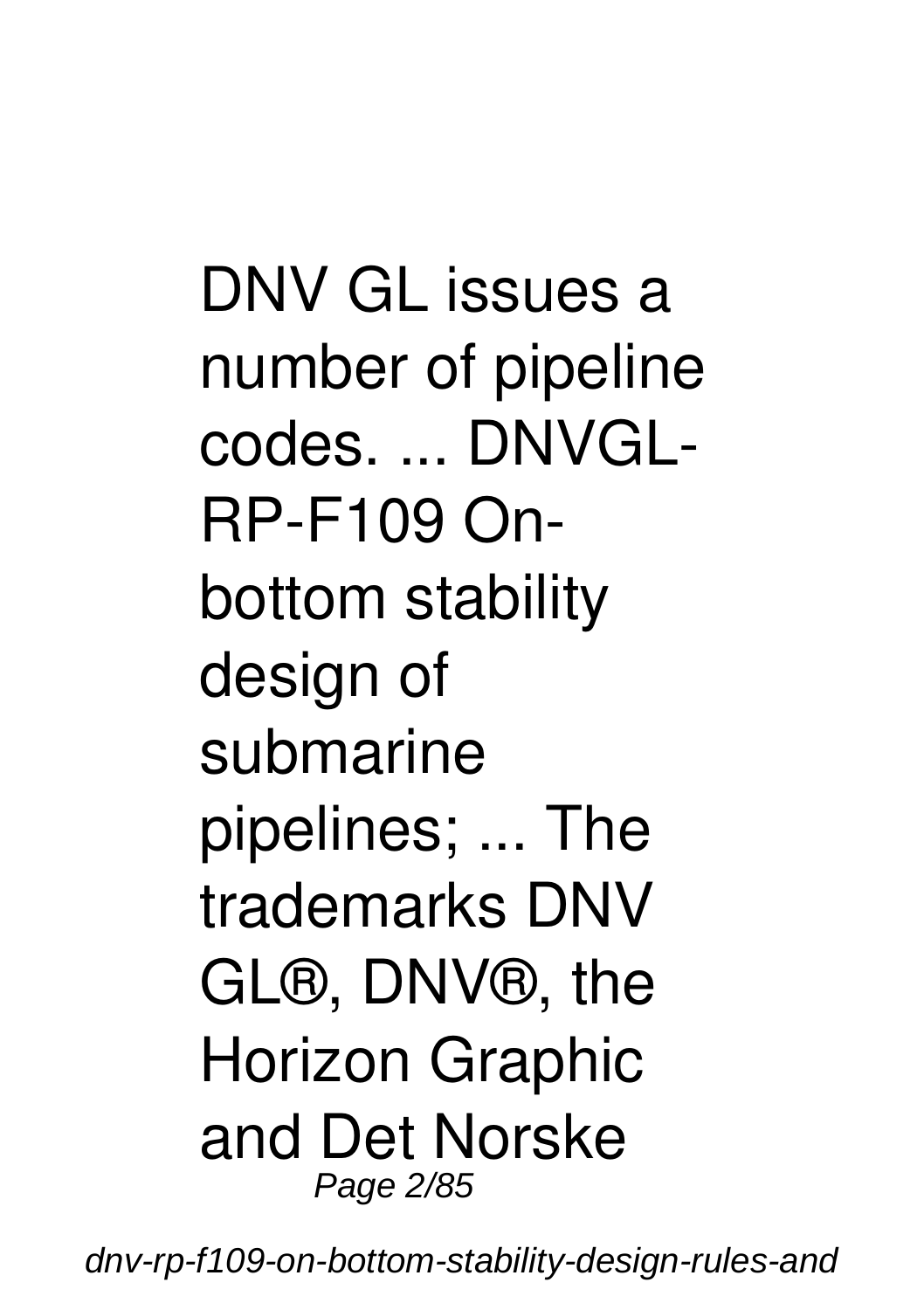DNV GL issues a number of pipeline codes. ... DNVGL-RP-F109 Onbottom stability design of submarine pipelines; ... The trademarks DNV GL®, DNV®, the Horizon Graphic and Det Norske Page 2/85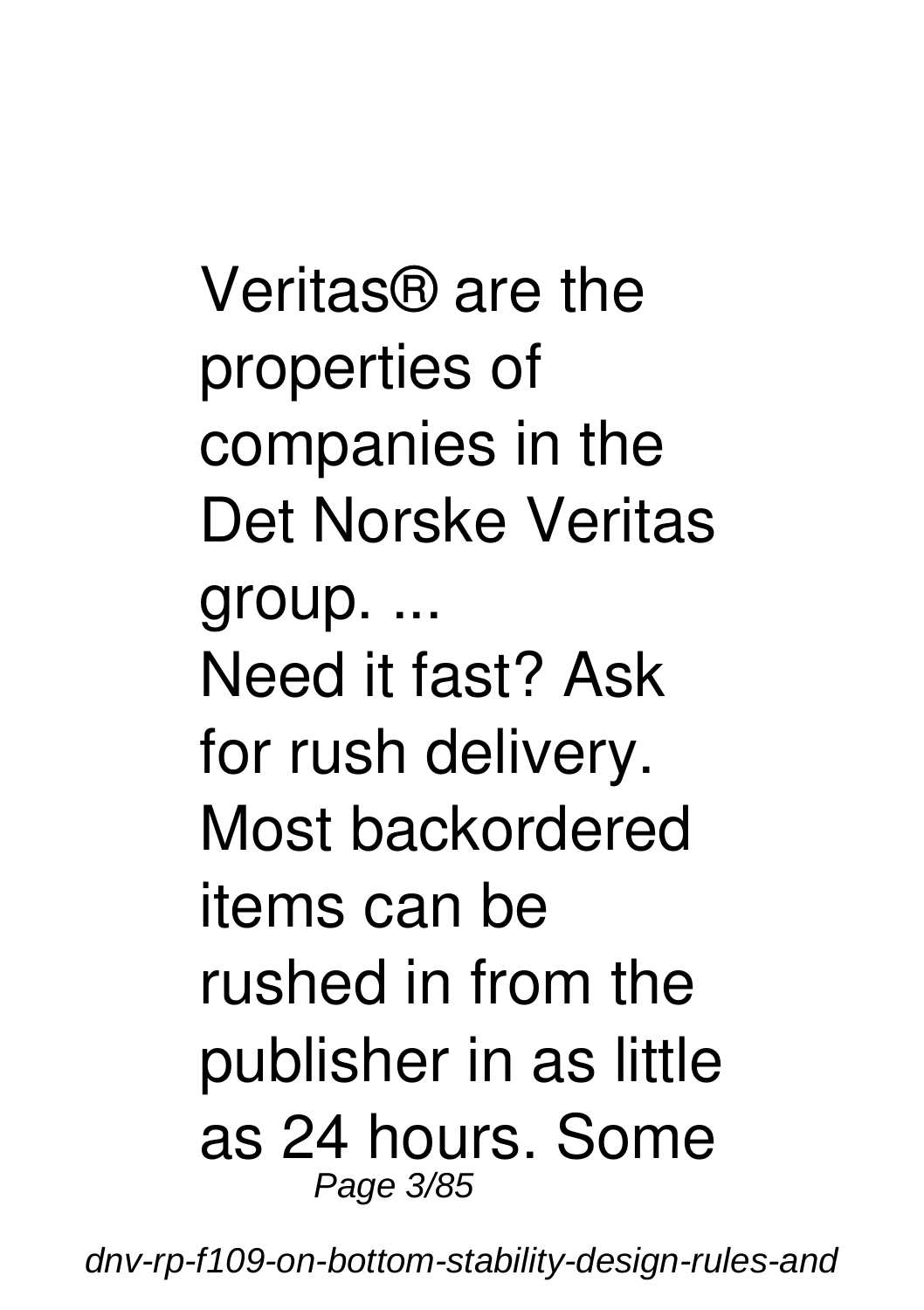Veritas® are the properties of companies in the Det Norske Veritas group. ... Need it fast? Ask for rush delivery. Most backordered items can be rushed in from the publisher in as little as 24 hours. Some Page 3/85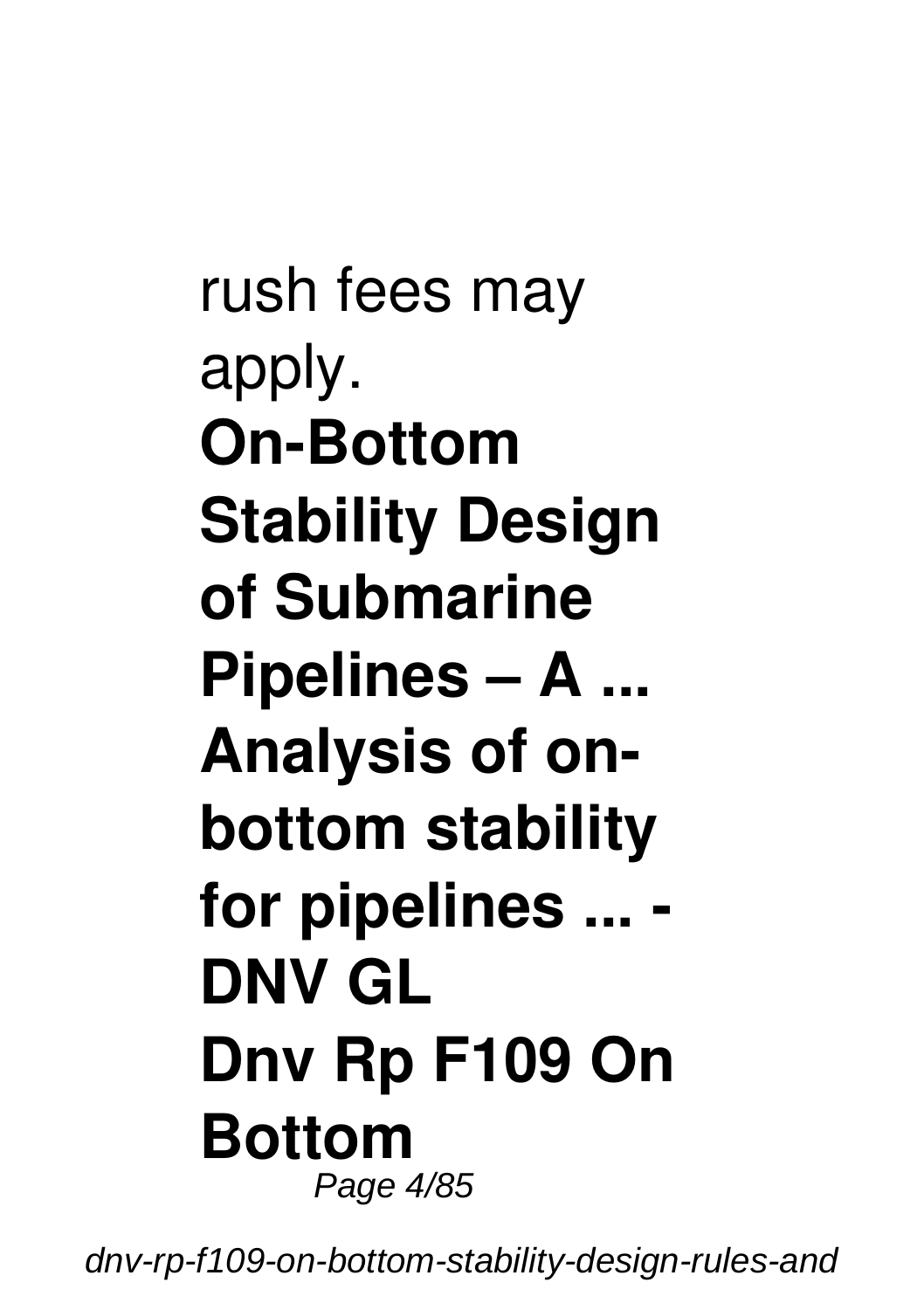rush fees may apply. **On-Bottom Stability Design of Submarine Pipelines – A ... Analysis of onbottom stability for pipelines ... - DNV GL Dnv Rp F109 On Bottom** Page 4/85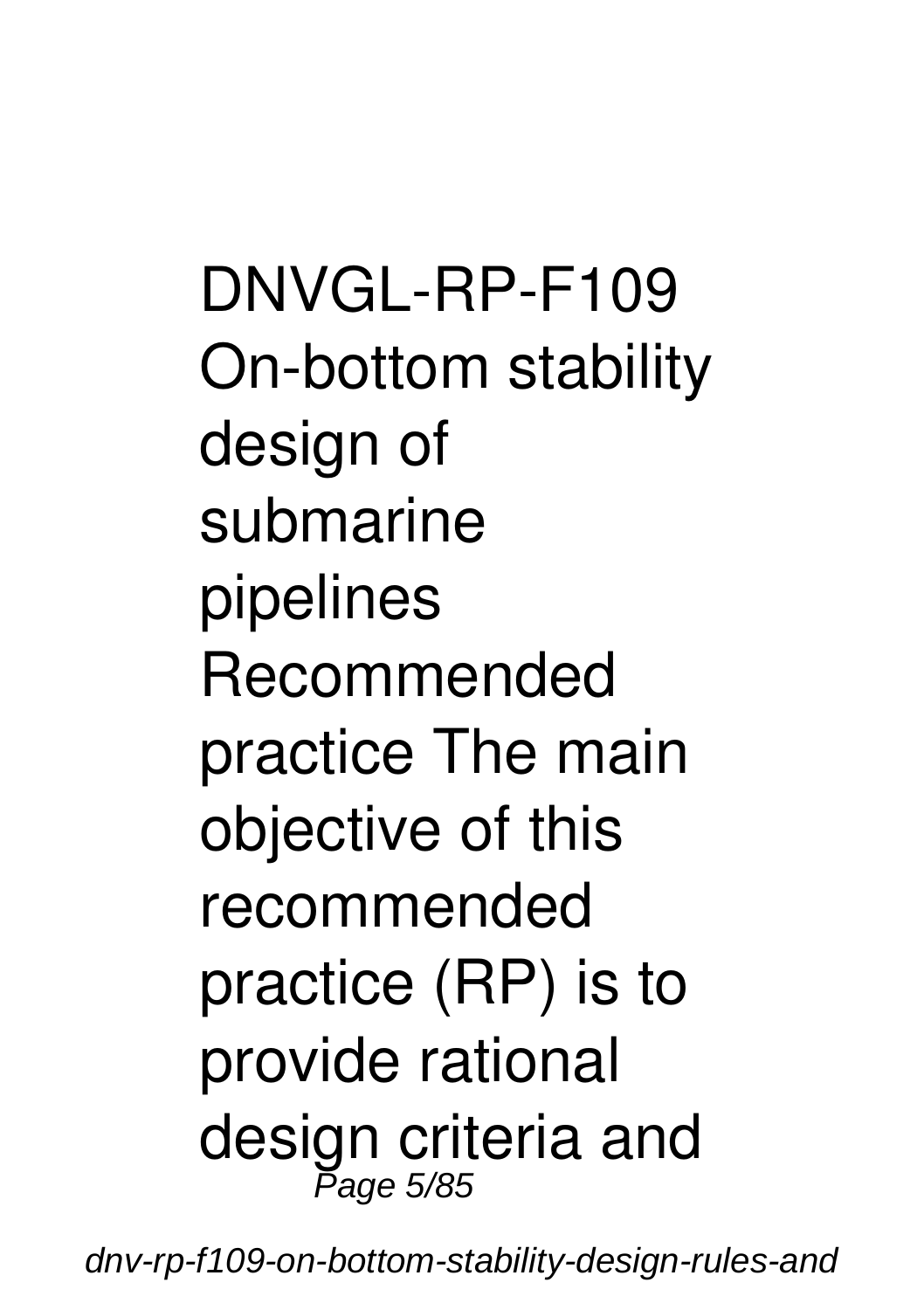DNVGL-RP-F109 On-bottom stability design of submarine pipelines Recommended practice The main objective of this recommended practice (RP) is to provide rational design criteria and Page 5/85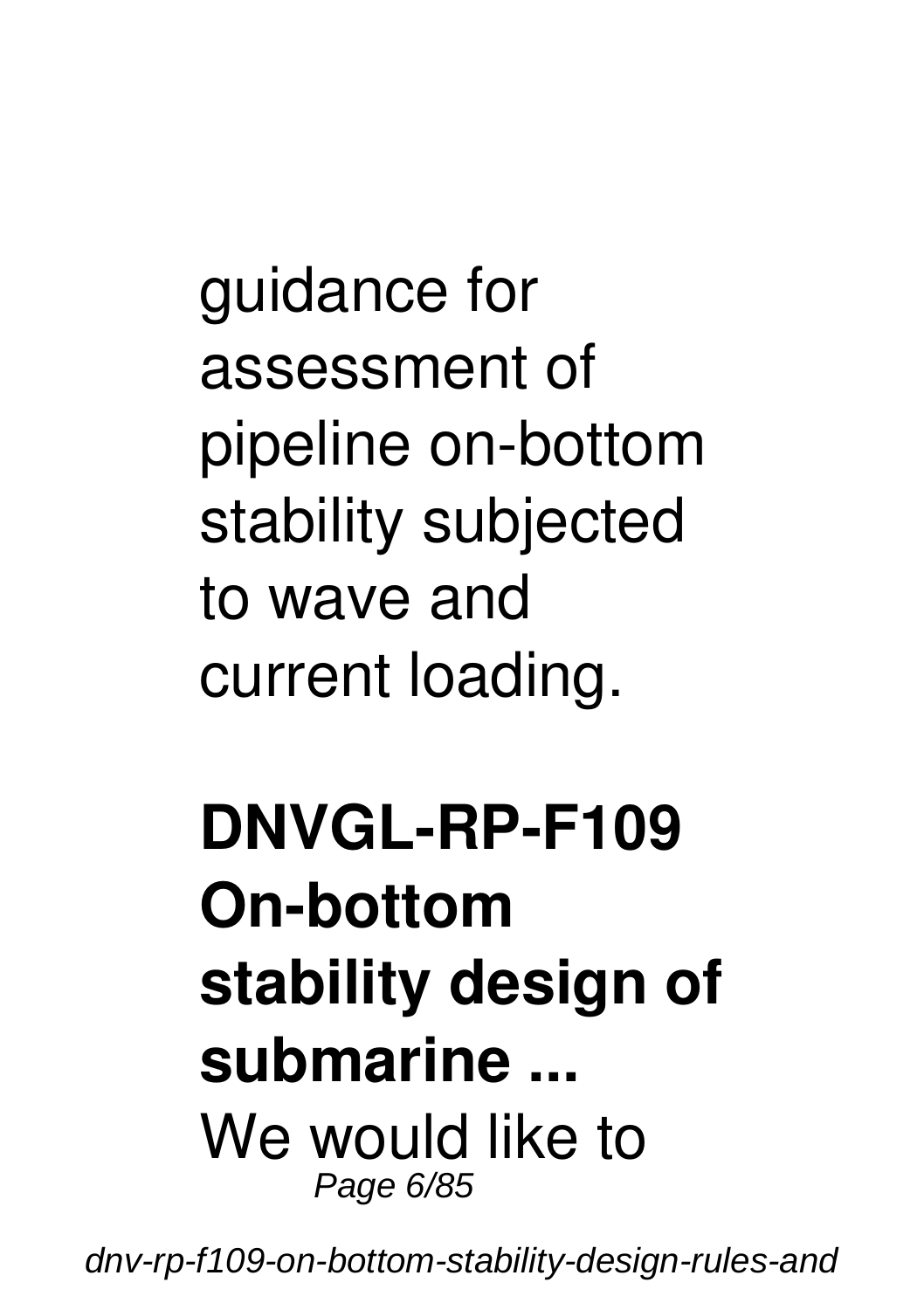guidance for assessment of pipeline on-bottom stability subjected to wave and current loading.

#### **DNVGL-RP-F109 On-bottom stability design of submarine ...** We would like to Page 6/85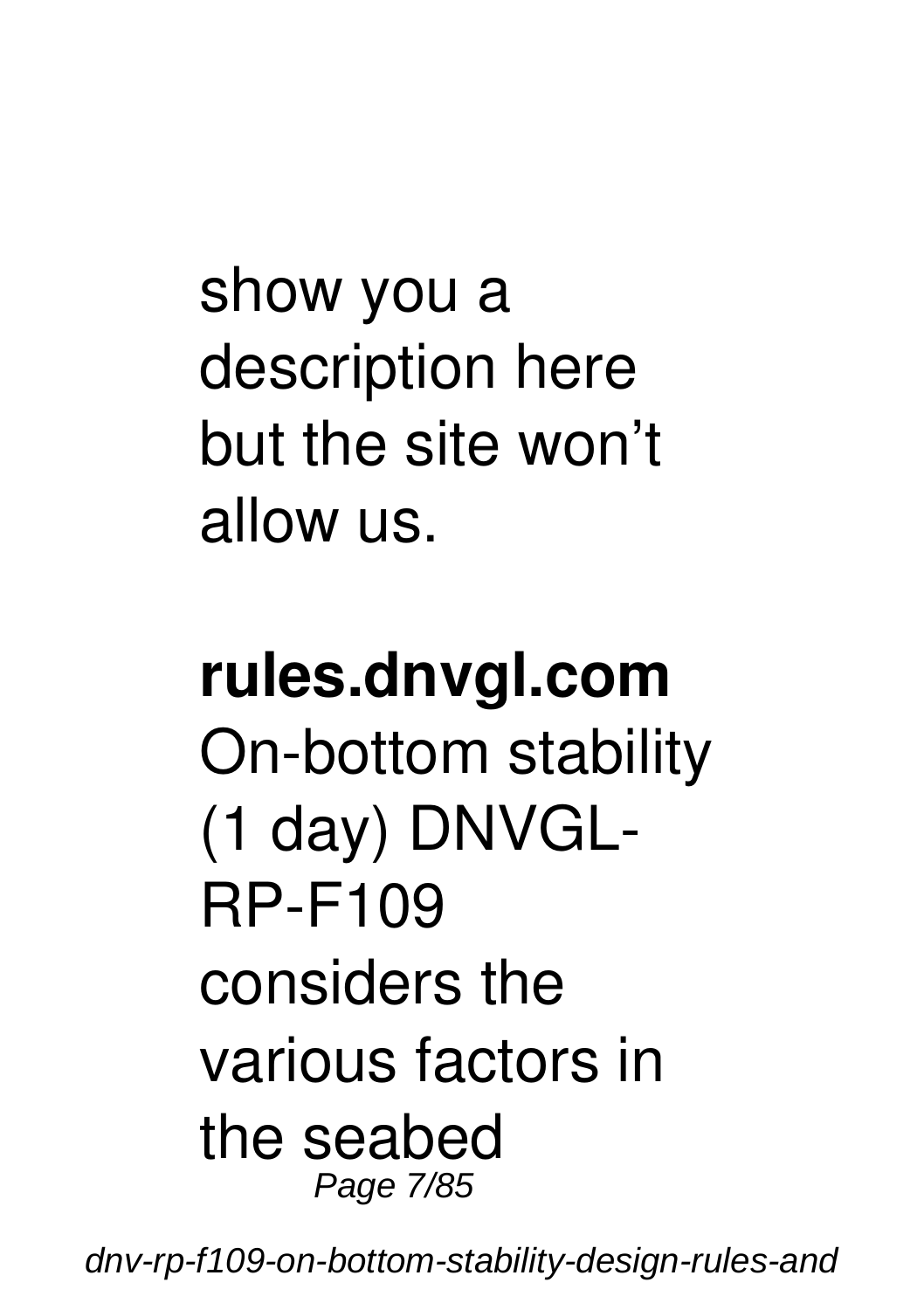show you a description here but the site won't allow us.

#### **rules.dnvgl.com** On-bottom stability (1 day) DNVGL-RP-F109 considers the various factors in the seabed Page 7/85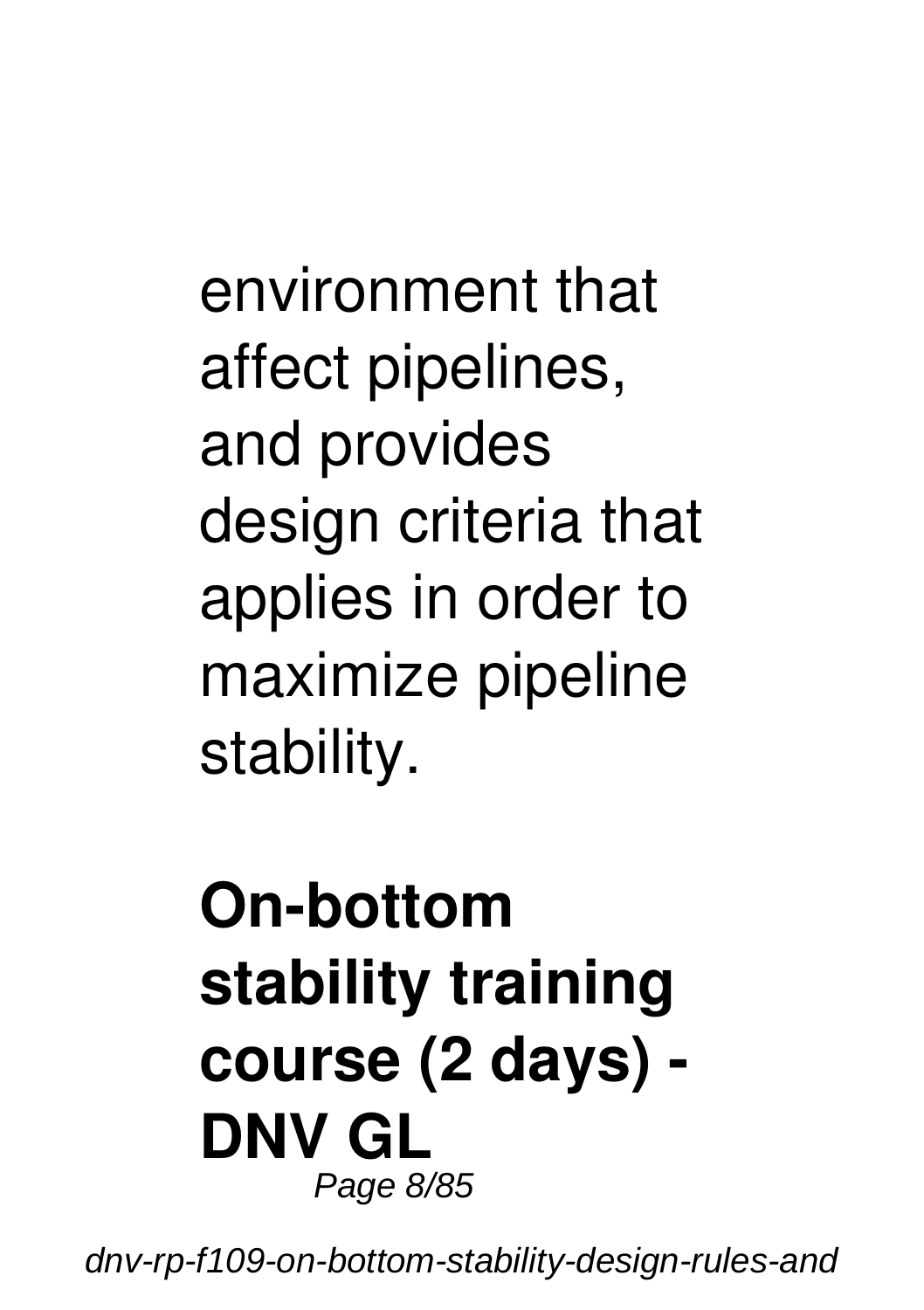environment that affect pipelines, and provides design criteria that applies in order to maximize pipeline stability.

#### **On-bottom stability training course (2 days) - DNV GL** Page 8/85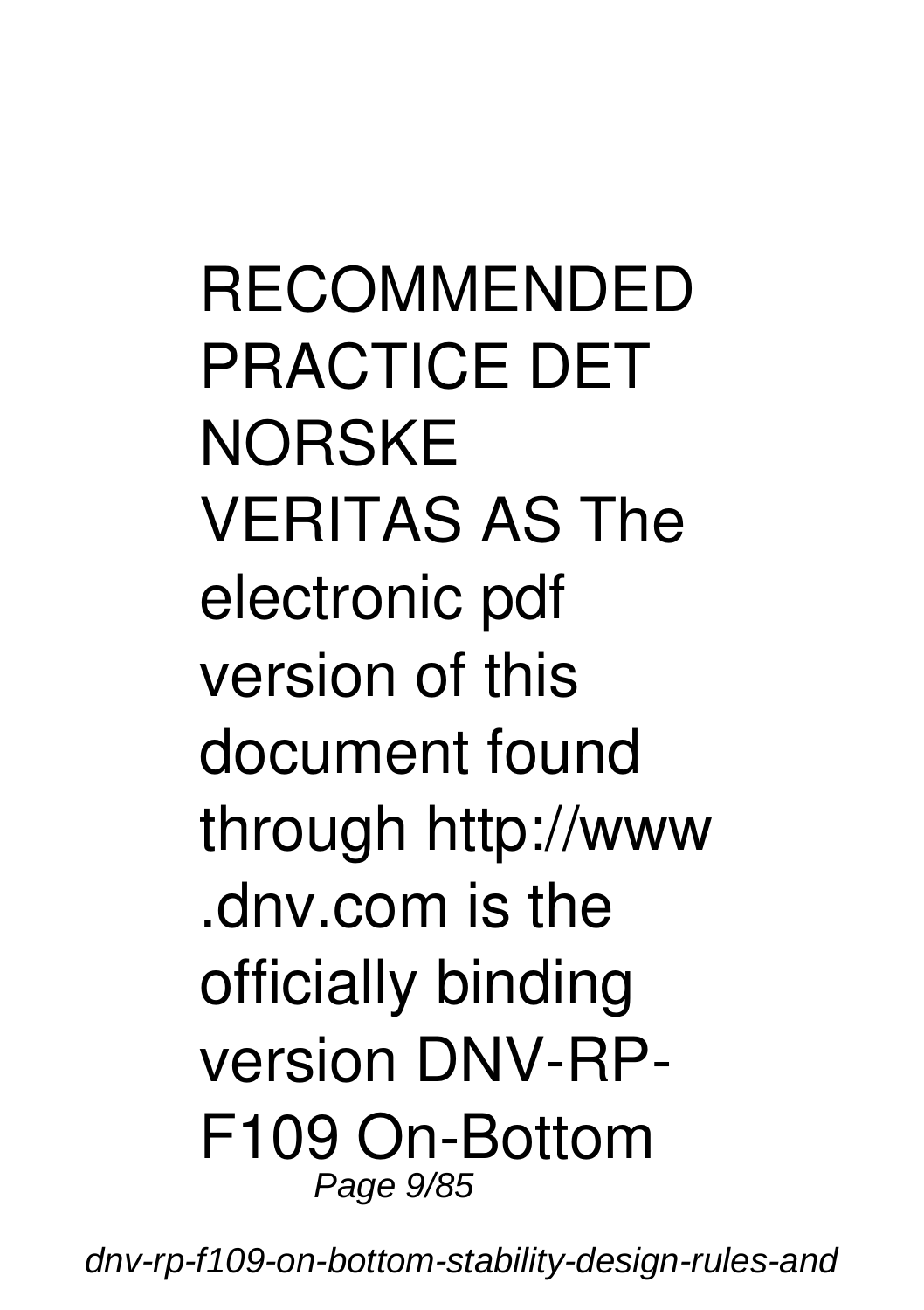RECOMMENDED PRACTICE DET **NORSKE** VERITAS AS The electronic pdf version of this document found through http://www .dnv.com is the officially binding version DNV-RP-F109 On-Bottom Page 9/85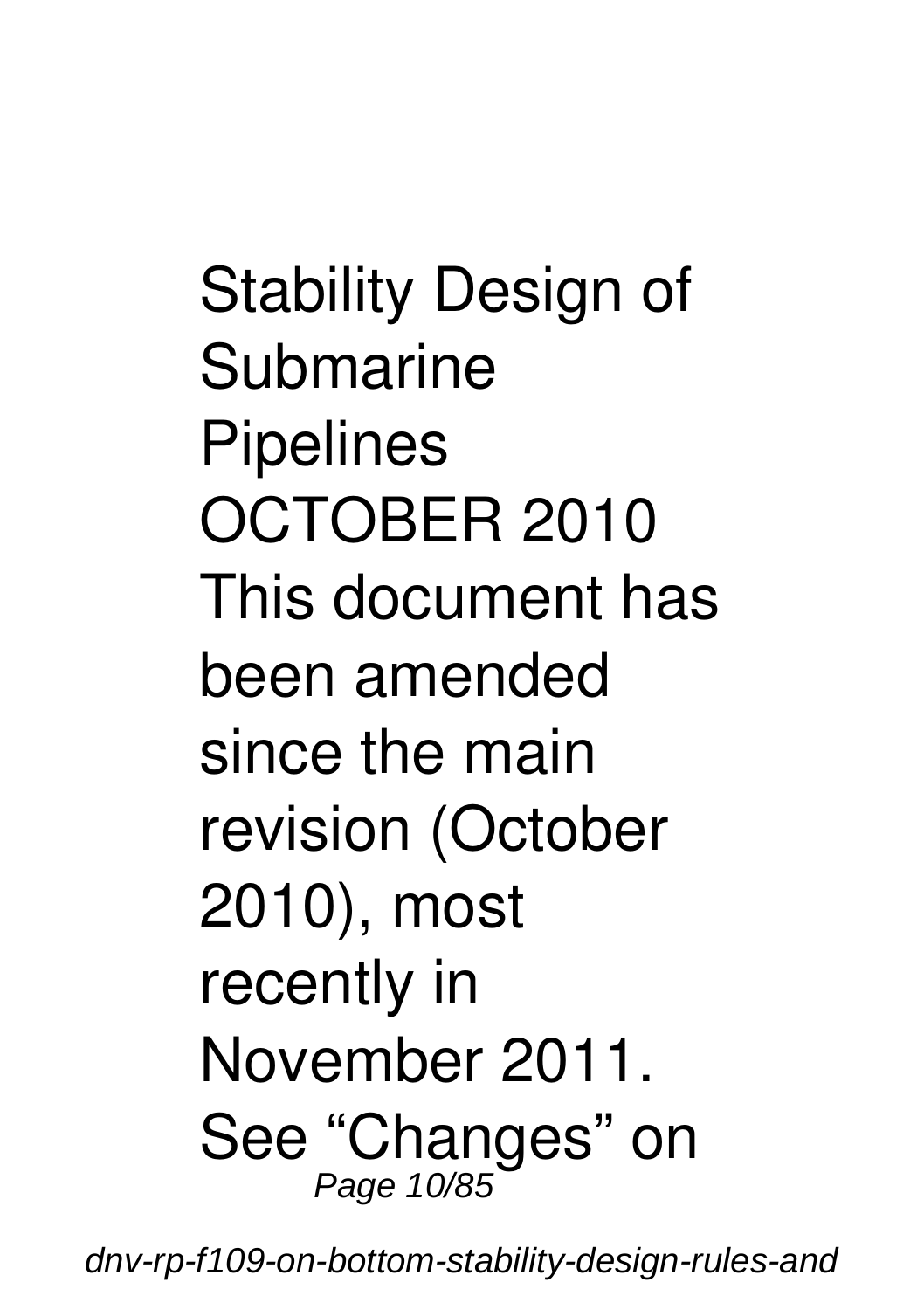Stability Design of Submarine **Pipelines** OCTOBER 2010 This document has been amended since the main revision (October 2010), most recently in November 2011. See "Changes" on Page 10/85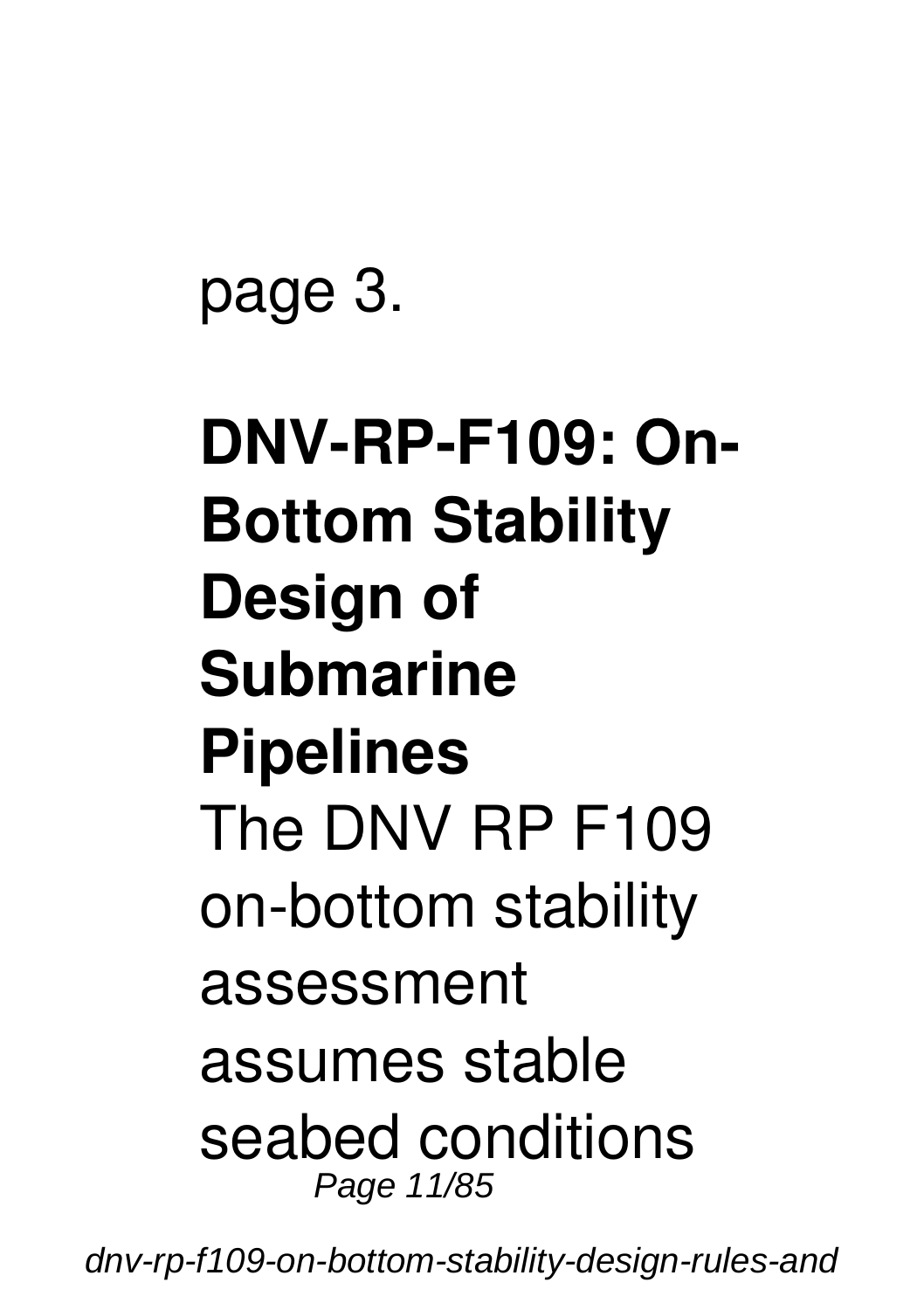page 3.

# **DNV-RP-F109: On-Bottom Stability Design of Submarine Pipelines** The DNV RP F109 on-bottom stability assessment assumes stable seabed conditions Page 11/85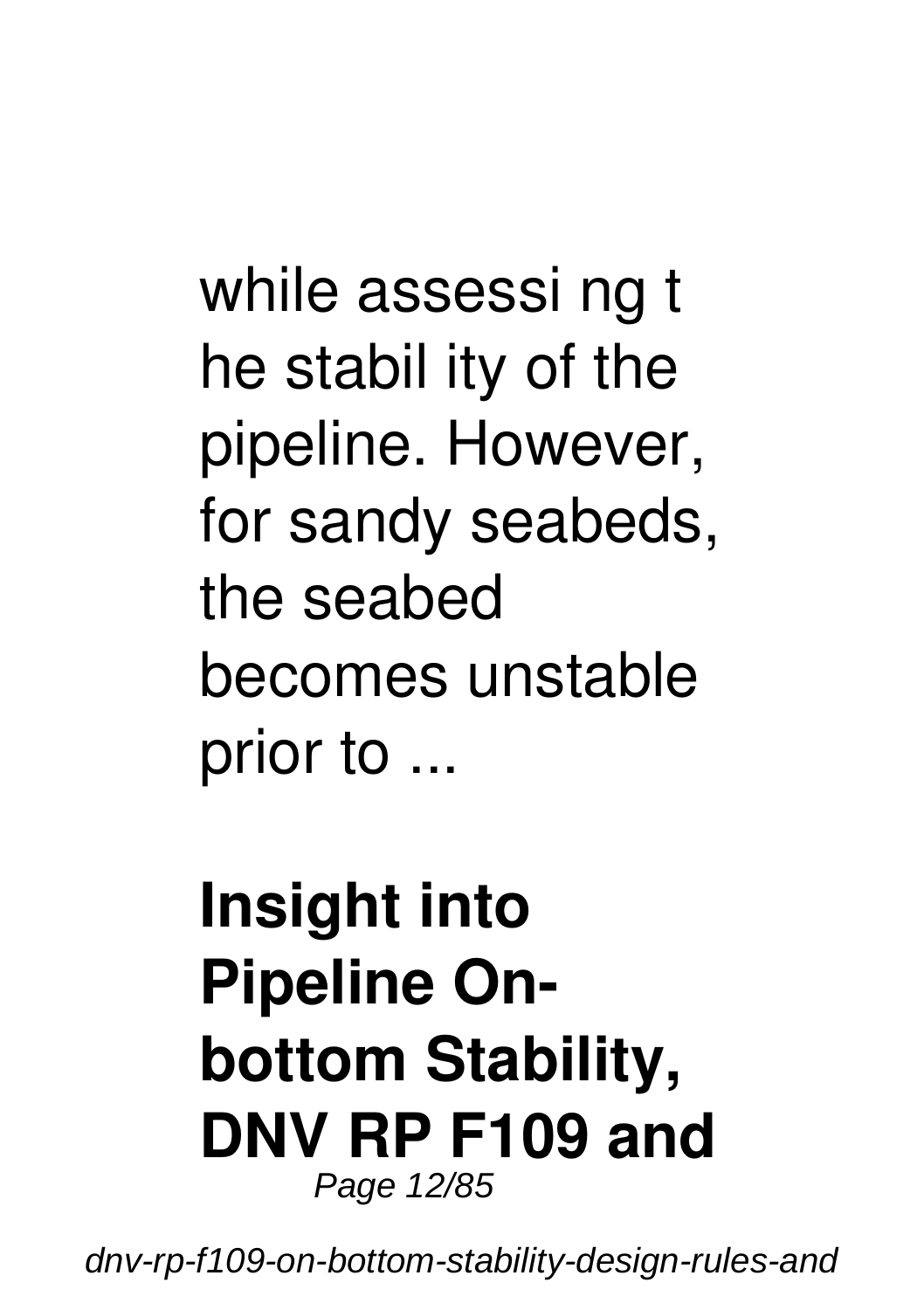while assessi ng t he stabil ity of the pipeline. However, for sandy seabeds, the seabed becomes unstable prior to ...

#### **Insight into Pipeline Onbottom Stability, DNV RP F109 and** Page 12/85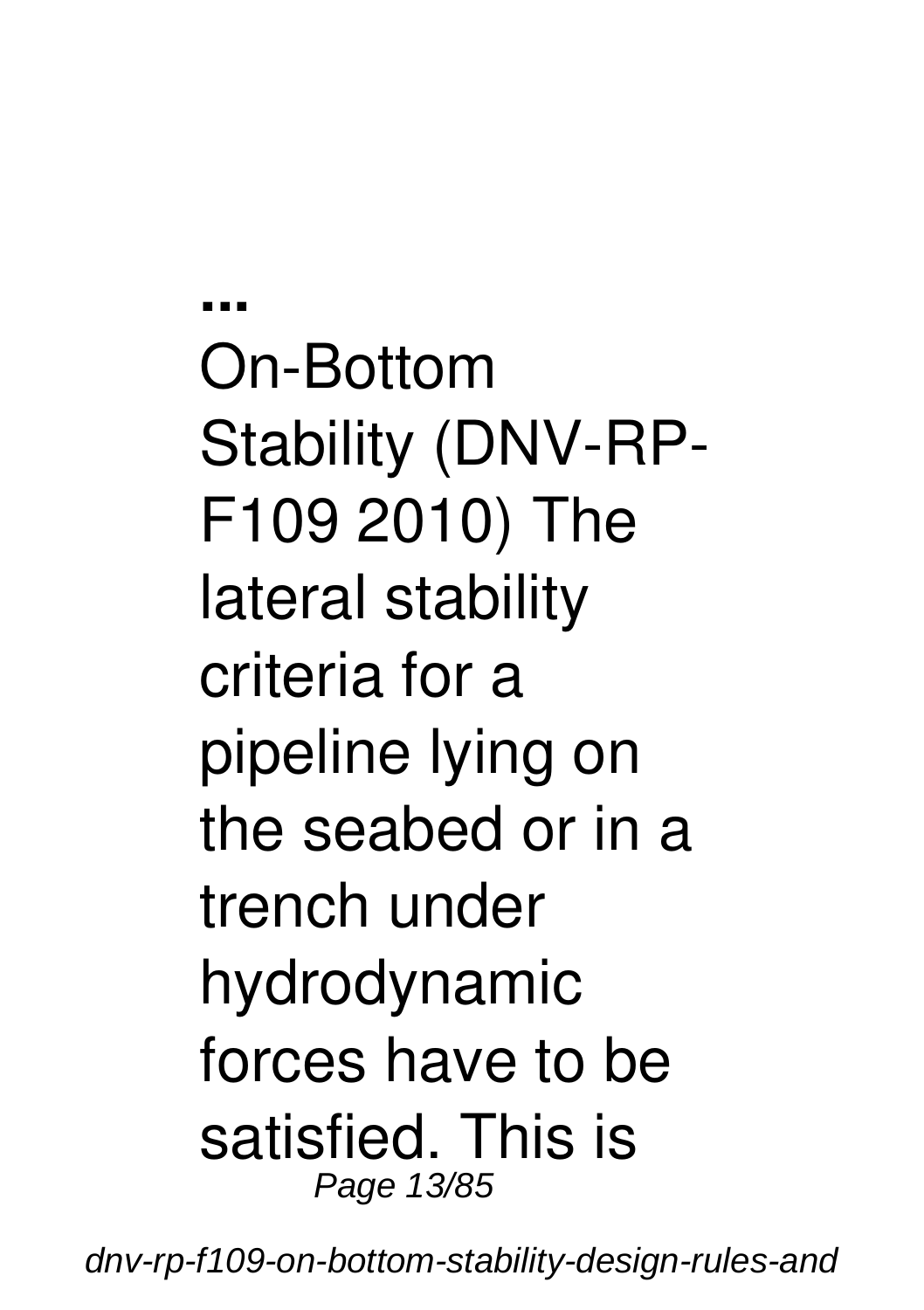**...** On-Bottom Stability (DNV-RP-F109 2010) The lateral stability criteria for a pipeline lying on the seabed or in a trench under hydrodynamic forces have to be satisfied. This is Page 13/85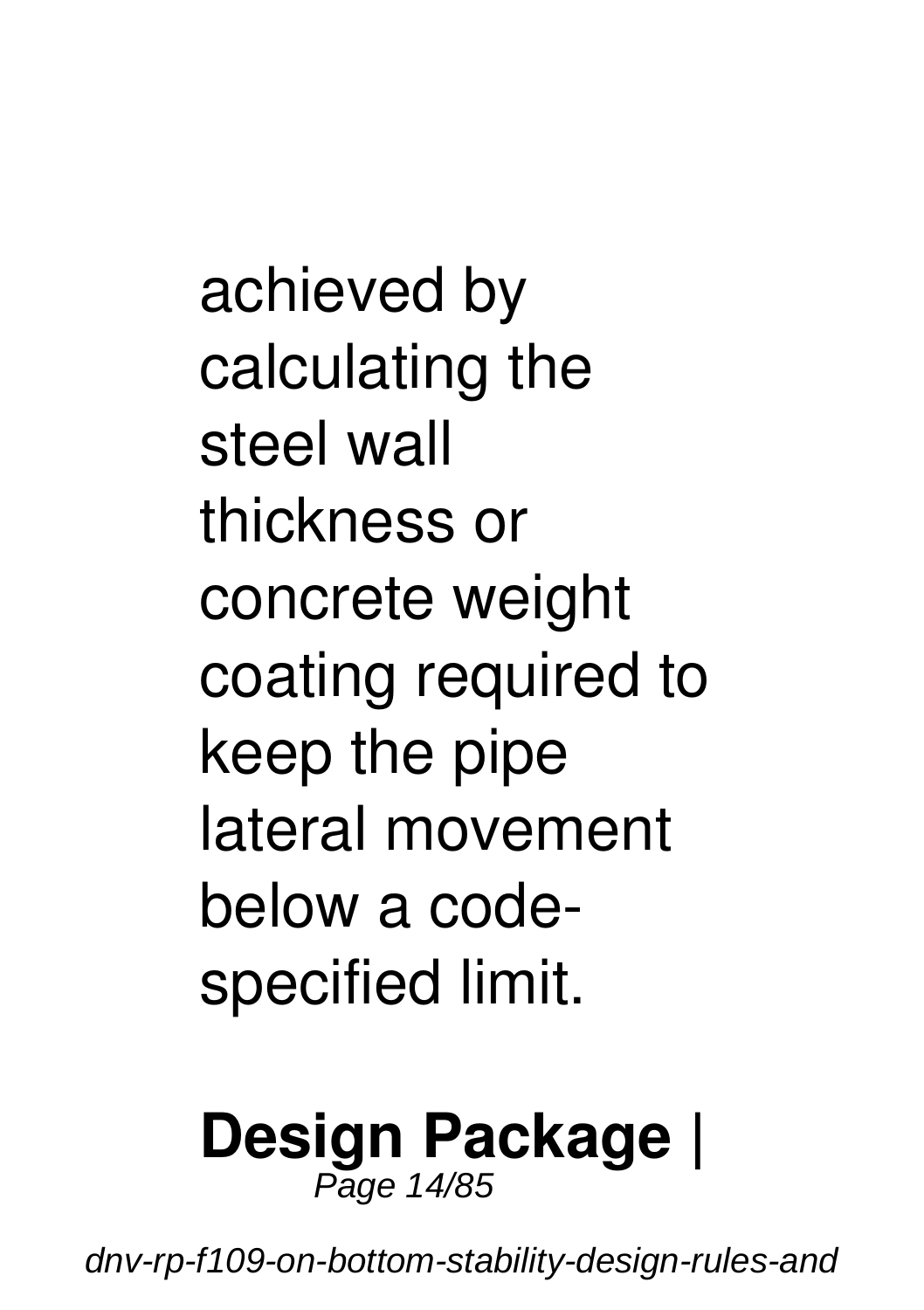achieved by calculating the steel wall thickness or concrete weight coating required to keep the pipe lateral movement below a codespecified limit.

#### **Design Package |** Page 14/85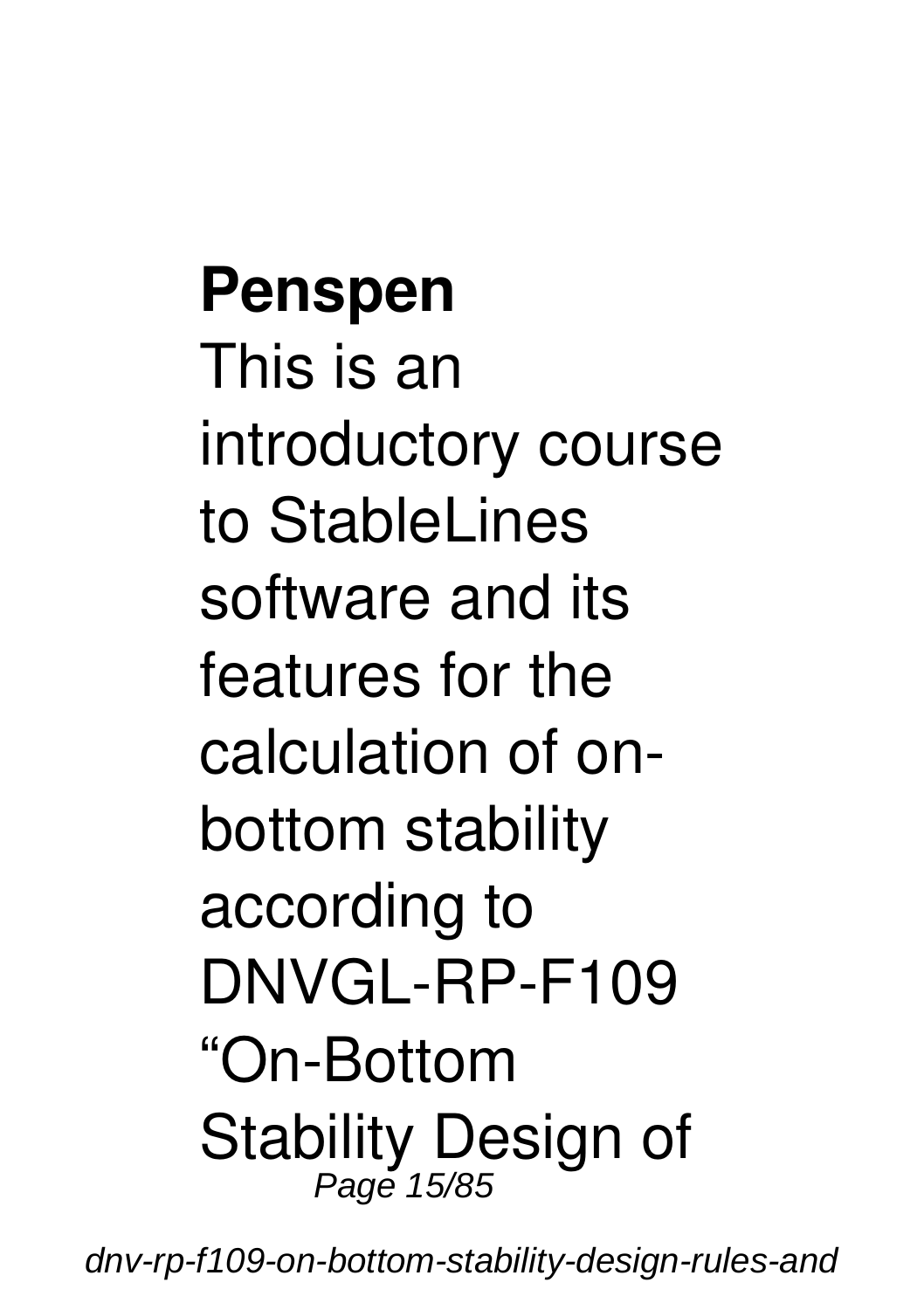**Penspen** This is an introductory course to StableLines software and its features for the calculation of onbottom stability according to DNVGL-RP-F109 "On-Bottom Stability Design of Page 15/85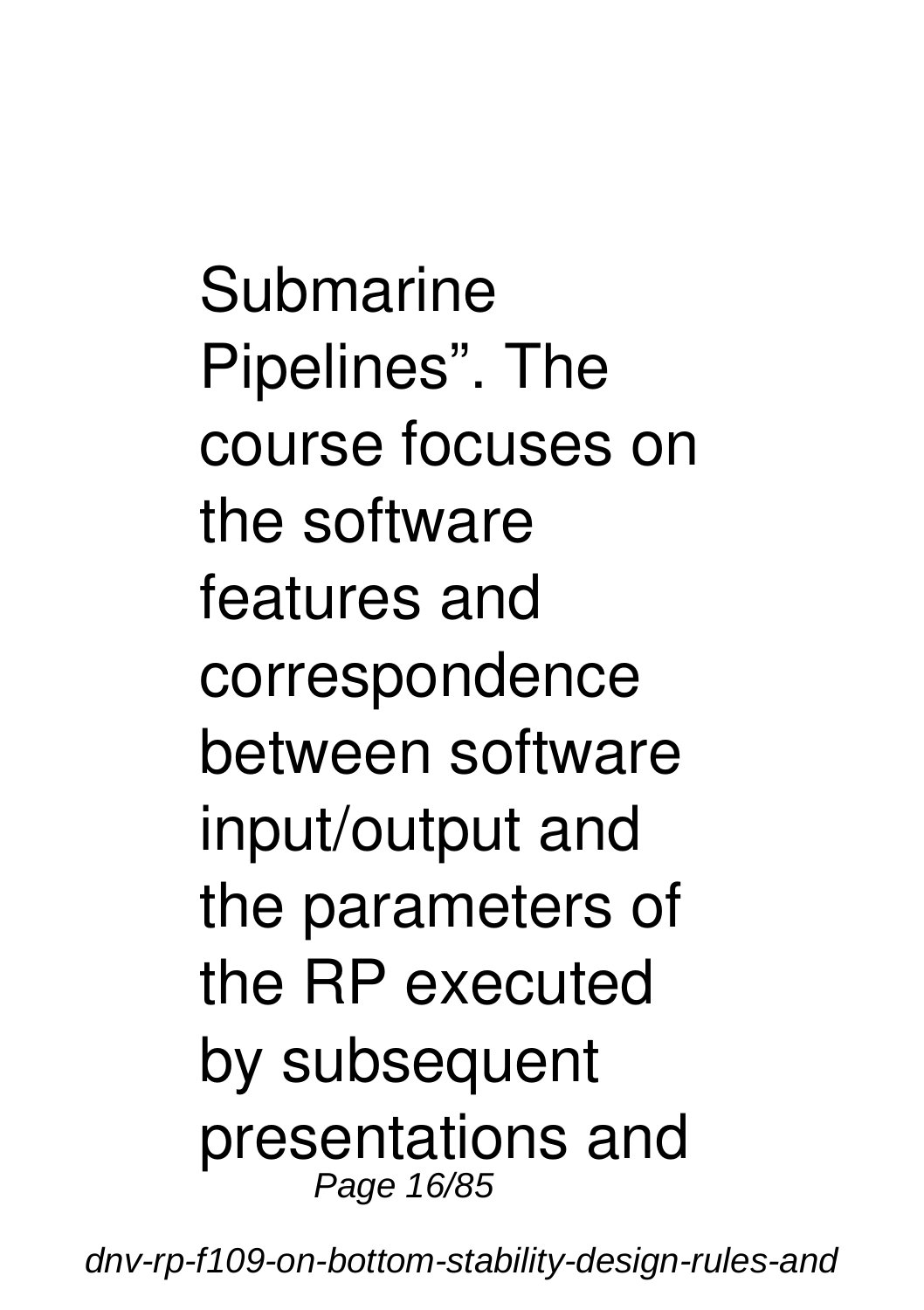Submarine Pipelines". The course focuses on the software features and correspondence between software input/output and the parameters of the RP executed by subsequent presentations and Page 16/85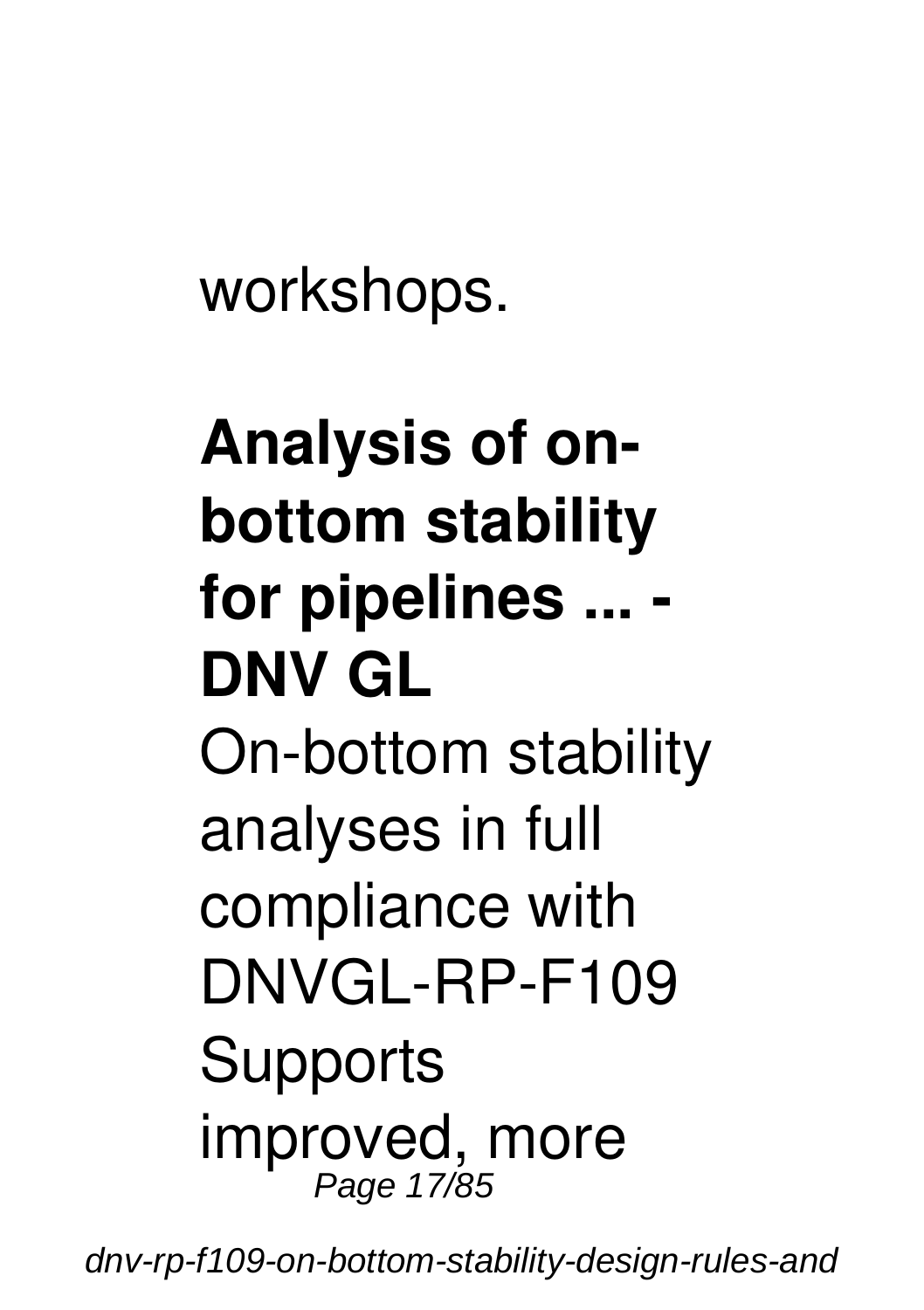workshops.

# **Analysis of onbottom stability for pipelines ... - DNV GL** On-bottom stability analyses in full compliance with DNVGL-RP-F109 **Supports** improved, more Page 17/85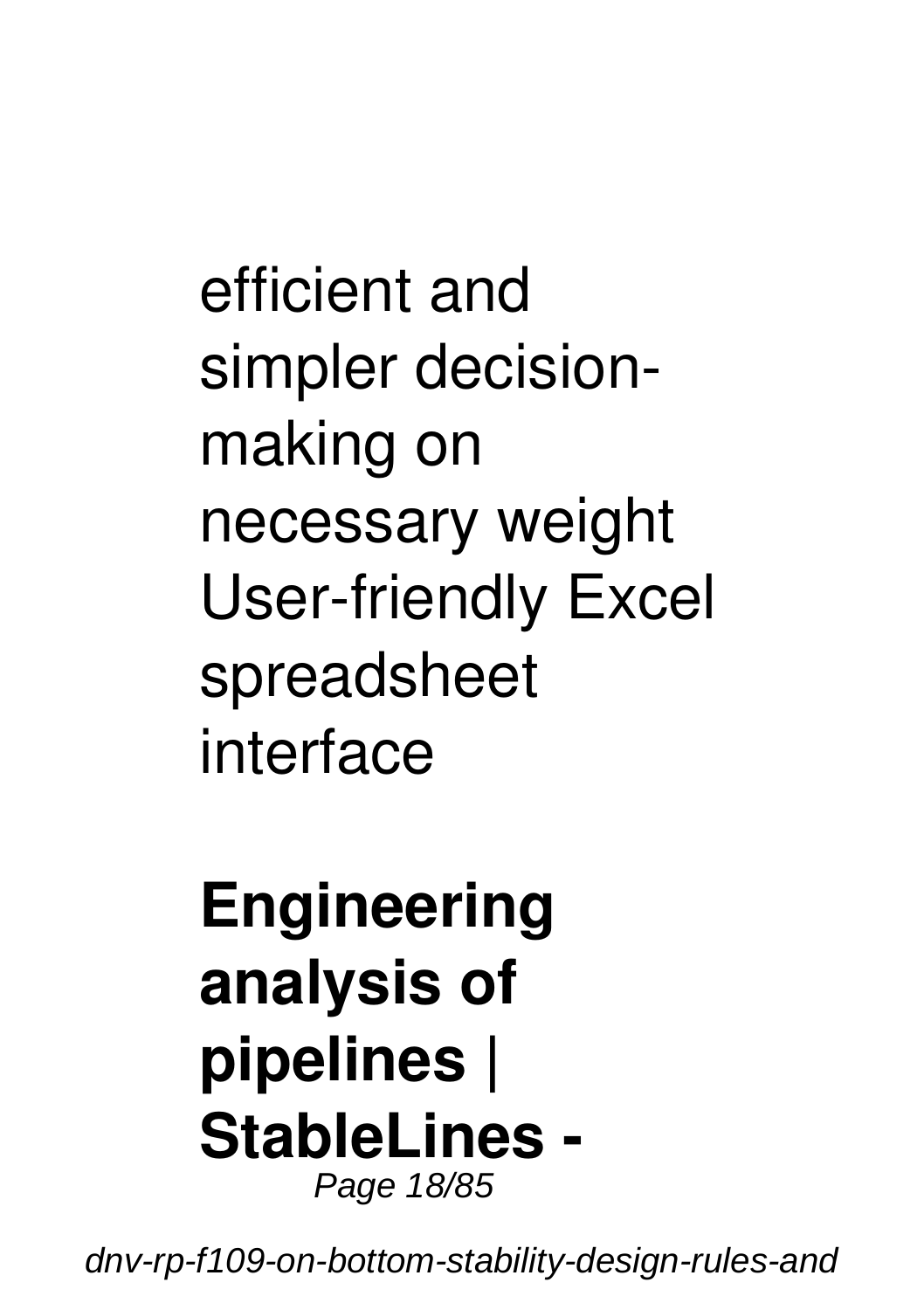efficient and simpler decisionmaking on necessary weight User-friendly Excel spreadsheet interface

#### **Engineering analysis of pipelines | StableLines -** Page 18/85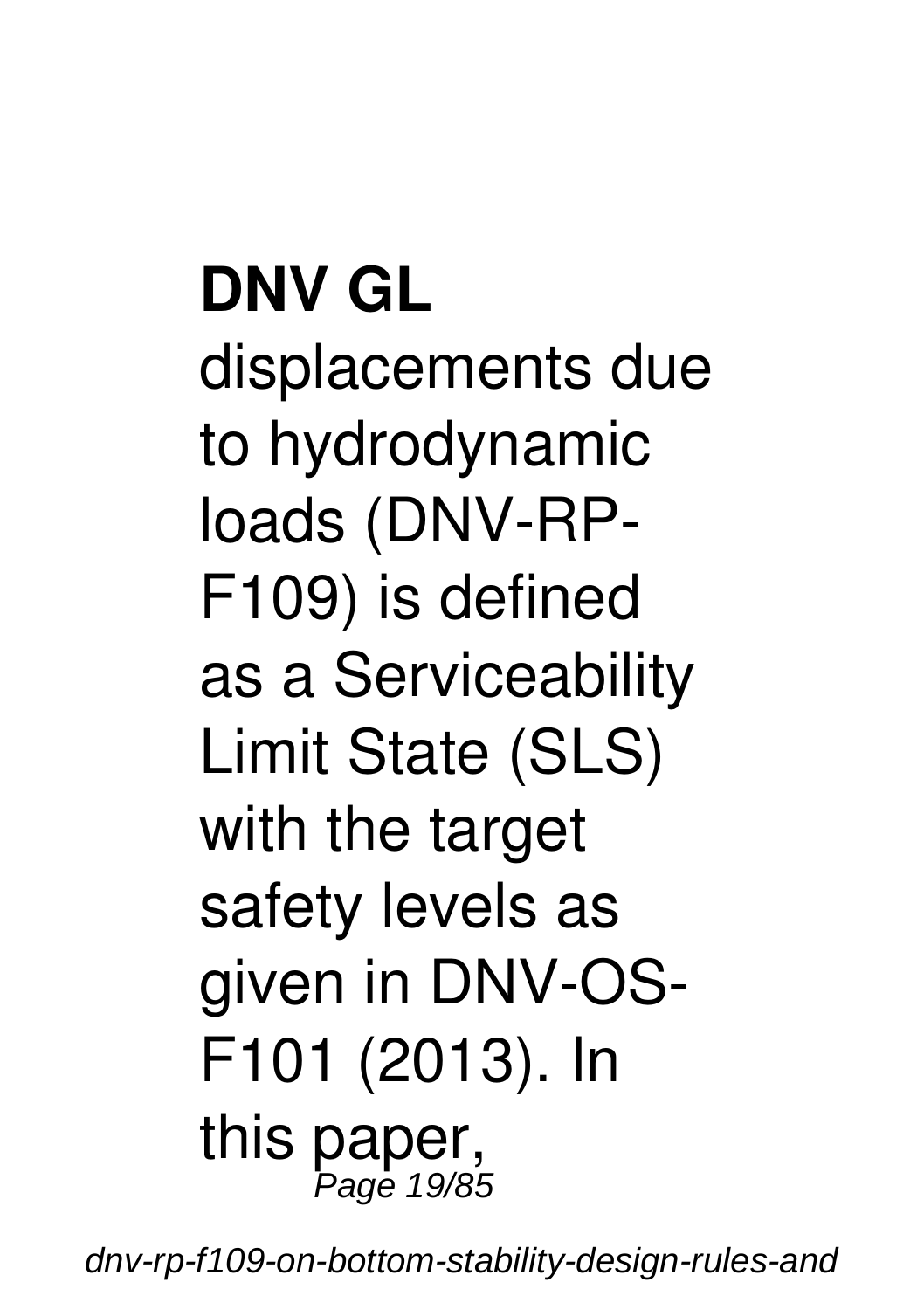**DNV GL** displacements due to hydrodynamic loads (DNV-RP-F109) is defined as a Serviceability Limit State (SLS) with the target safety levels as given in DNV-OS-F101 (2013). In this paper, Page 19/85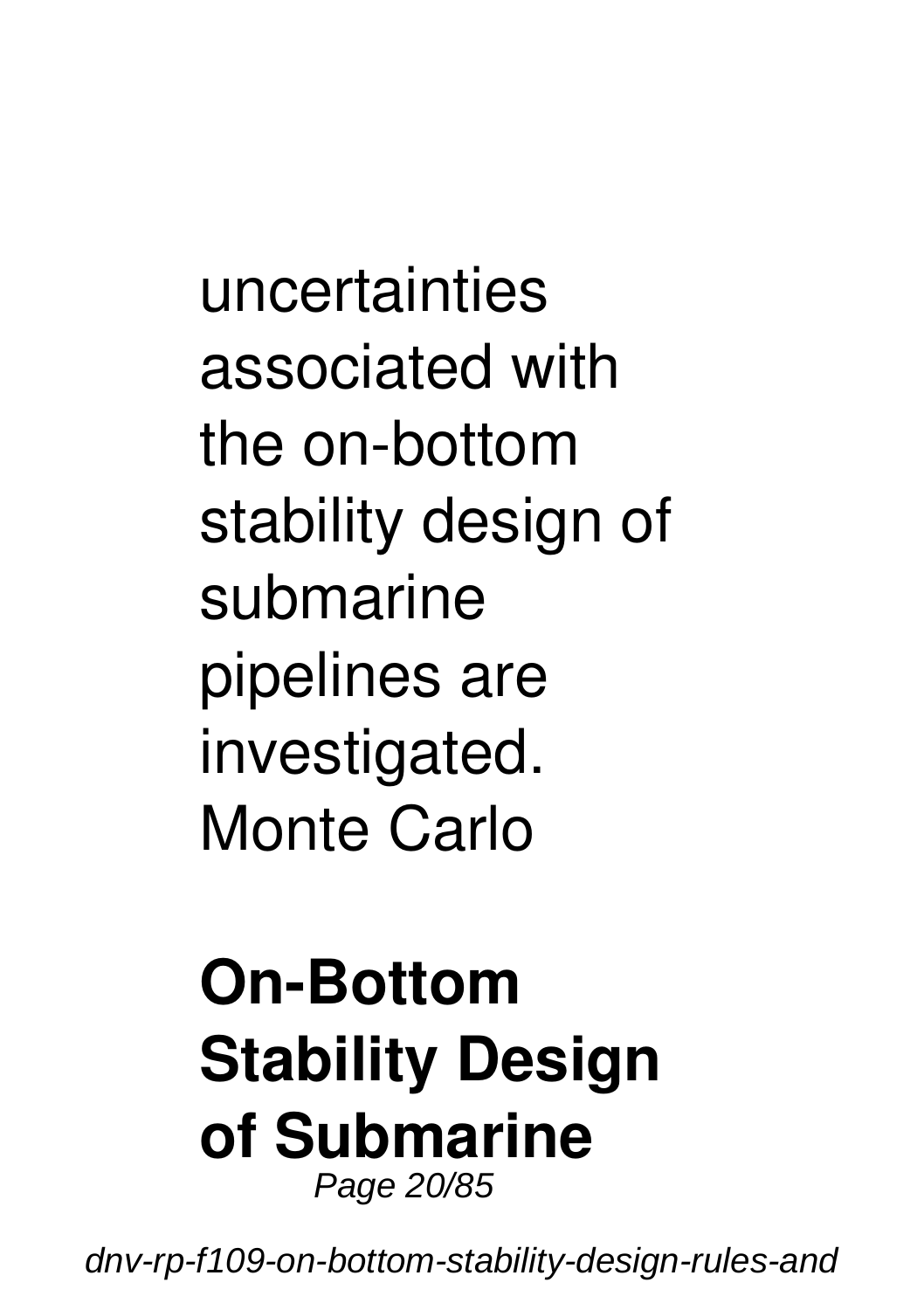uncertainties associated with the on-bottom stability design of submarine pipelines are investigated. Monte Carlo

#### **On-Bottom Stability Design of Submarine** Page 20/85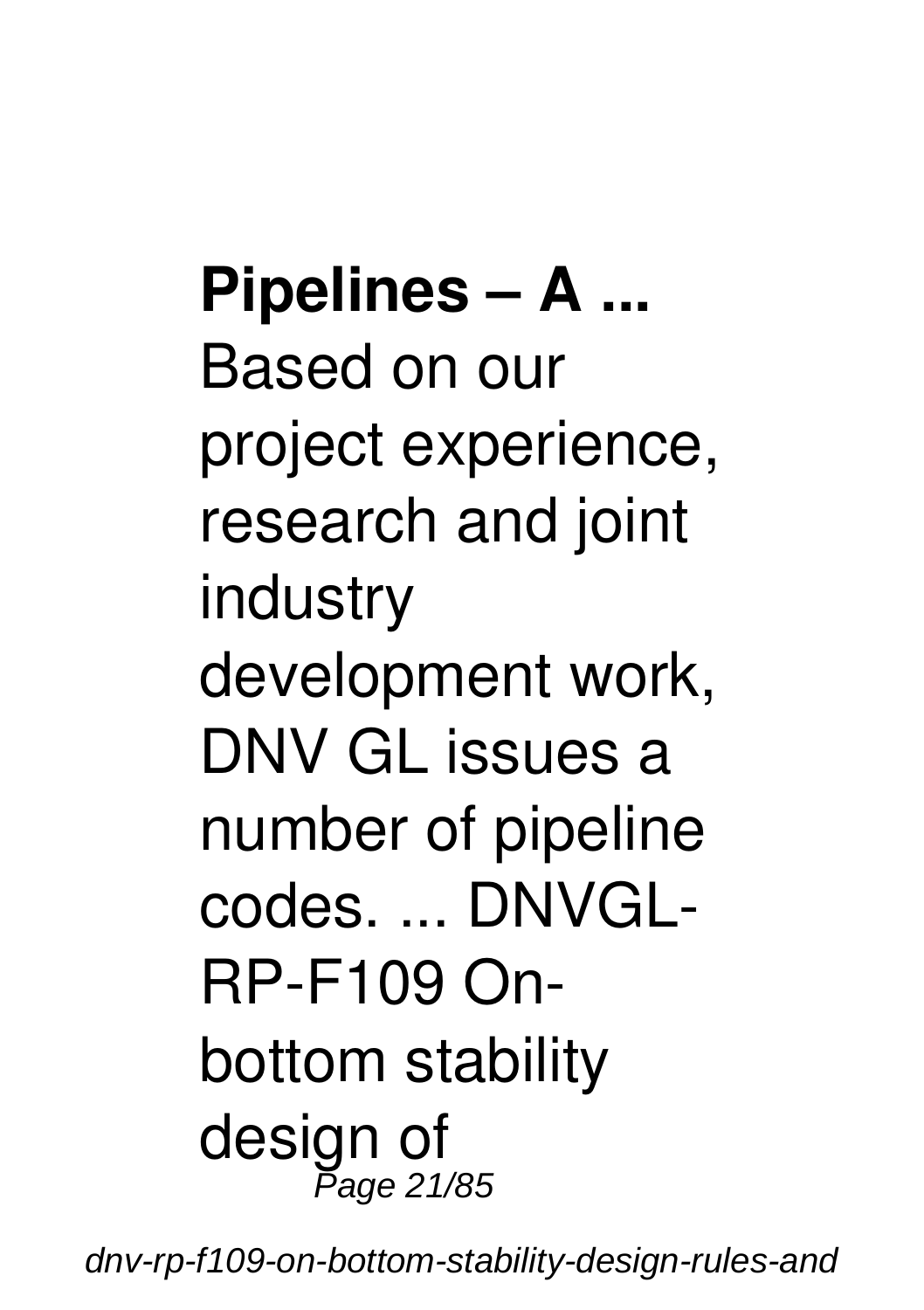**Pipelines – A ...** Based on our project experience, research and joint industry development work, DNV GL issues a number of pipeline codes. ... DNVGL-RP-F109 Onbottom stability design of Page 21/85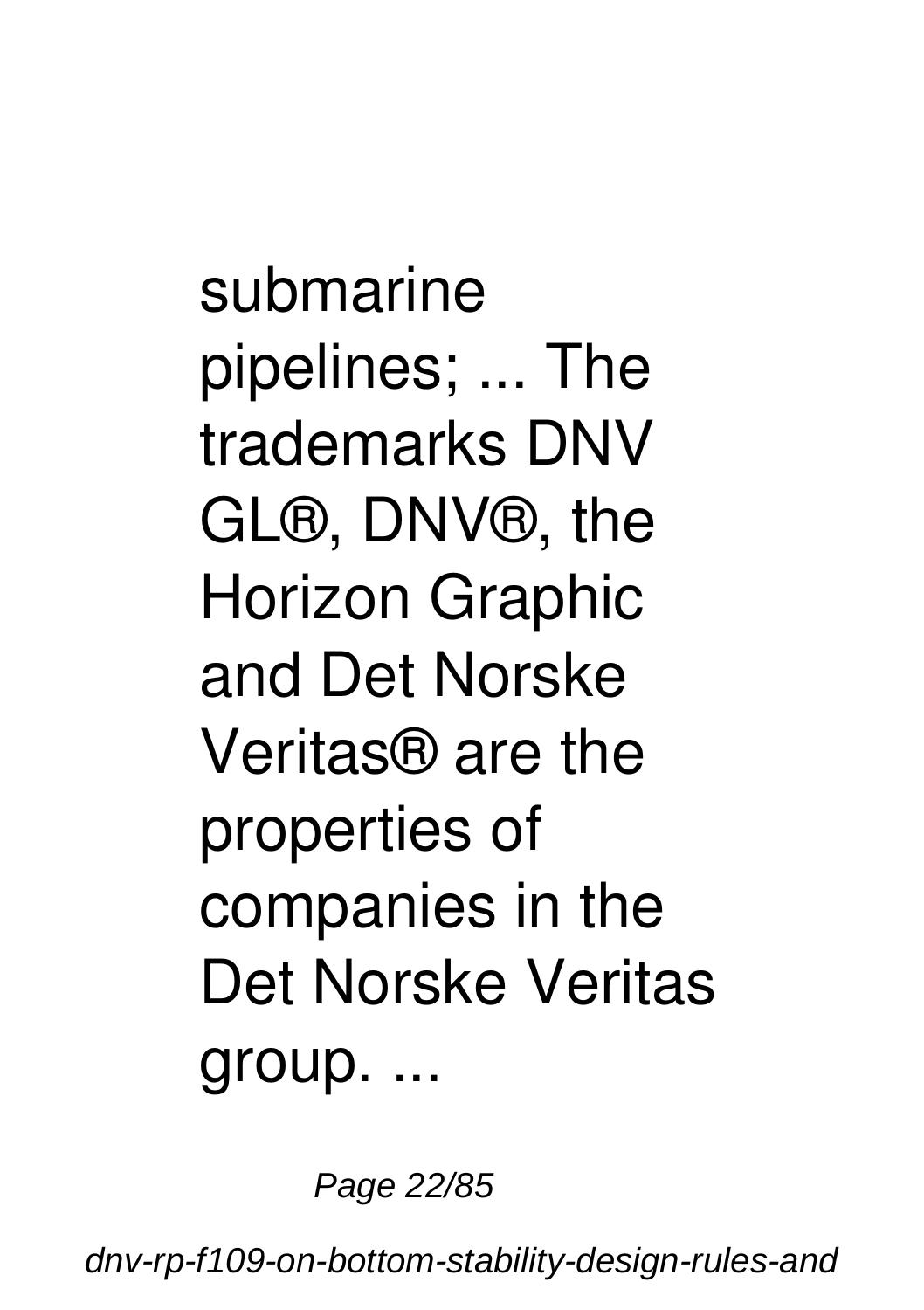submarine pipelines; ... The trademarks DNV GL®, DNV®, the Horizon Graphic and Det Norske Veritas® are the properties of companies in the Det Norske Veritas group. ...

Page 22/85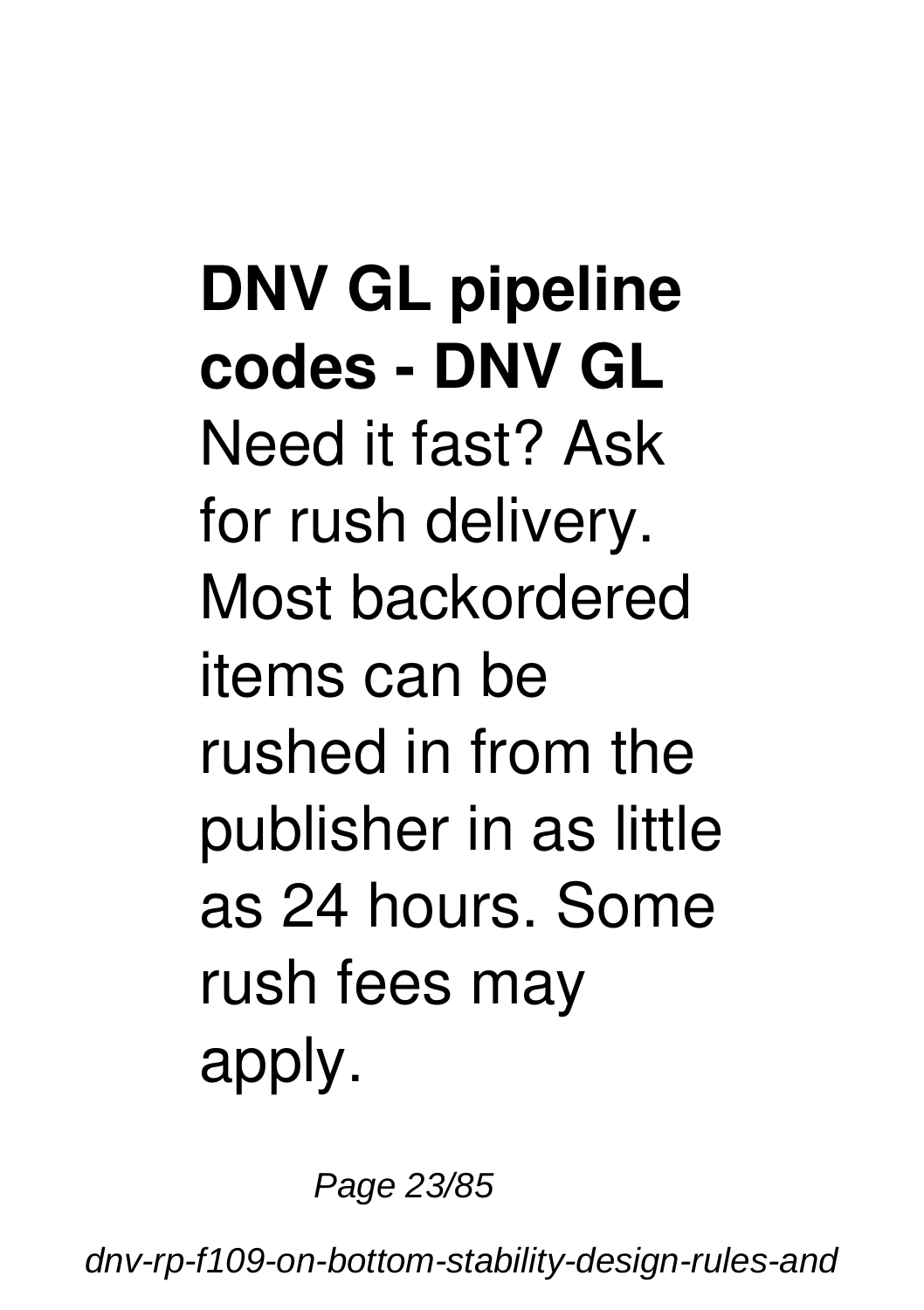**DNV GL pipeline codes - DNV GL** Need it fast? Ask for rush delivery. Most backordered items can be rushed in from the publisher in as little as 24 hours. Some rush fees may apply.

Page 23/85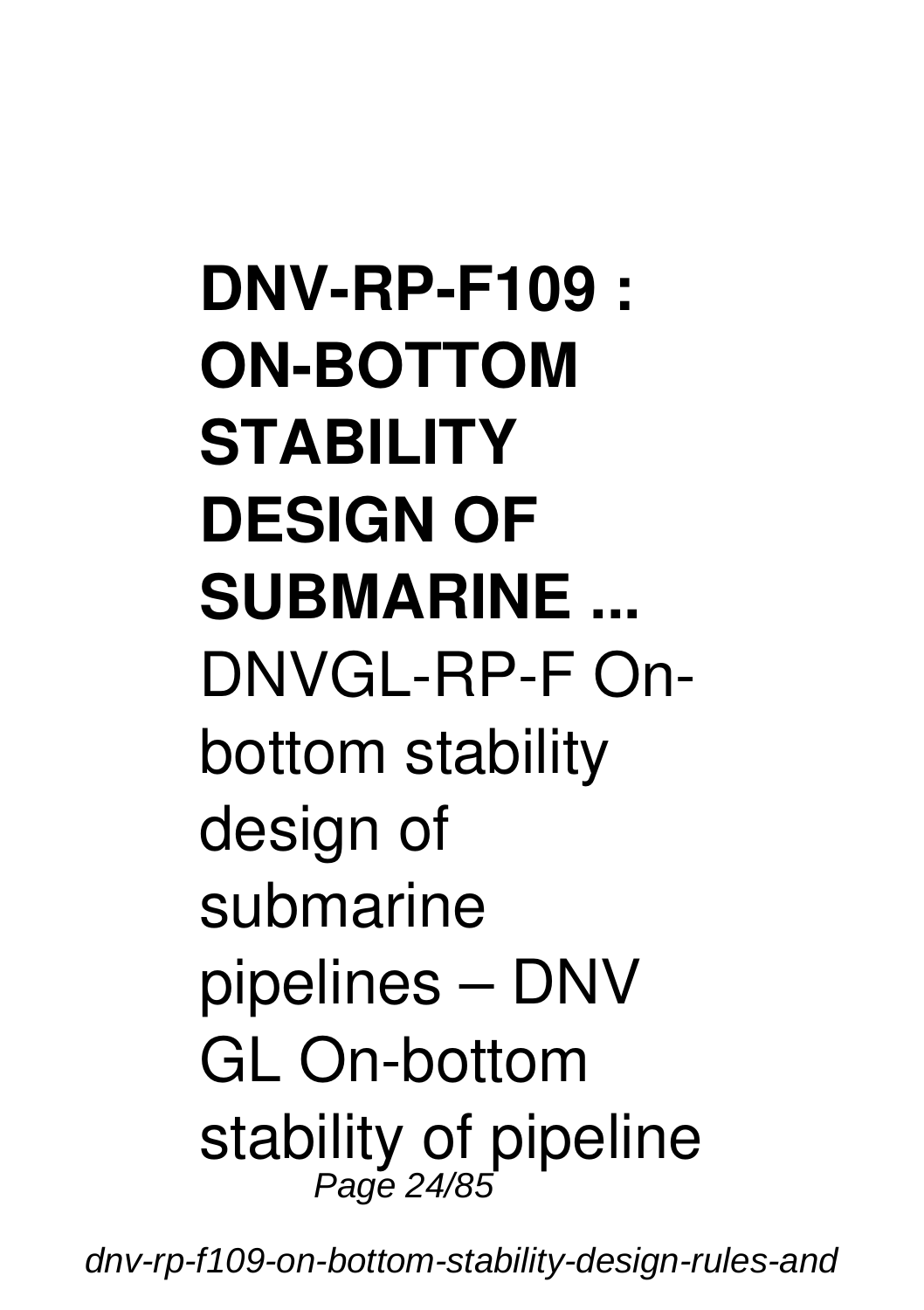**DNV-RP-F109 : ON-BOTTOM STABILITY DESIGN OF SUBMARINE ...** DNVGL-RP-F Onbottom stability design of submarine pipelines – DNV GL On-bottom stability of pipeline Page 24/85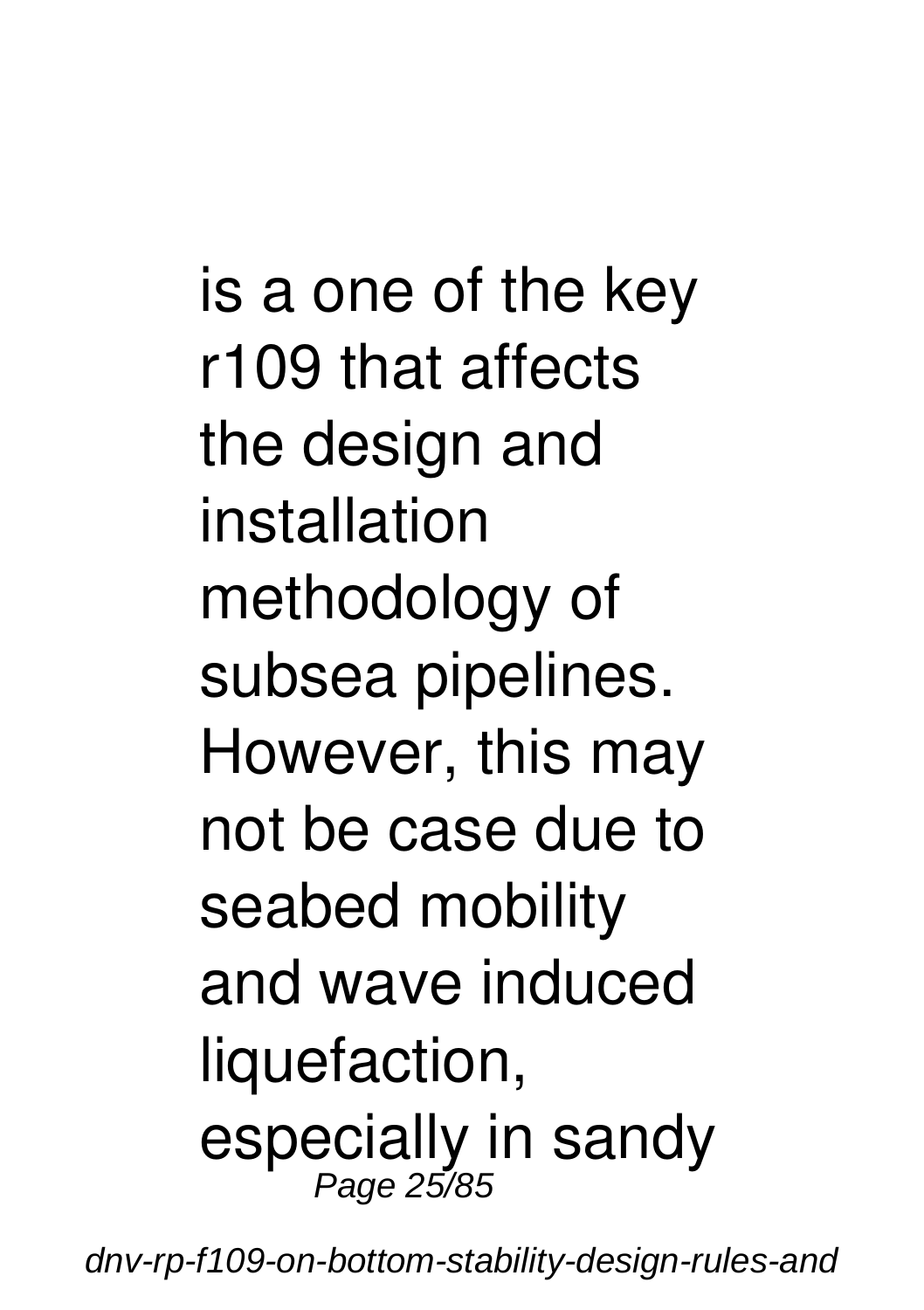is a one of the key r109 that affects the design and installation methodology of subsea pipelines. However, this may not be case due to seabed mobility and wave induced liquefaction, especially in sandy Page 25/85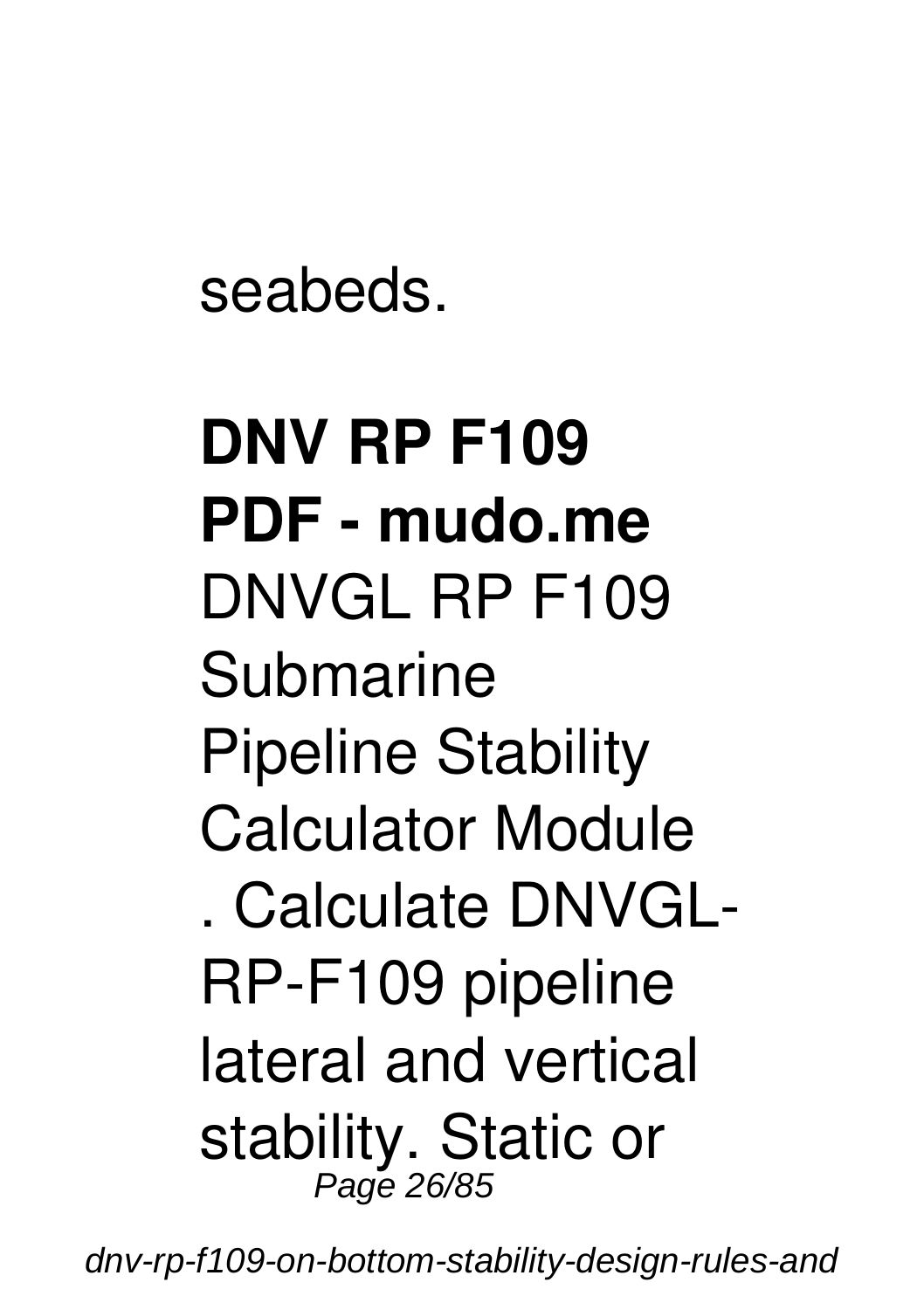seabeds.

# **DNV RP F109 PDF - mudo.me** DNVGL RP F109 Submarine Pipeline Stability Calculator Module . Calculate DNVGL-RP-F109 pipeline lateral and vertical stability. Static or Page 26/85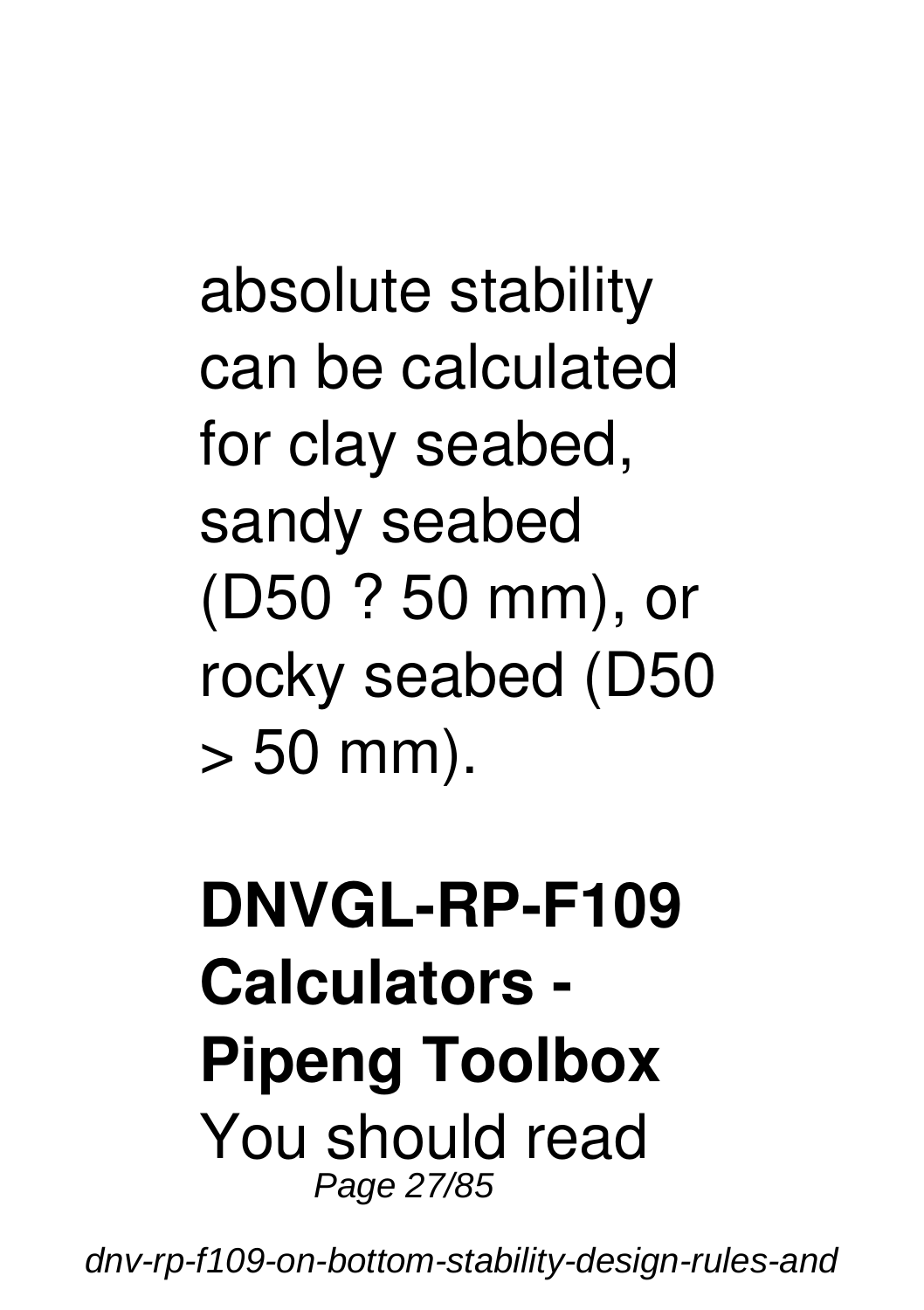absolute stability can be calculated for clay seabed, sandy seabed (D50 ? 50 mm), or rocky seabed (D50  $> 50$  mm).

#### **DNVGL-RP-F109 Calculators - Pipeng Toolbox** You should read Page 27/85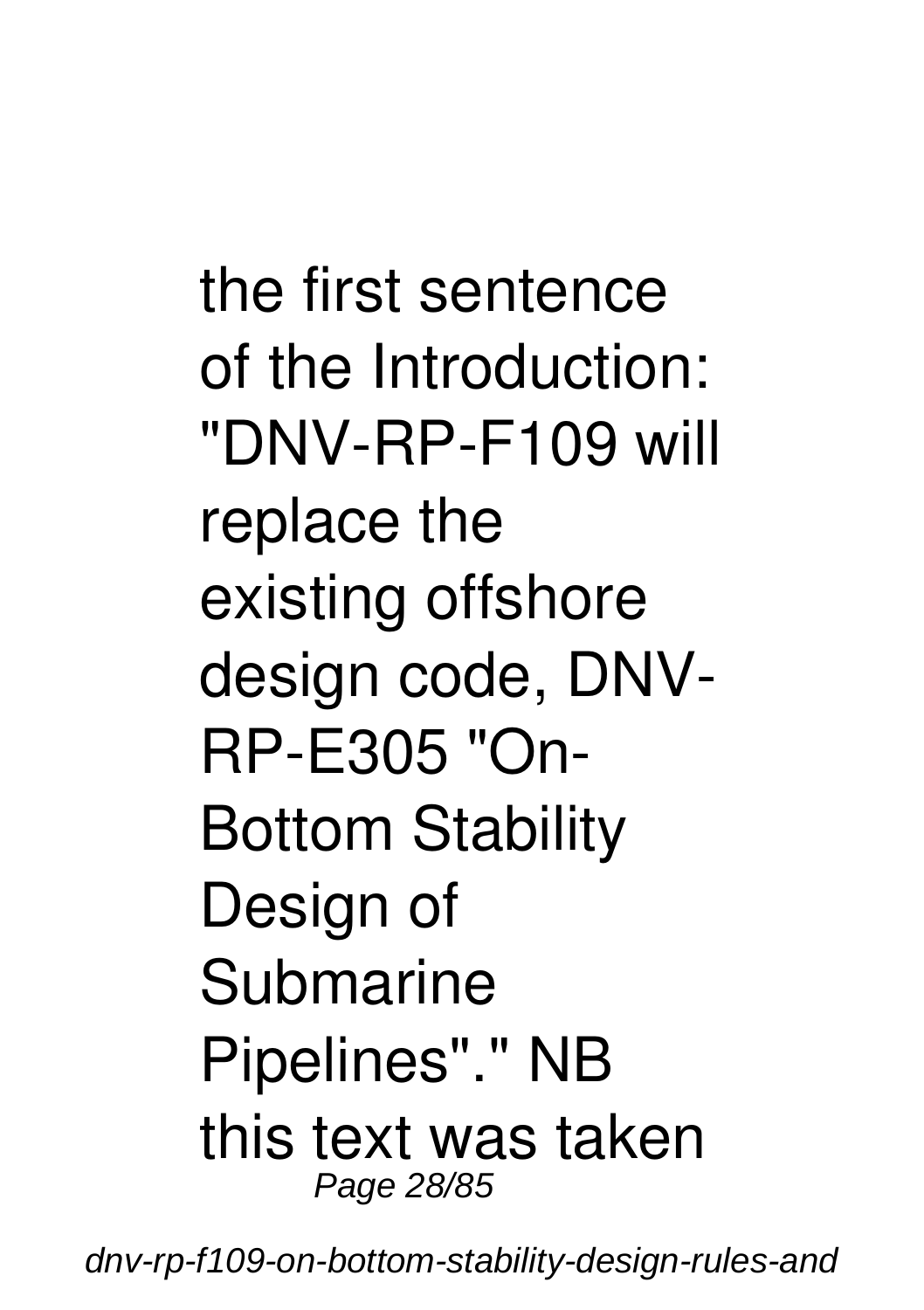the first sentence of the Introduction: "DNV-RP-F109 will replace the existing offshore design code, DNV-RP-E305 "On-Bottom Stability Design of Submarine Pipelines"." NB this text was taken Page 28/85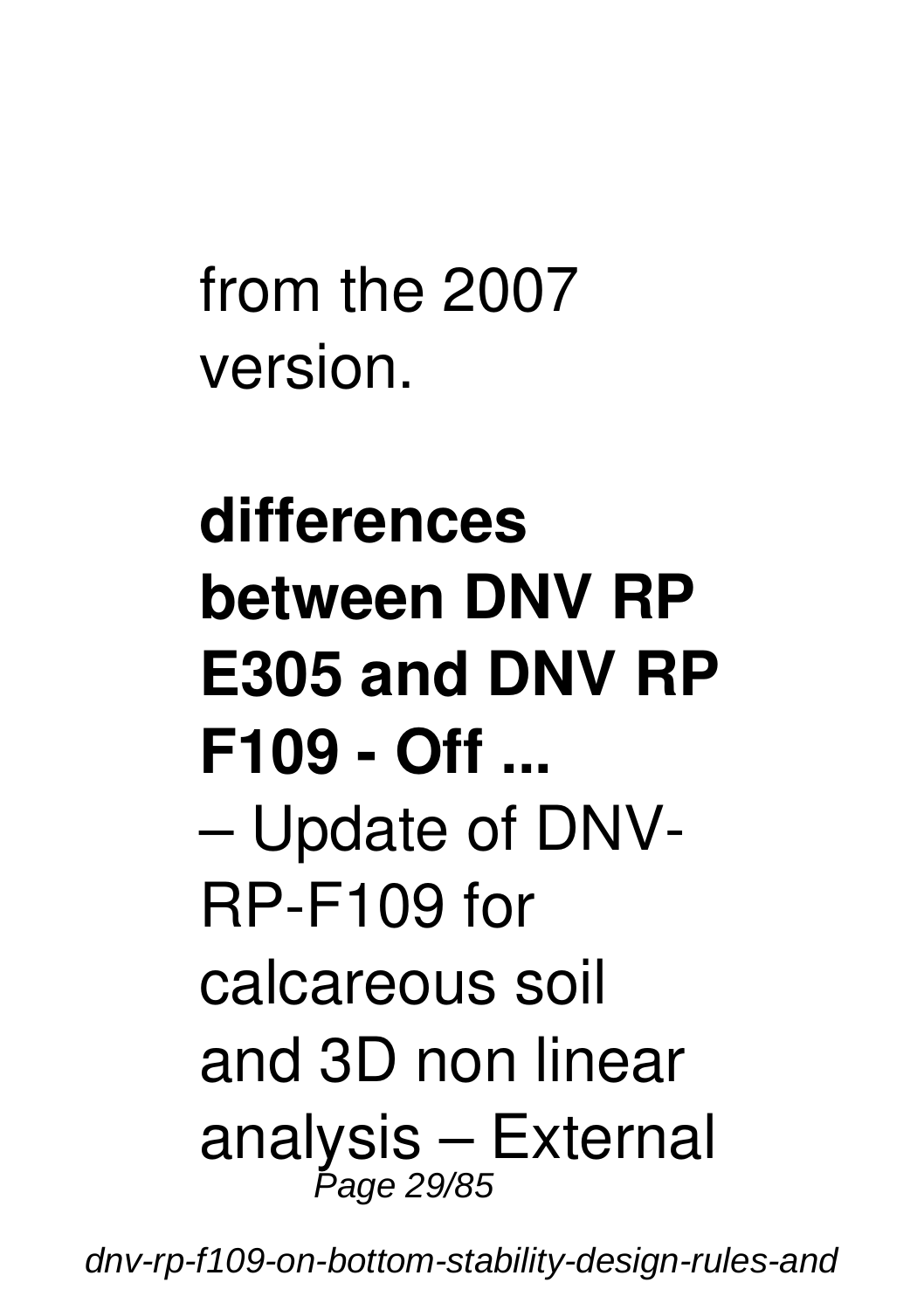from the 2007 version.

# **differences between DNV RP E305 and DNV RP F109 - Off ...** – Update of DNV-RP-F109 for calcareous soil and 3D non linear analysis – External Page 29/85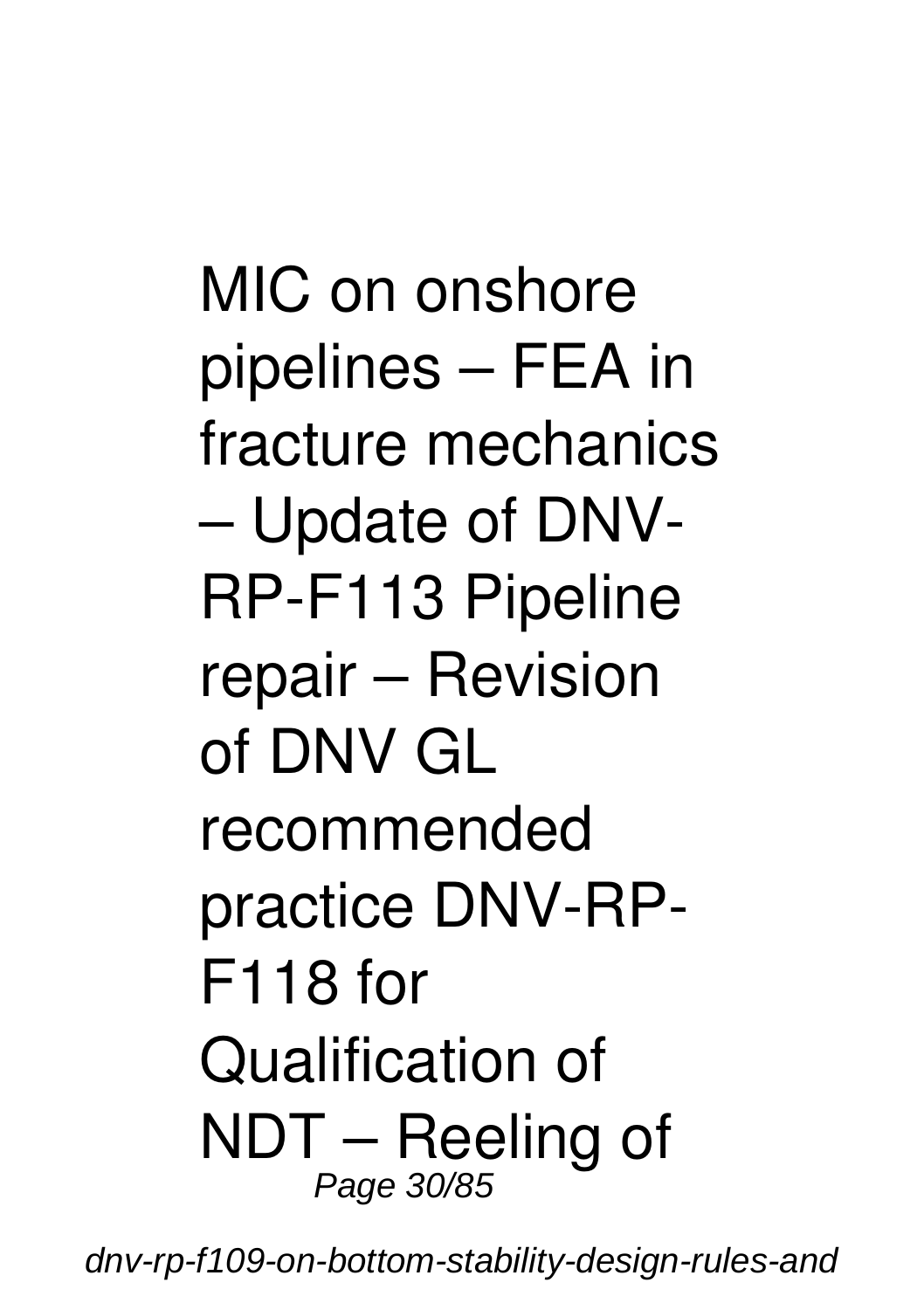MIC on onshore pipelines – FEA in fracture mechanics – Update of DNV-RP-F113 Pipeline repair – Revision of DNV GL recommended practice DNV-RP-F118 for Qualification of NDT – Reeling of Page 30/85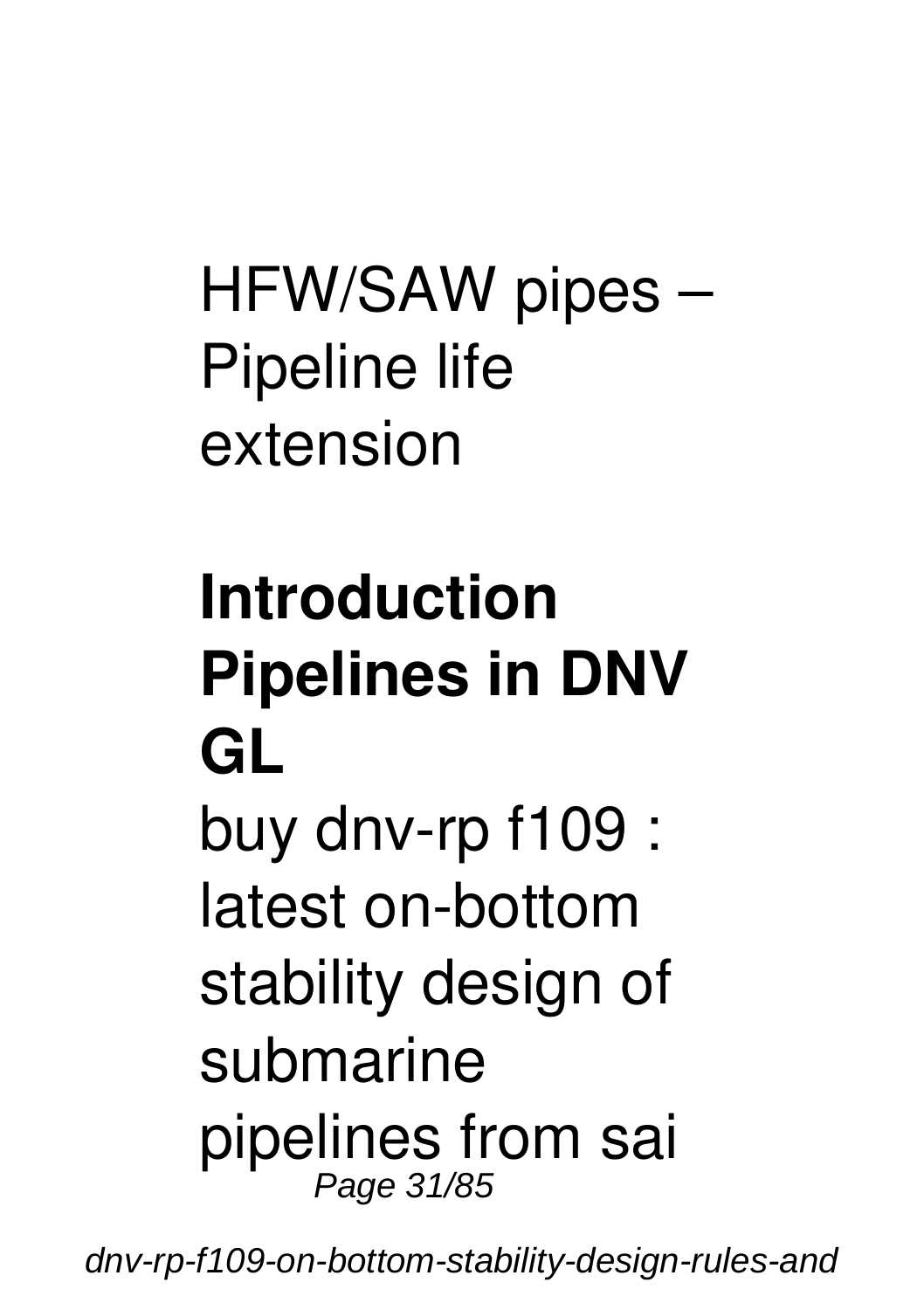# HFW/SAW pipes – Pipeline life extension

# **Introduction Pipelines in DNV GL**

buy dnv-rp f109 : latest on-bottom stability design of submarine pipelines from sai Page 31/85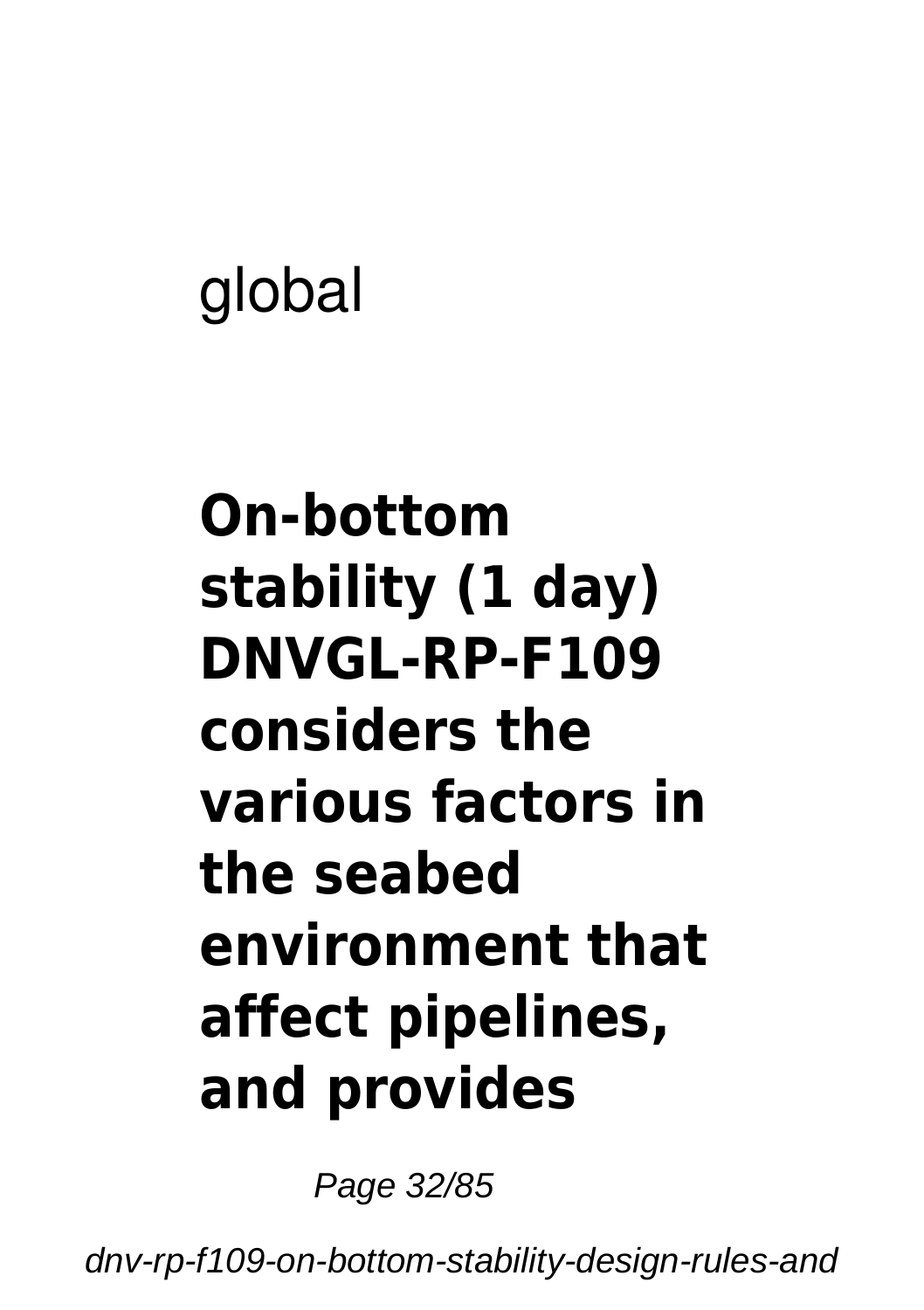# global

### **On-bottom stability (1 day) DNVGL-RP-F109 considers the various factors in the seabed environment that affect pipelines, and provides**

Page 32/85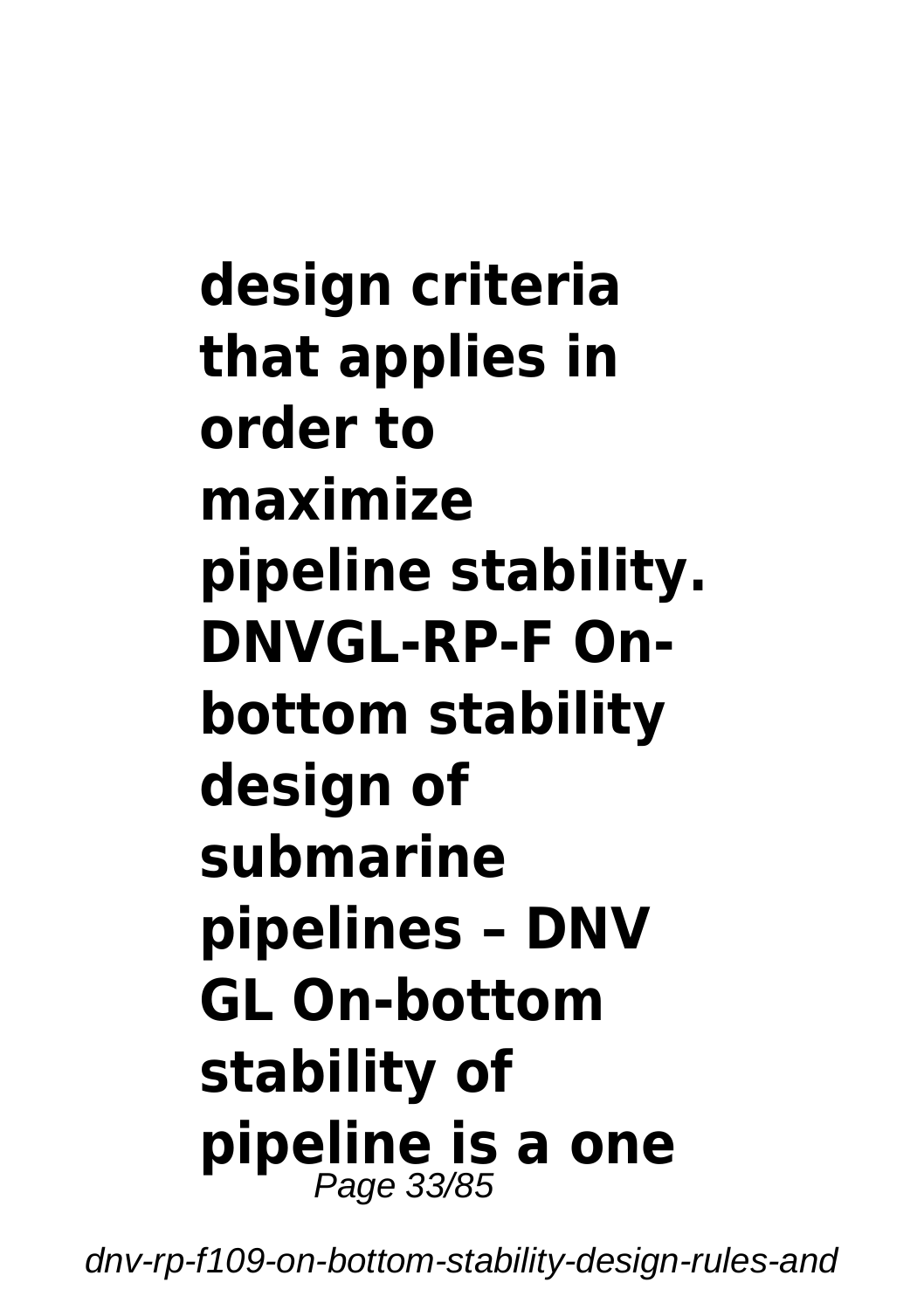**design criteria that applies in order to maximize pipeline stability. DNVGL-RP-F Onbottom stability design of submarine pipelines – DNV GL On-bottom stability of pipeline is a one** Page 33/85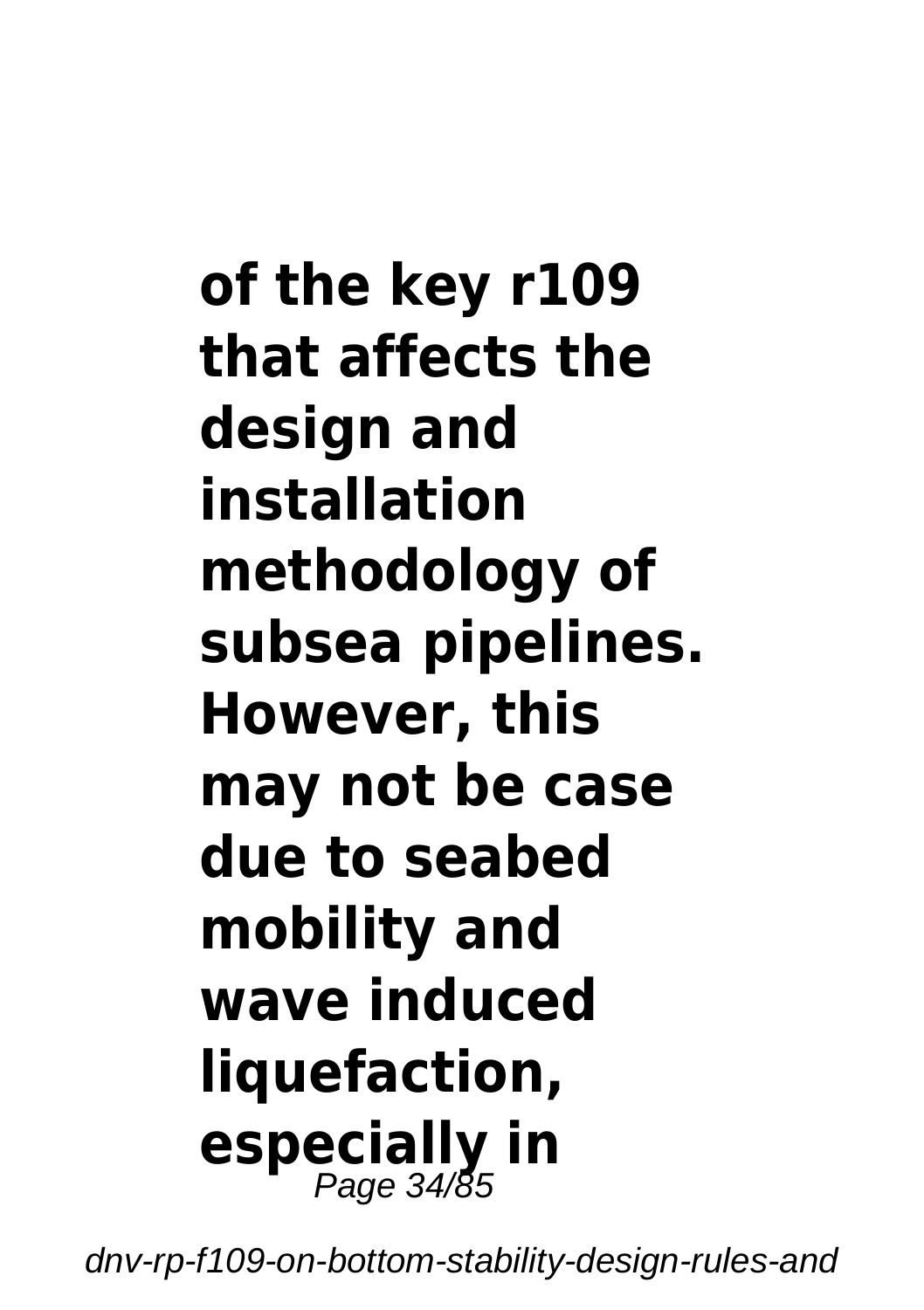**of the key r109 that affects the design and installation methodology of subsea pipelines. However, this may not be case due to seabed mobility and wave induced liquefaction, especially in** Page 34/85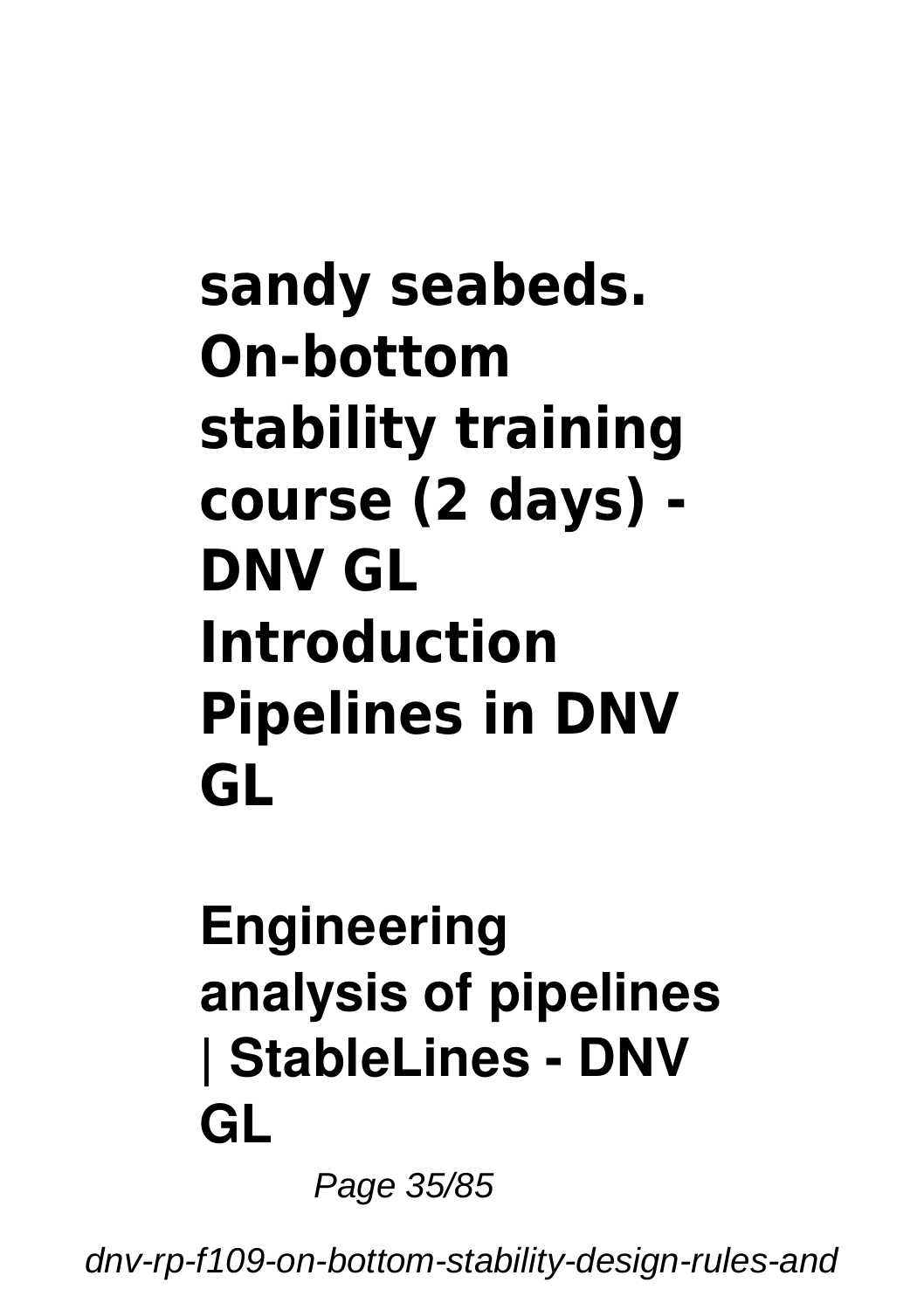#### **sandy seabeds. On-bottom stability training course (2 days) - DNV GL Introduction Pipelines in DNV GL**

#### **Engineering analysis of pipelines | StableLines - DNV GL**

Page 35/85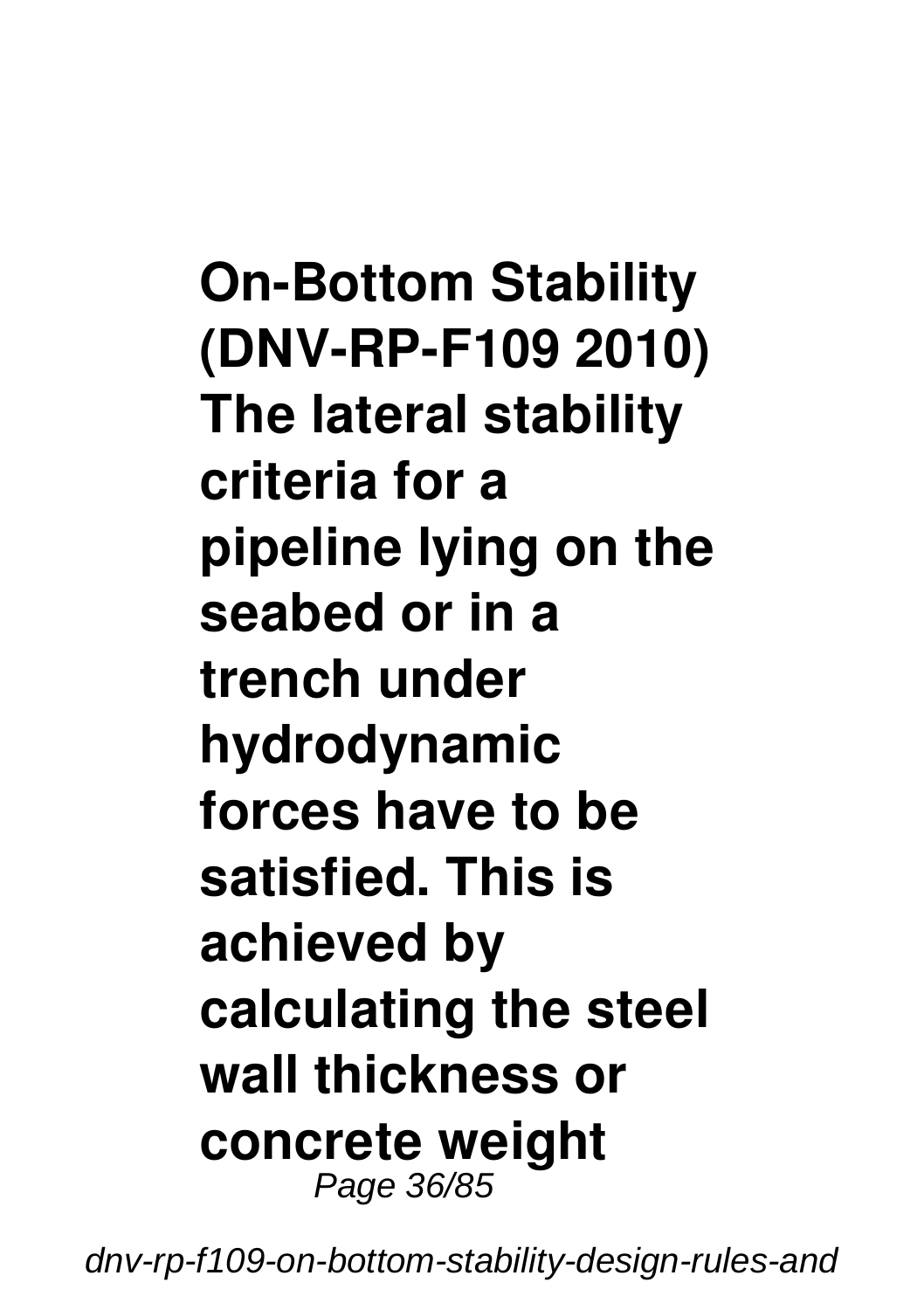**On-Bottom Stability (DNV-RP-F109 2010) The lateral stability criteria for a pipeline lying on the seabed or in a trench under hydrodynamic forces have to be satisfied. This is achieved by calculating the steel wall thickness or concrete weight** Page 36/85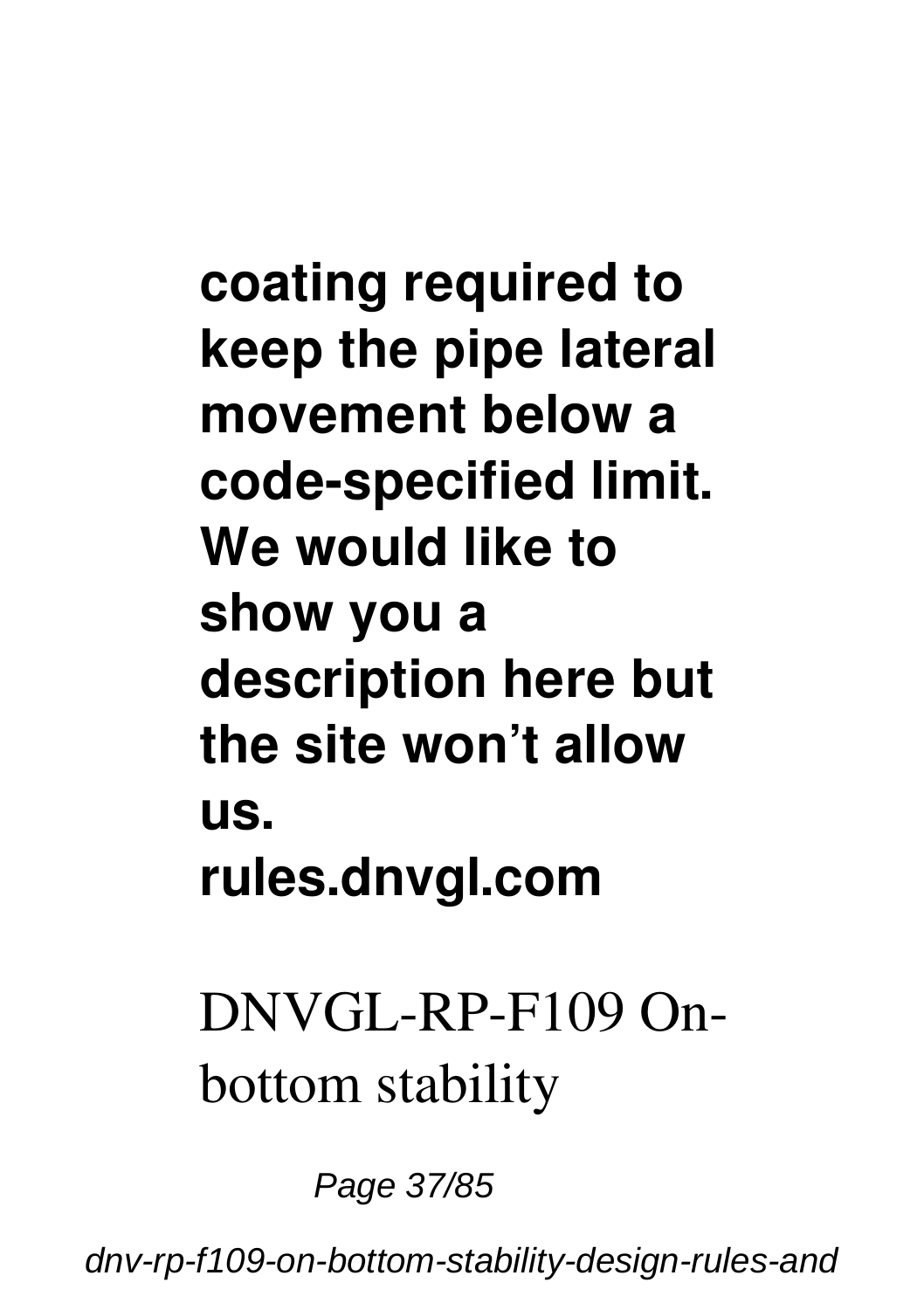**coating required to keep the pipe lateral movement below a code-specified limit. We would like to show you a description here but the site won't allow us. rules.dnvgl.com**

DNVGL-RP-F109 Onbottom stability

Page 37/85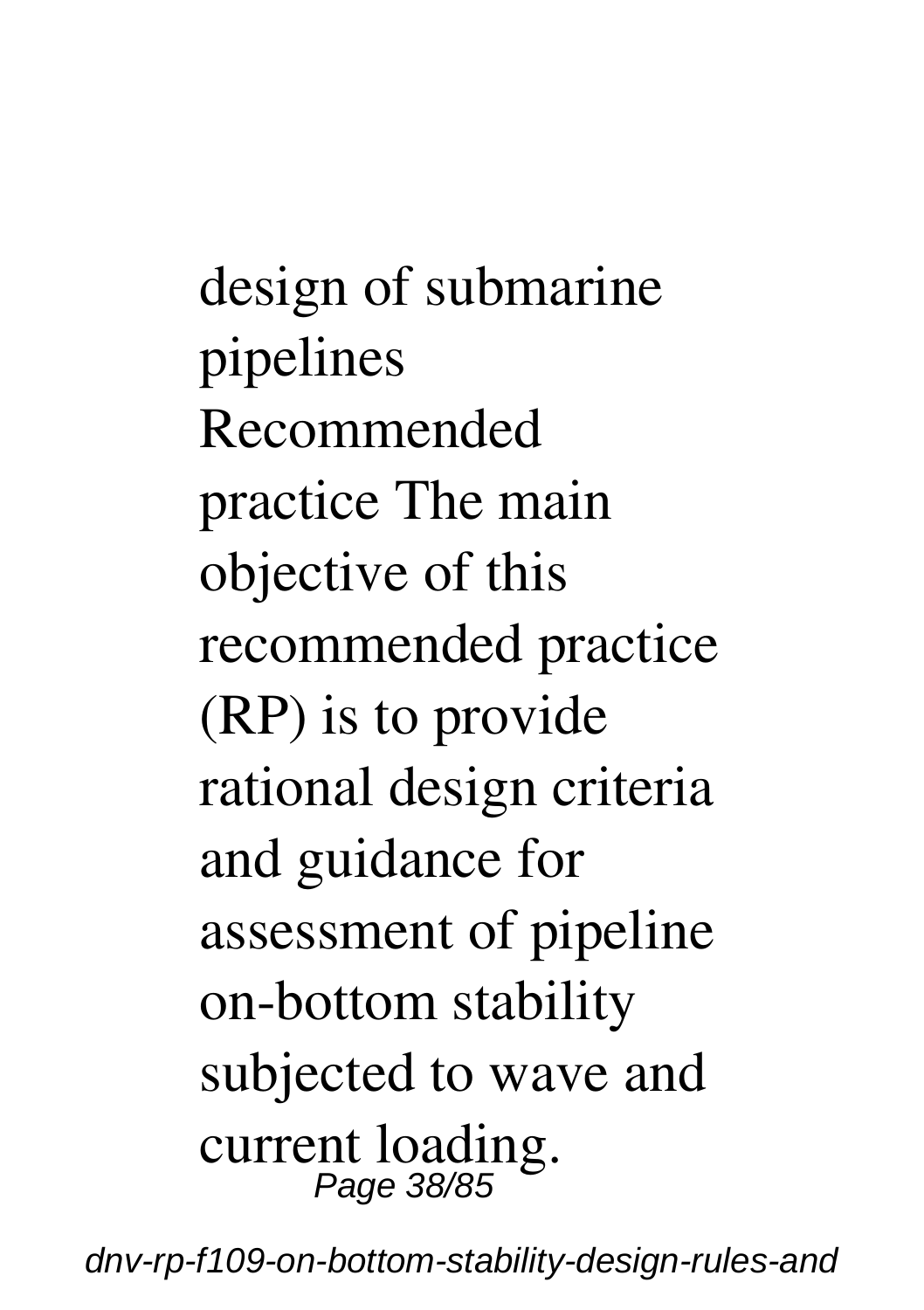design of submarine pipelines Recommended practice The main objective of this recommended practice (RP) is to provide rational design criteria and guidance for assessment of pipeline on-bottom stability subjected to wave and current loading. Page 38/85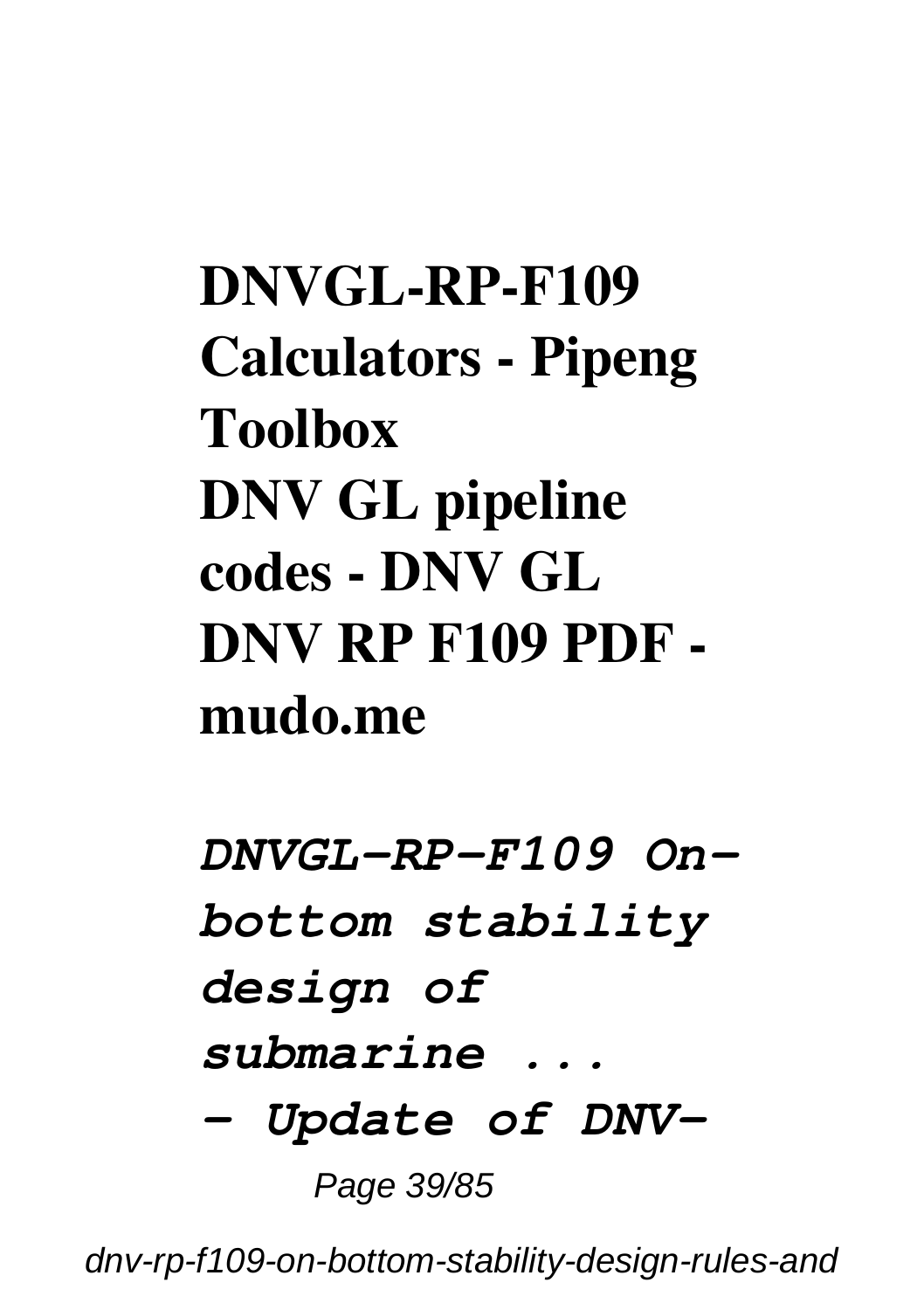**DNVGL-RP-F109 Calculators - Pipeng Toolbox DNV GL pipeline codes - DNV GL DNV RP F109 PDF mudo.me**

*DNVGL-RP-F109 Onbottom stability design of submarine ... – Update of DNV-*Page 39/85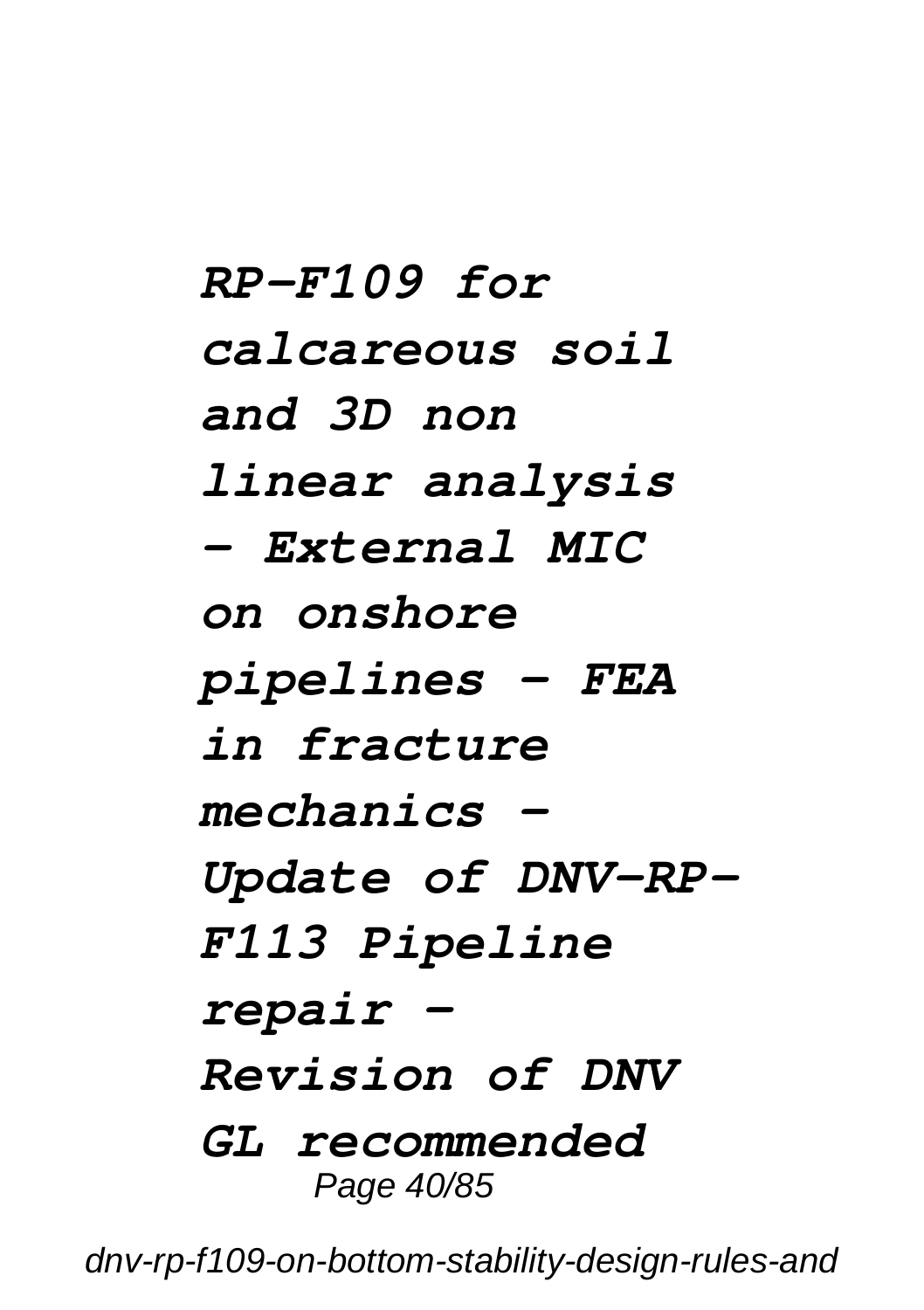*RP-F109 for calcareous soil and 3D non linear analysis – External MIC on onshore pipelines – FEA in fracture mechanics – Update of DNV-RP-F113 Pipeline repair – Revision of DNV GL recommended* Page 40/85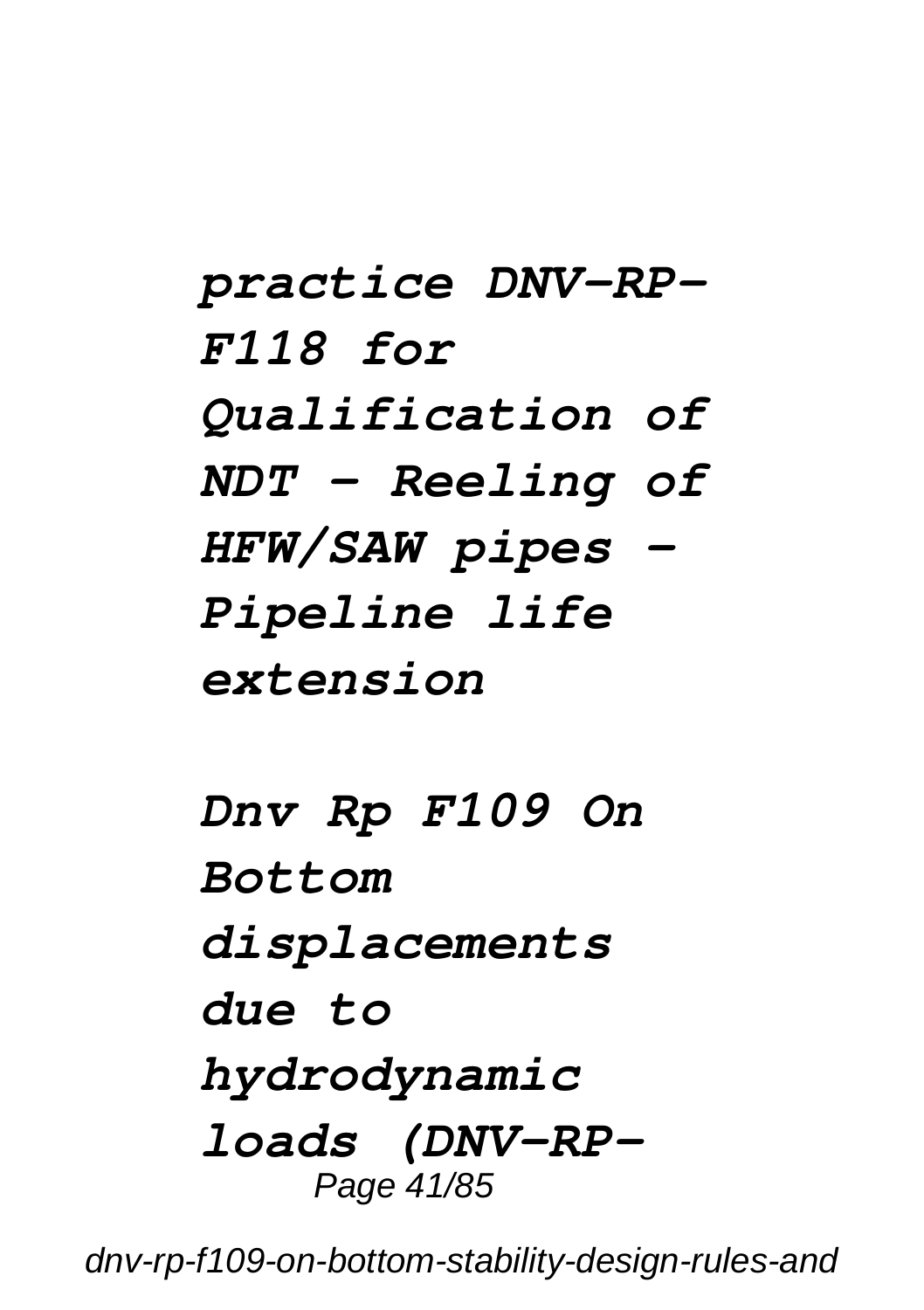*practice DNV-RP-F118 for Qualification of NDT – Reeling of HFW/SAW pipes – Pipeline life extension*

*Dnv Rp F109 On Bottom displacements due to hydrodynamic loads (DNV-RP-*Page 41/85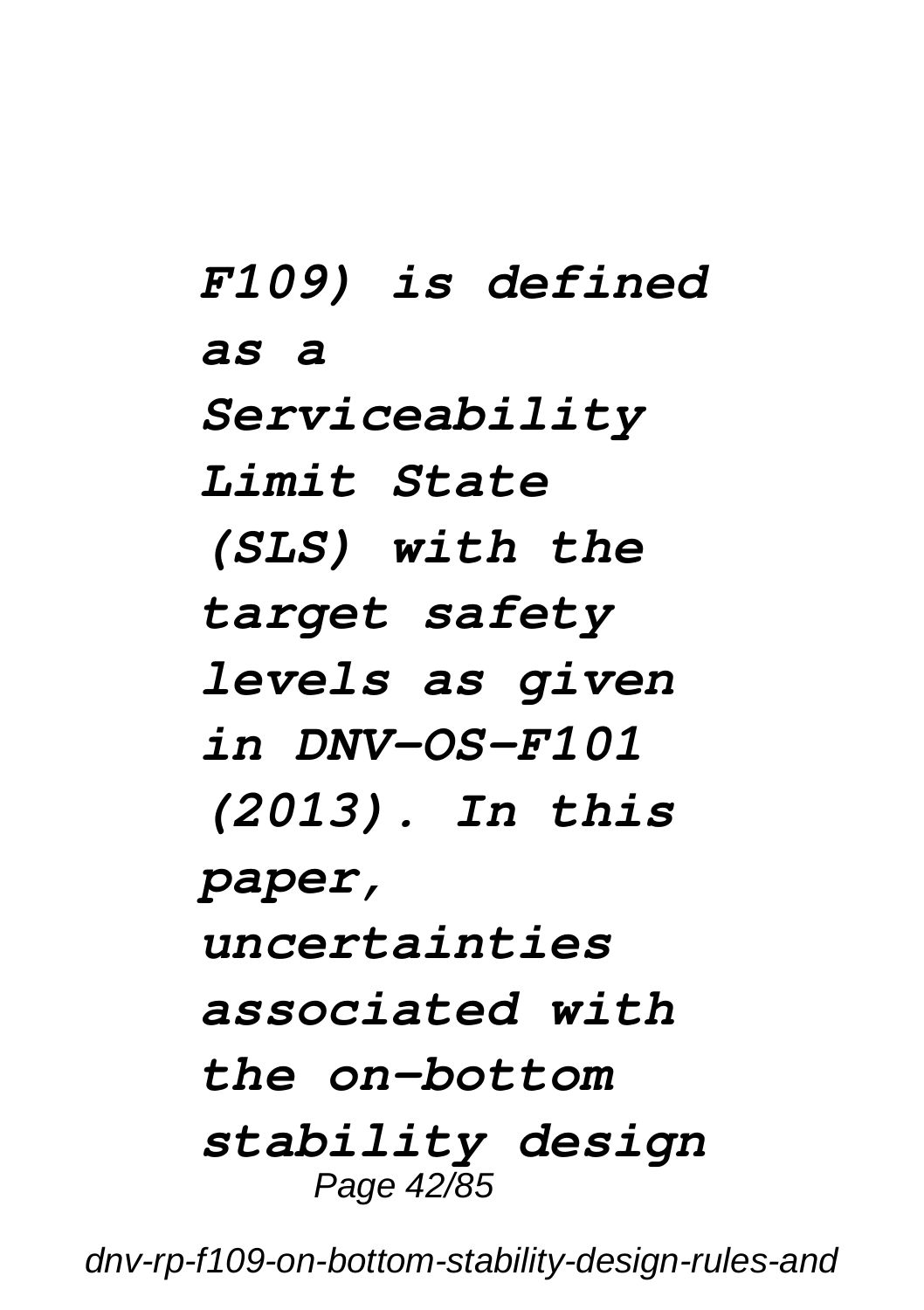*F109) is defined as a Serviceability Limit State (SLS) with the target safety levels as given in DNV-OS-F101 (2013). In this paper, uncertainties associated with the on-bottom stability design* Page 42/85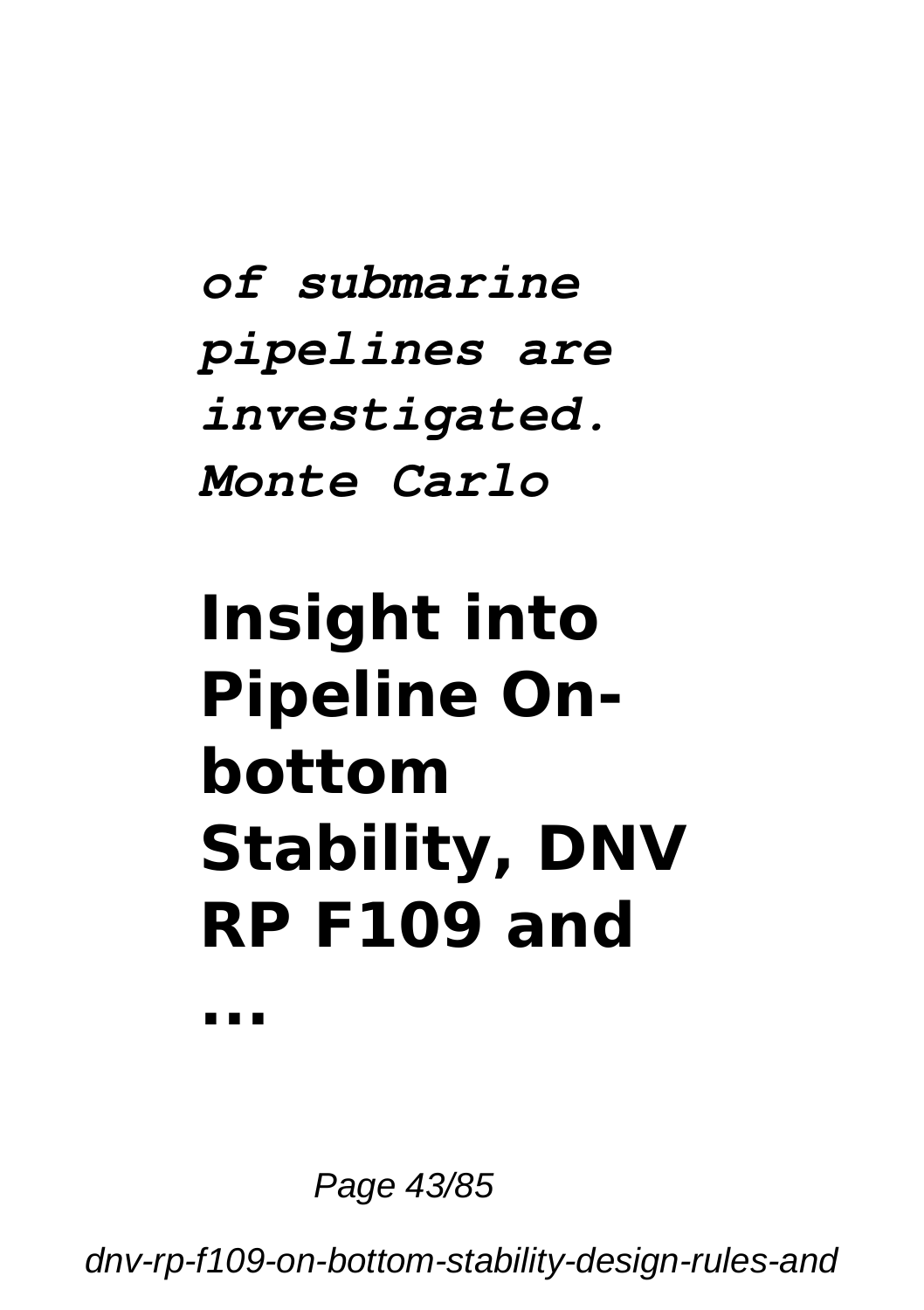#### *of submarine pipelines are investigated. Monte Carlo*

# **Insight into Pipeline Onbottom Stability, DNV RP F109 and**

**...**

Page 43/85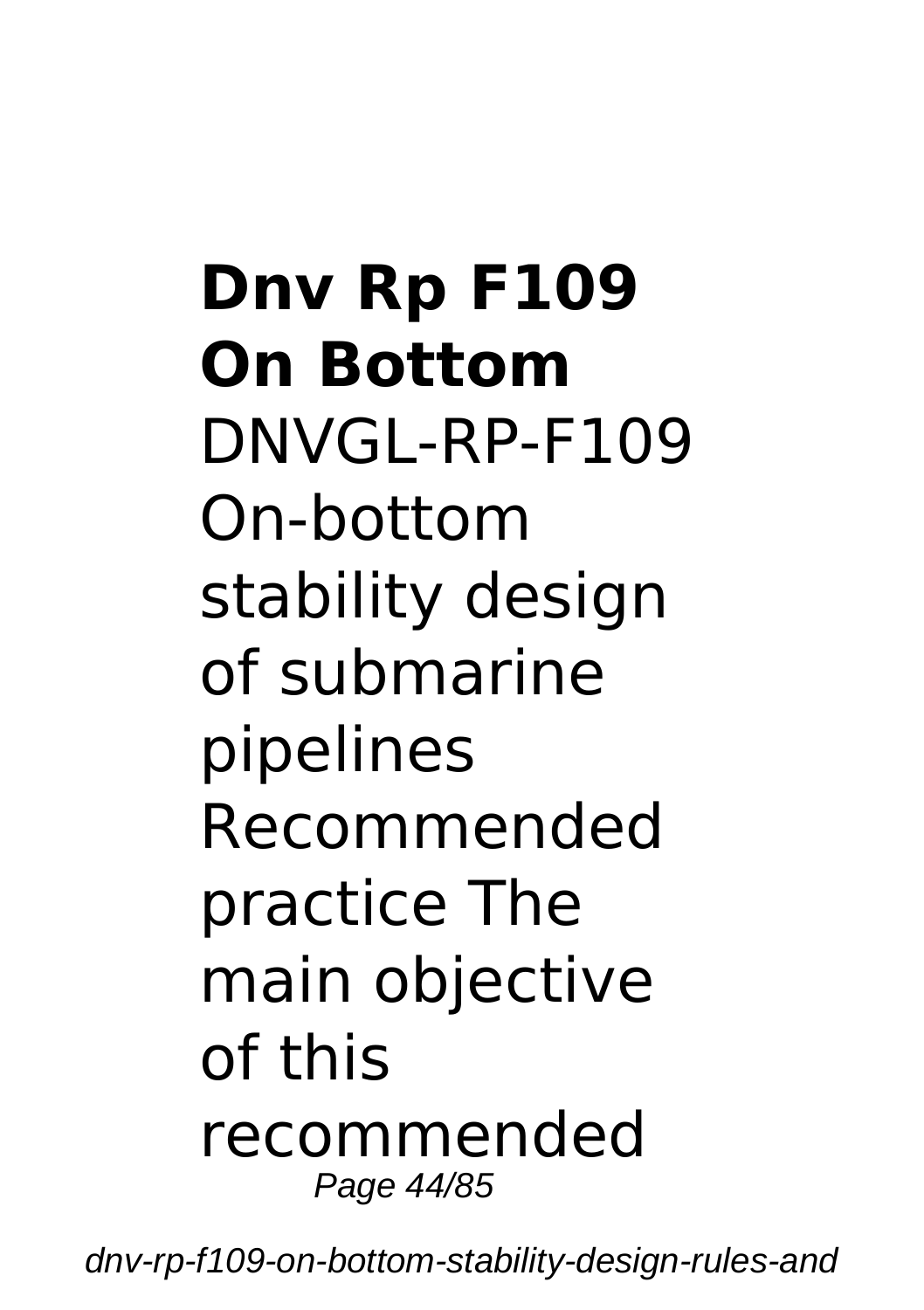**Dnv Rp F109 On Bottom** DNVGL-RP-F109 On-bottom stability design of submarine pipelines Recommended practice The main objective of this recommended Page 44/85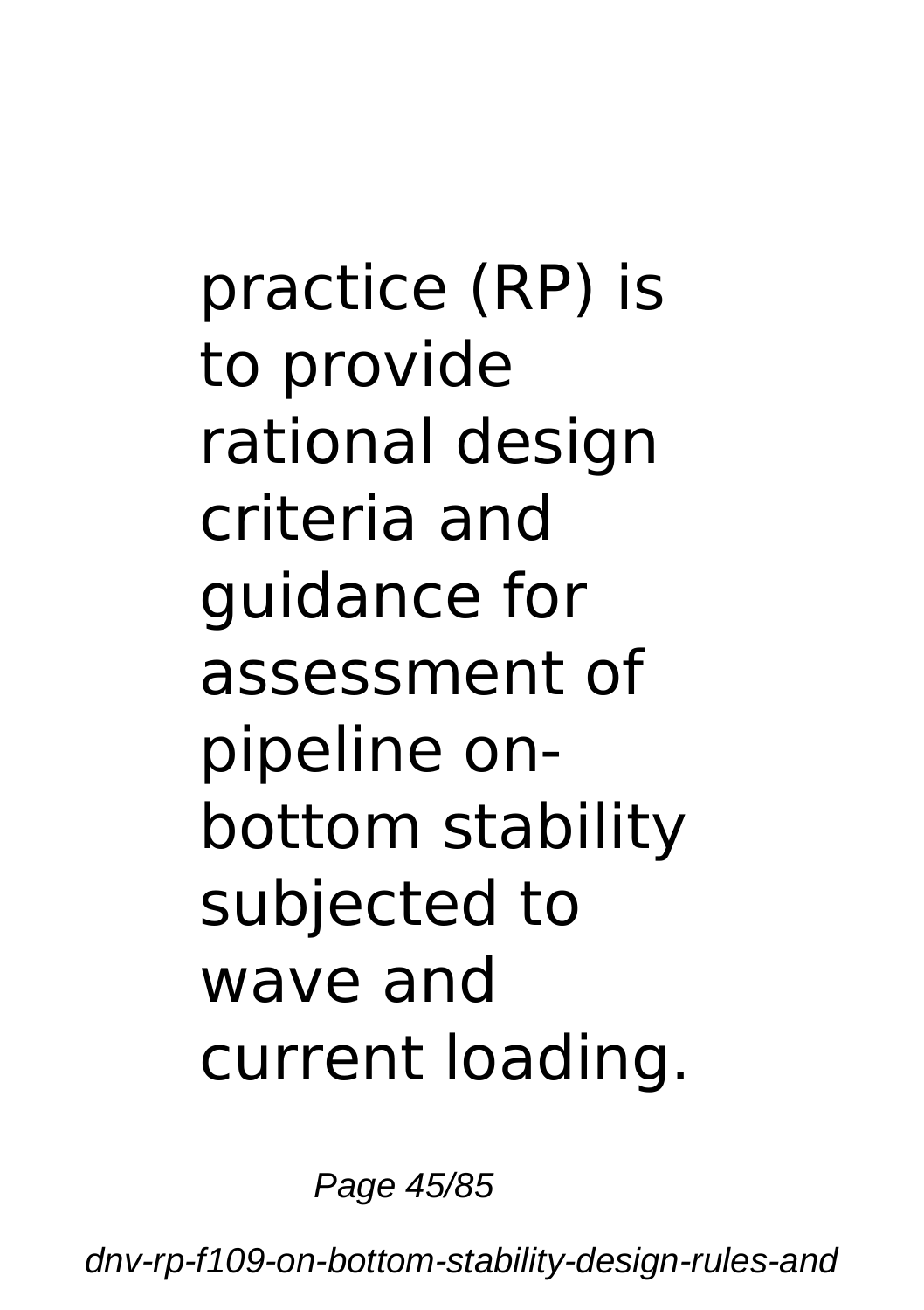practice (RP) is to provide rational design criteria and guidance for assessment of pipeline onbottom stability subjected to wave and current loading.

Page 45/85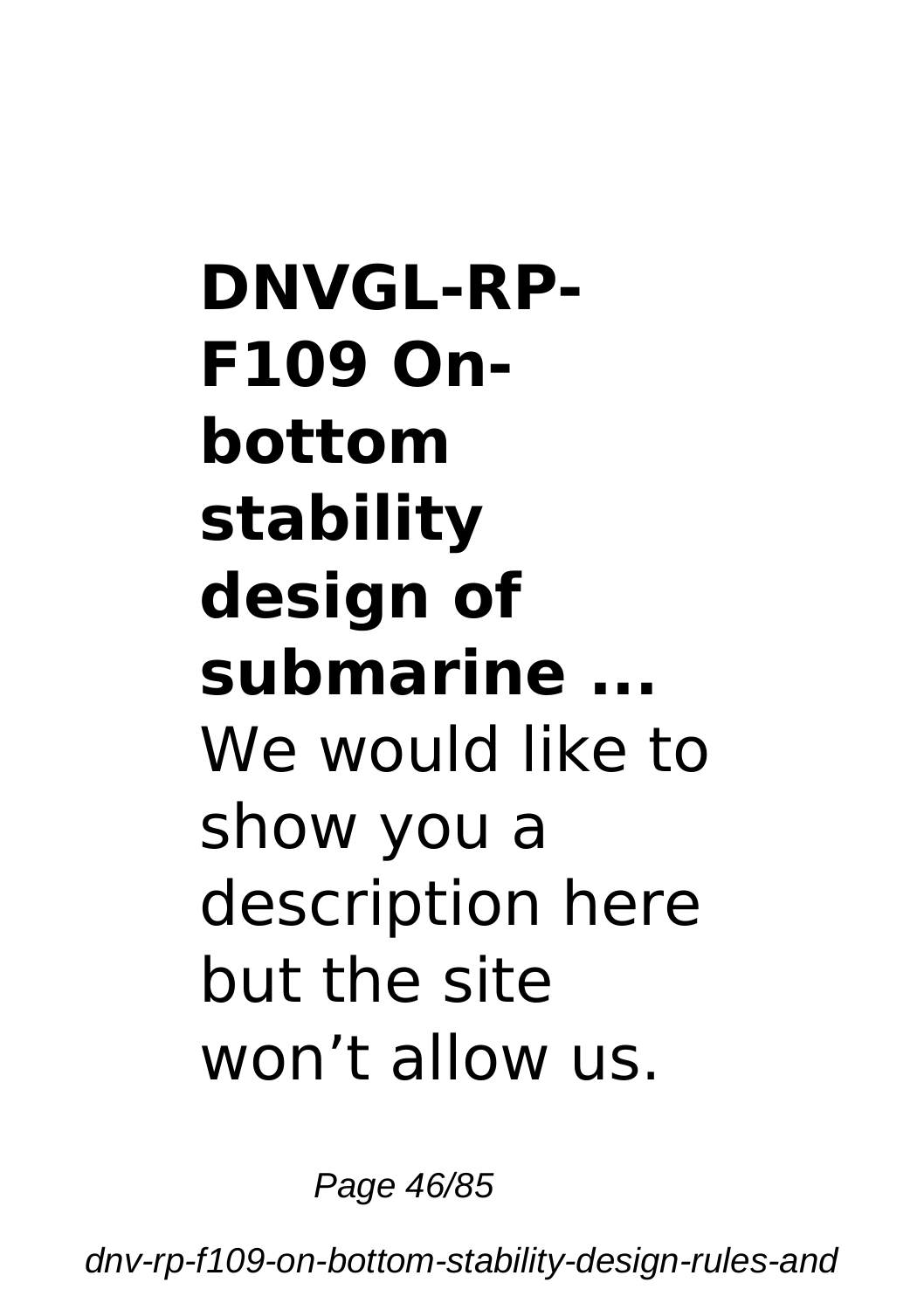# **DNVGL-RP-F109 Onbottom stability design of submarine ...** We would like to show you a description here but the site won't allow us.

Page 46/85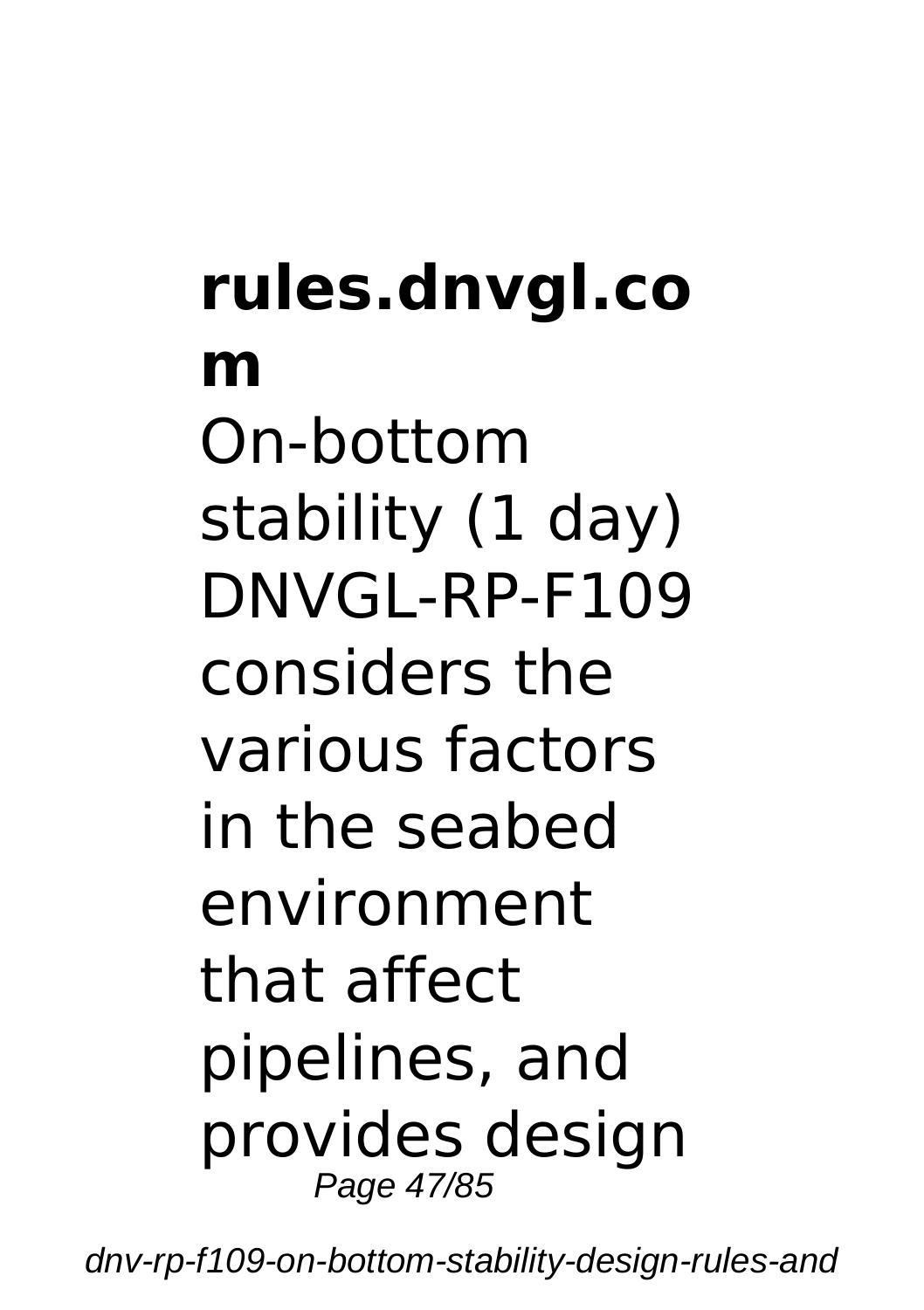## **rules.dnvgl.co m** On-bottom stability (1 day) DNVGL-RP-F109 considers the various factors in the seabed environment that affect pipelines, and provides design Page 47/85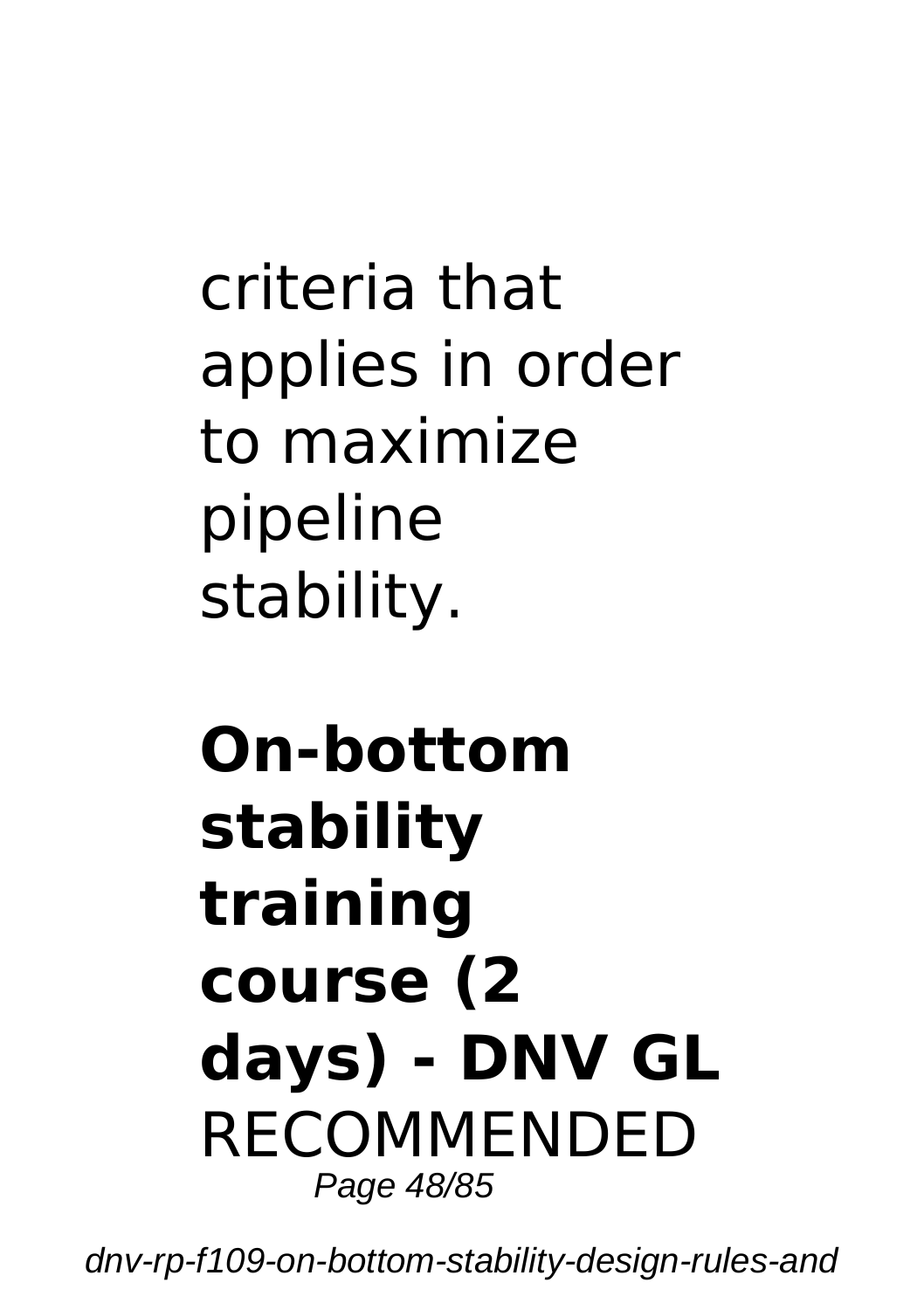criteria that applies in order to maximize pipeline stability.

#### **On-bottom stability training course (2 days) - DNV GL** RECOMMENDED Page 48/85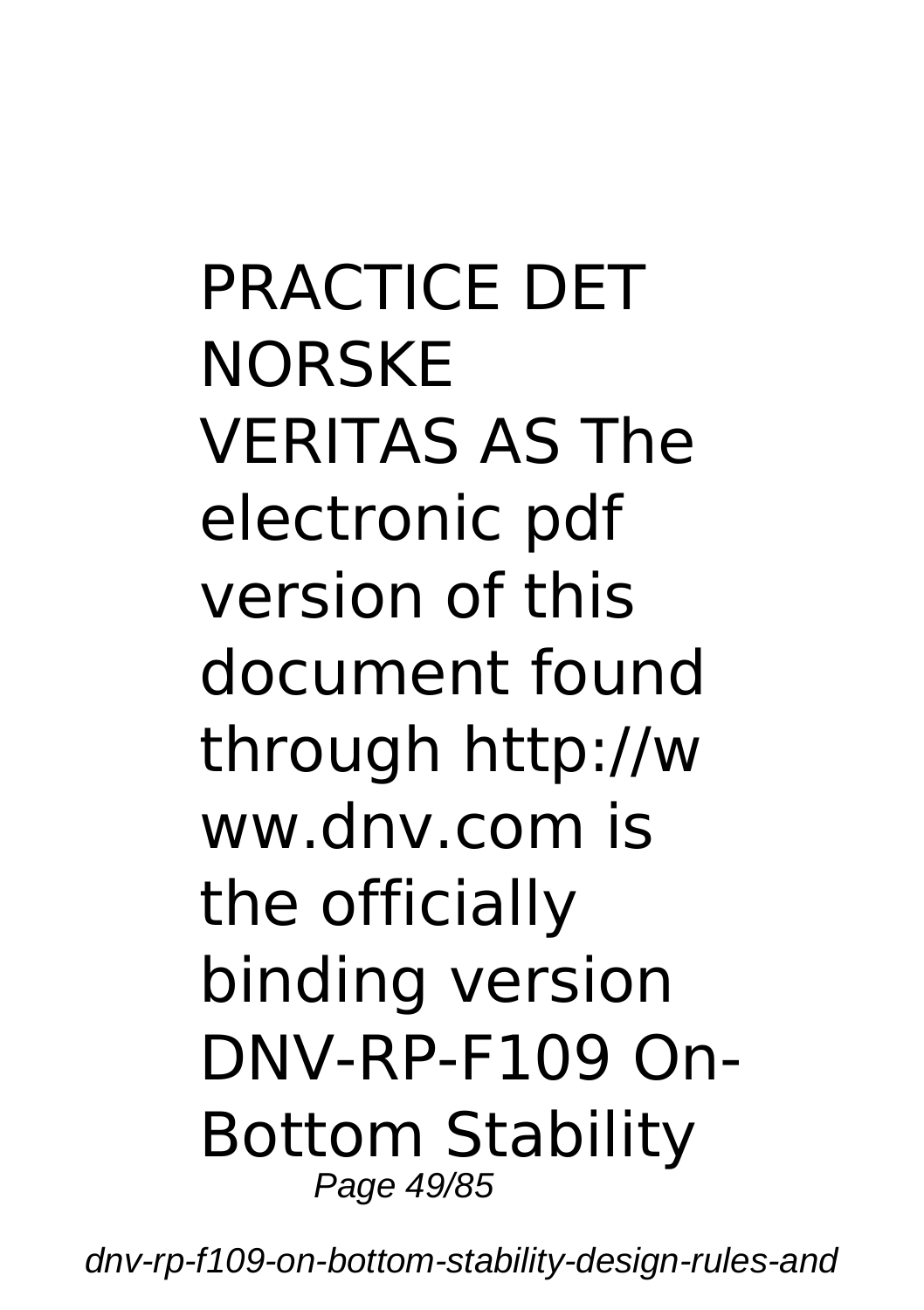PRACTICE DET **NORSKE** VERITAS AS The electronic pdf version of this document found through http://w ww.dnv.com is the officially binding version DNV-RP-F109 On-Bottom Stability Page 49/85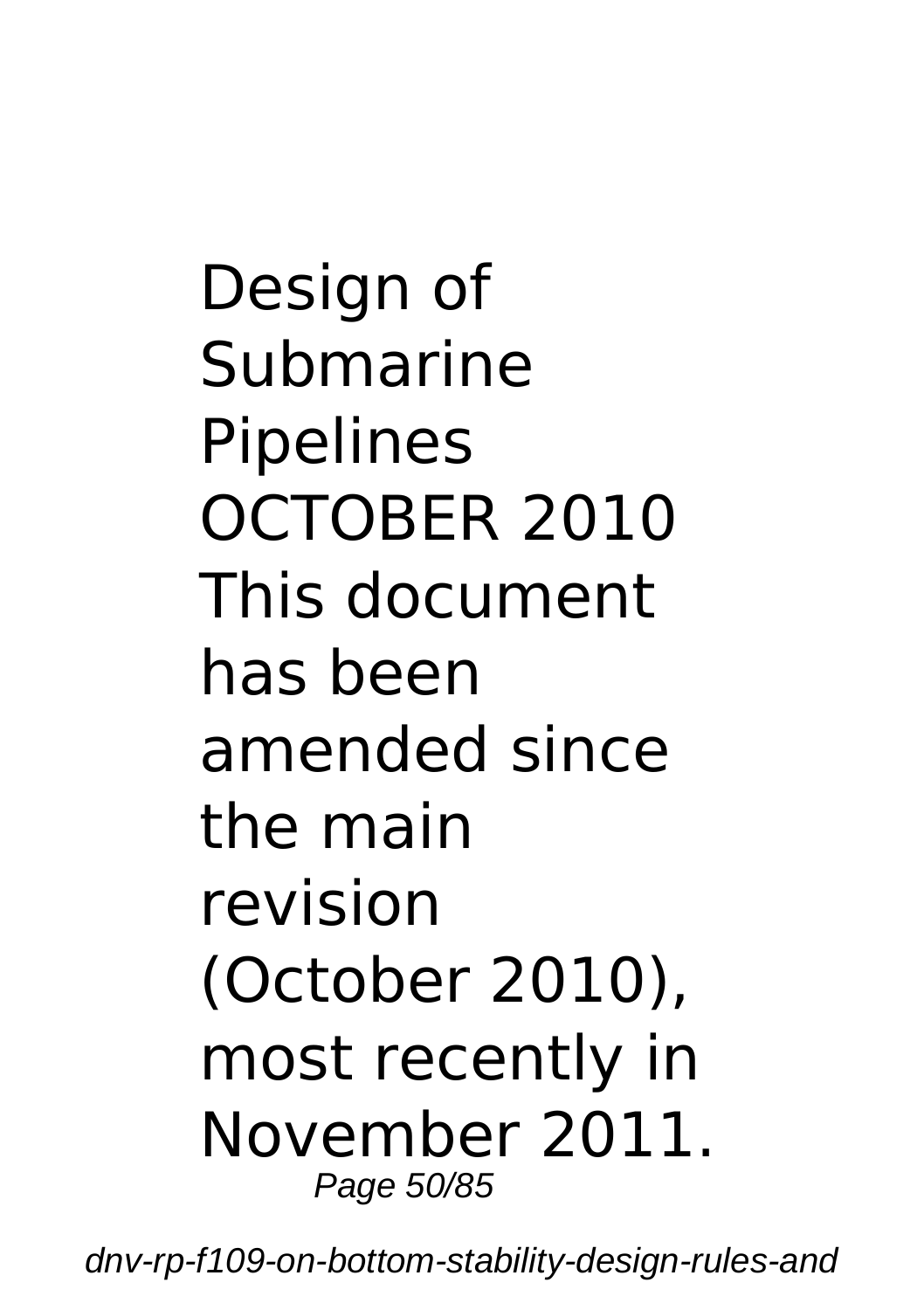Design of Submarine Pipelines OCTOBER 2010 This document has been amended since the main revision (October 2010), most recently in November 2011. Page 50/85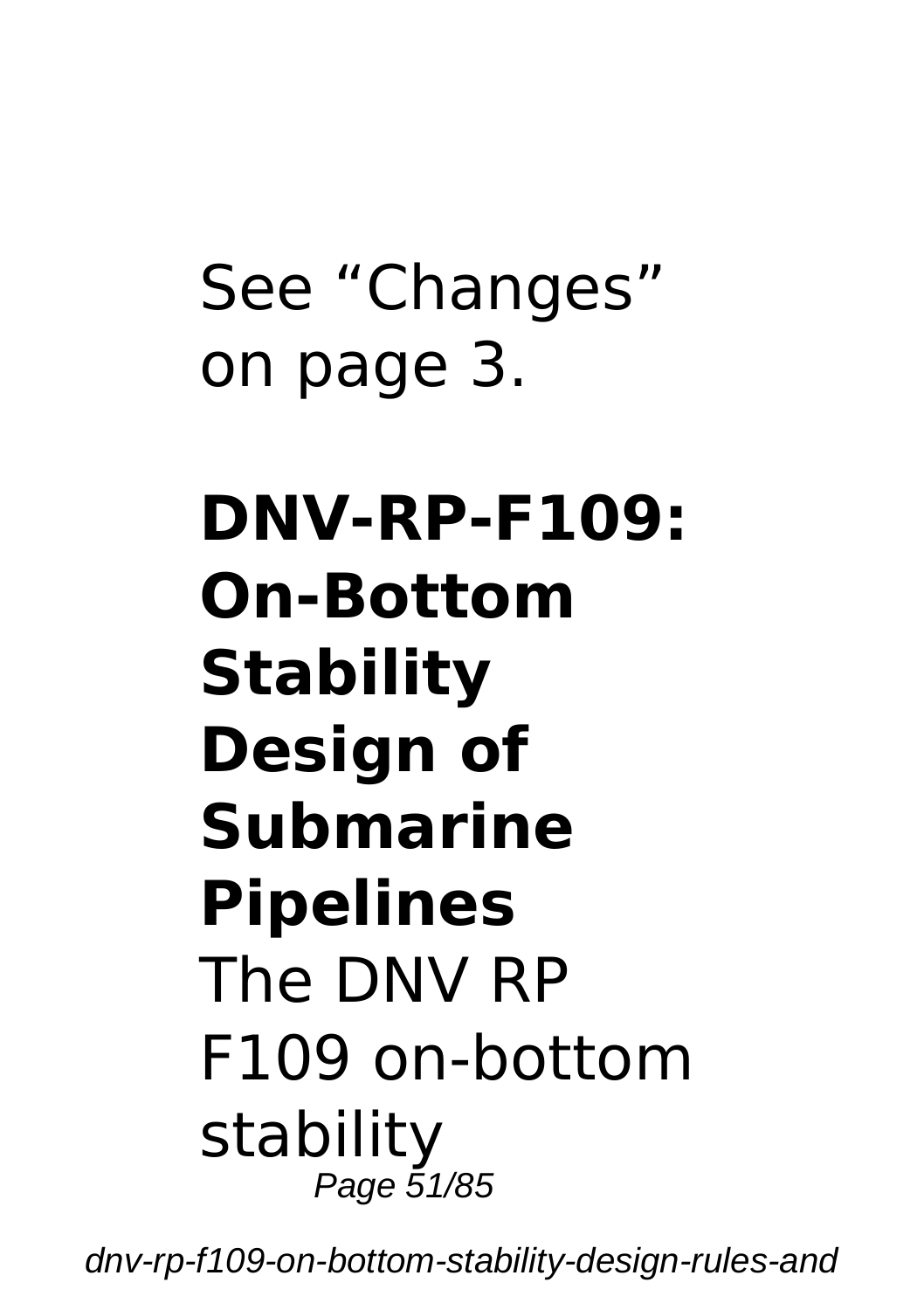# See "Changes" on page 3.

#### **DNV-RP-F109: On-Bottom Stability Design of Submarine Pipelines** The DNV RP F109 on-bottom stability Page 51/85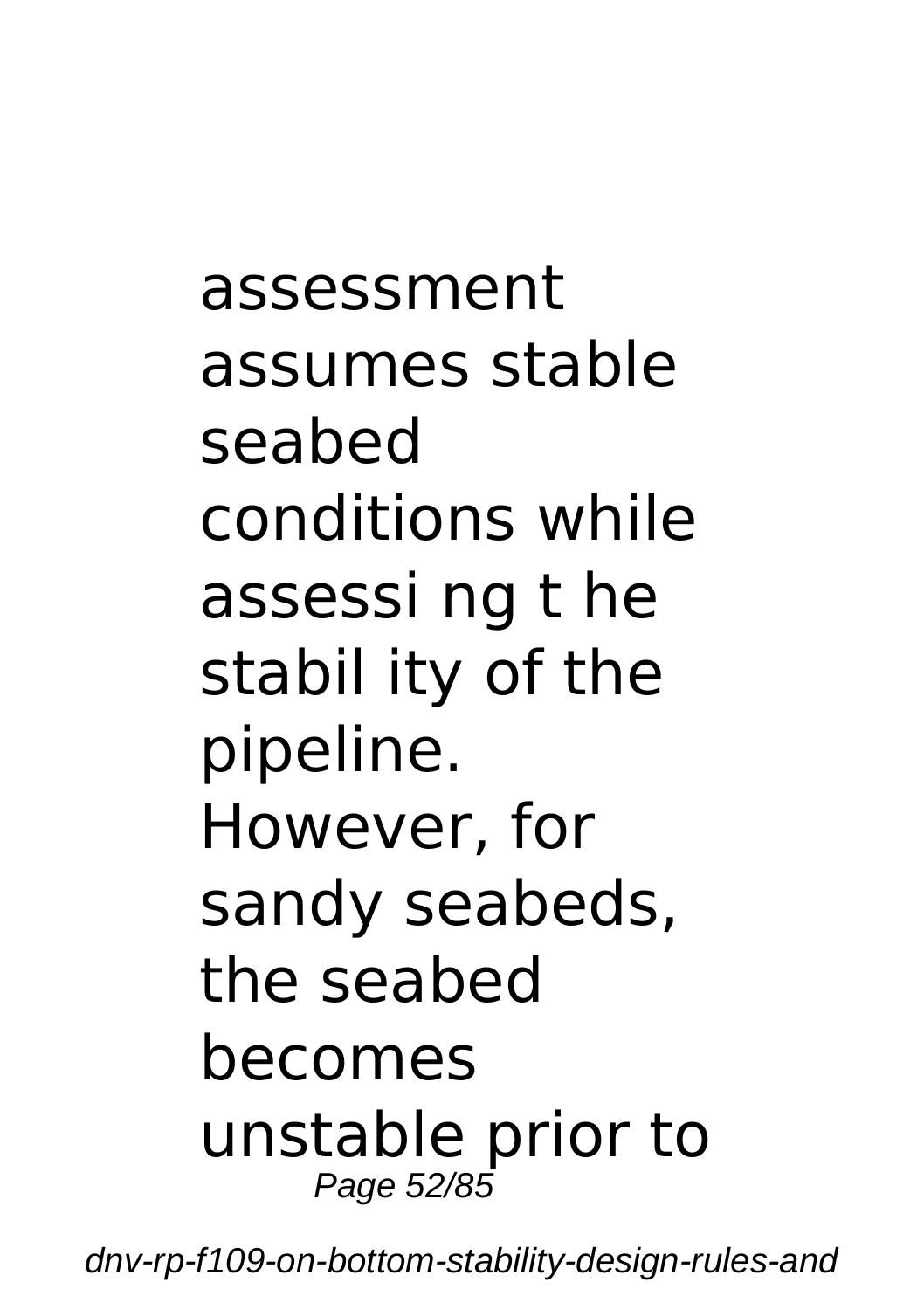assessment assumes stable seabed conditions while assessi ng t he stabil ity of the pipeline. However, for sandy seabeds, the seabed becomes unstable prior to Page 52/85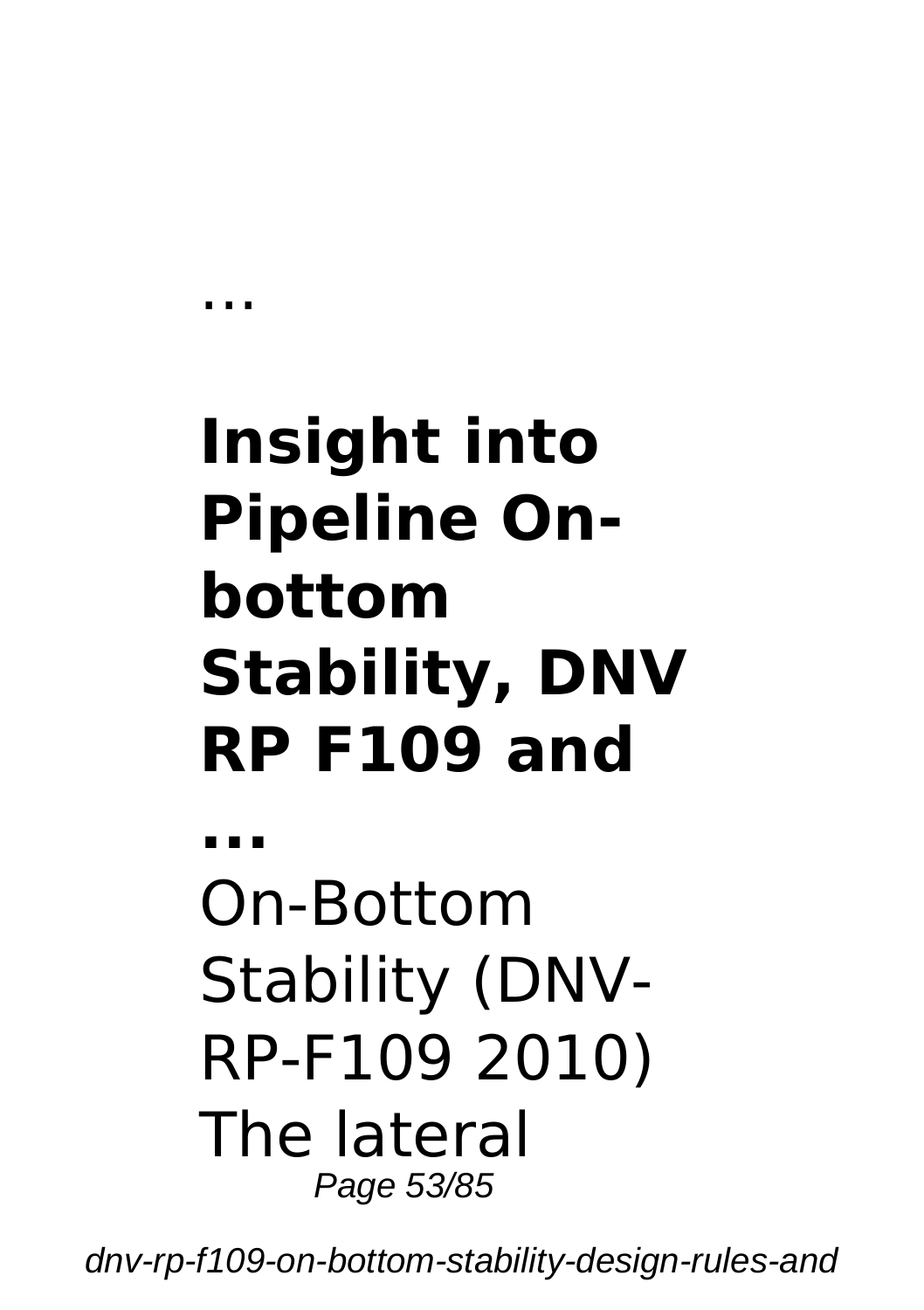# **Insight into Pipeline Onbottom Stability, DNV RP F109 and**

...

**...** On-Bottom Stability (DNV-RP-F109 2010) The lateral Page 53/85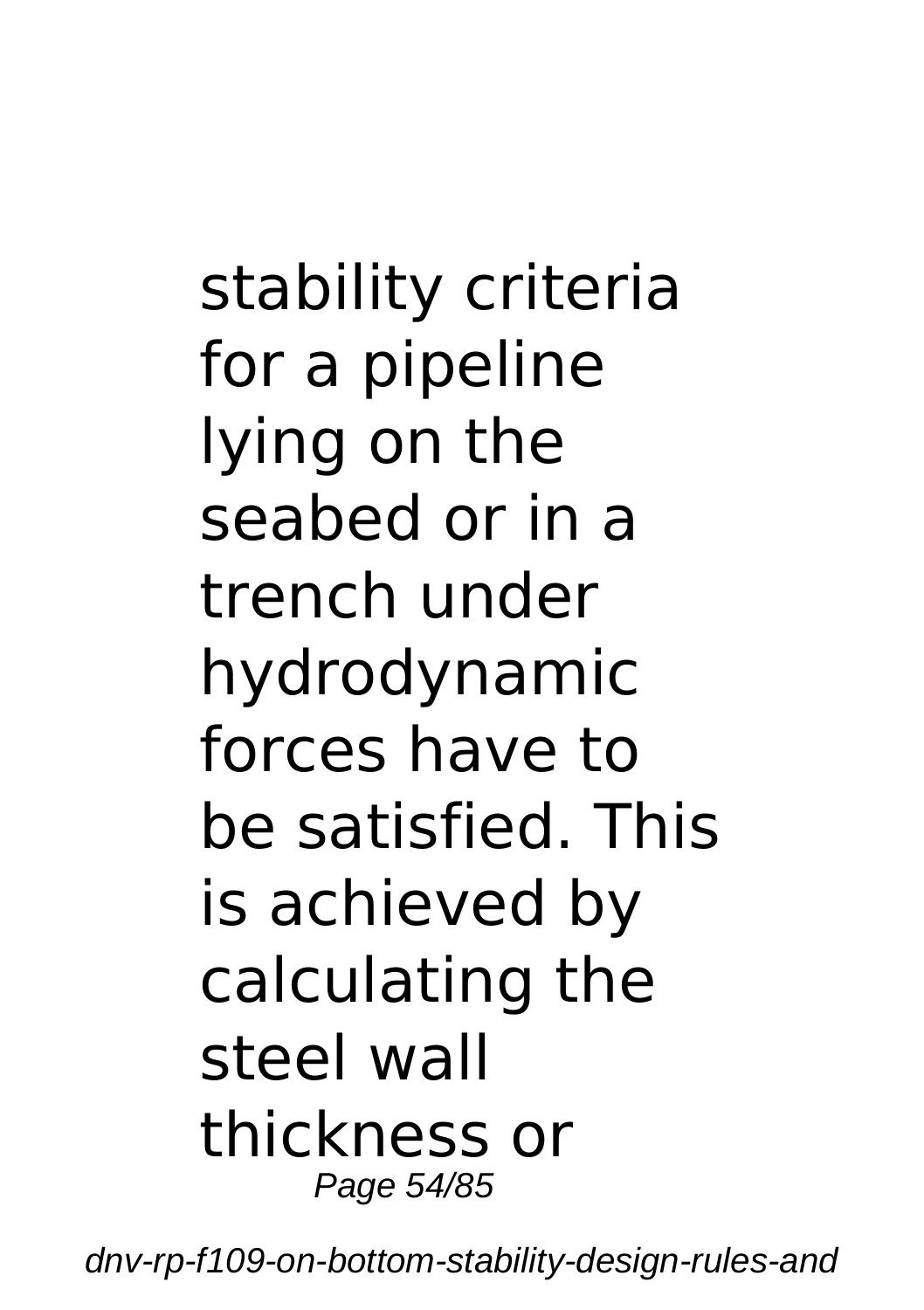stability criteria for a pipeline lying on the seabed or in a trench under hydrodynamic forces have to be satisfied. This is achieved by calculating the steel wall thickness or Page 54/85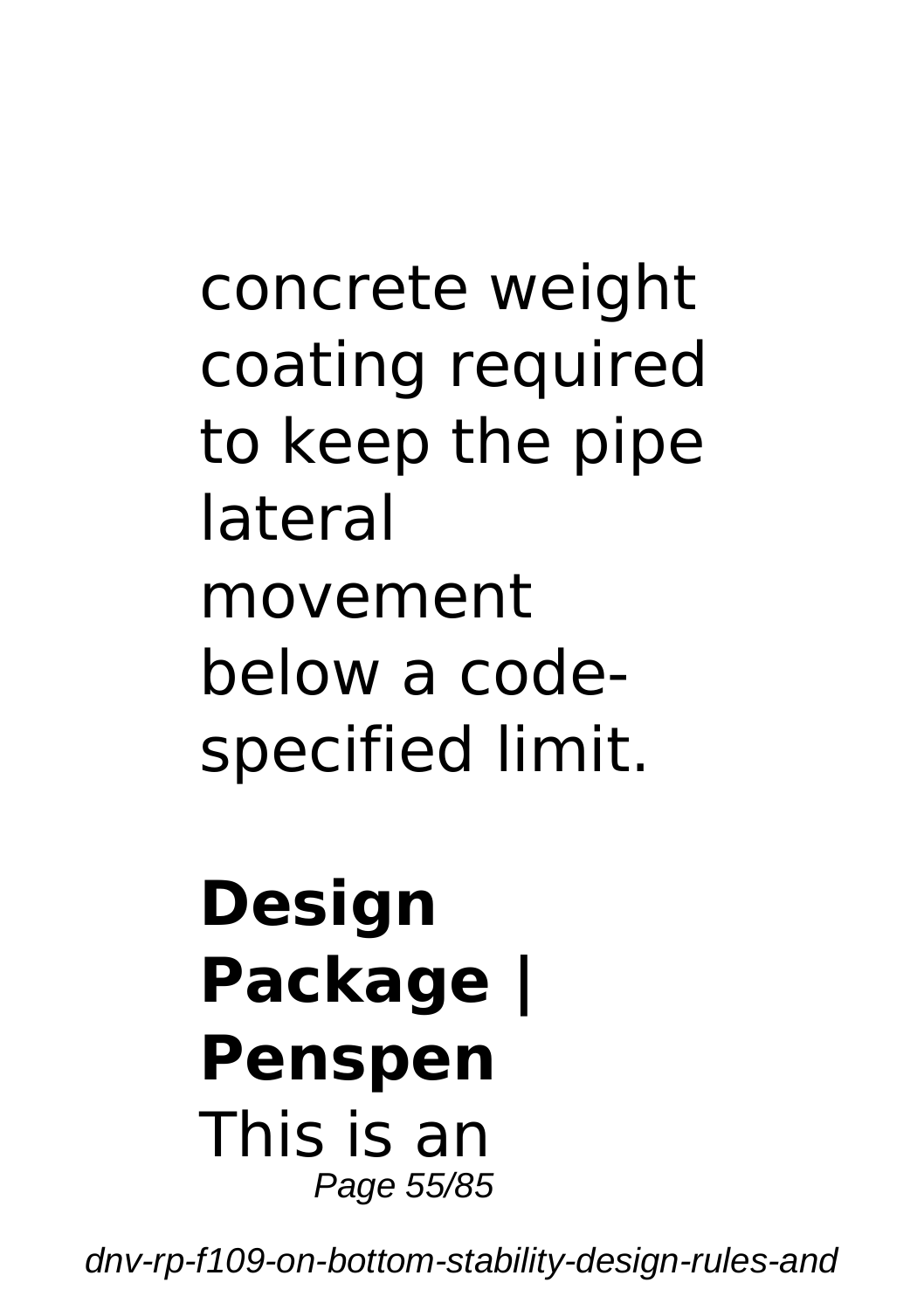concrete weight coating required to keep the pipe lateral movement below a codespecified limit.

#### **Design Package | Penspen** This is an Page 55/85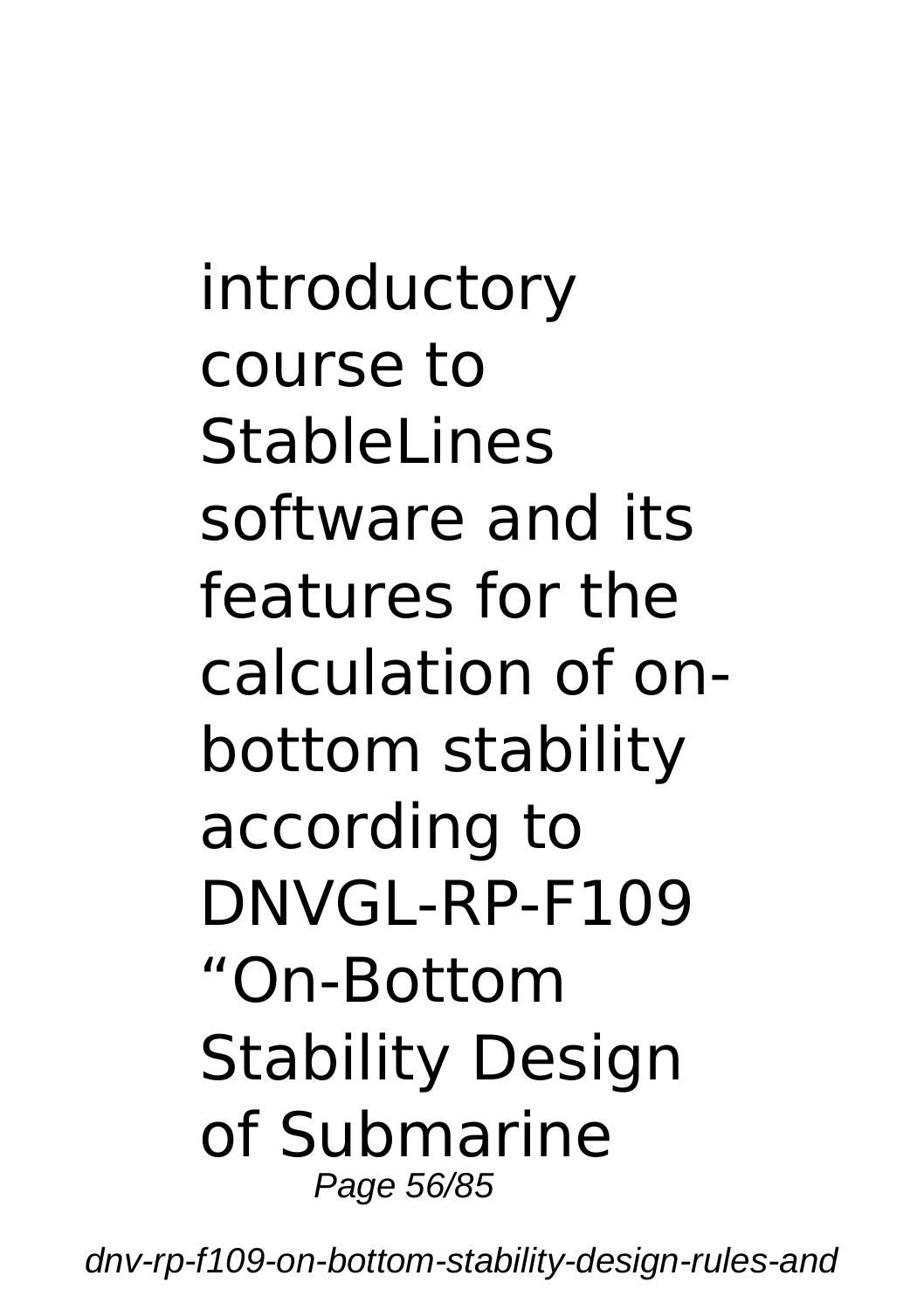introductory course to StableLines software and its features for the calculation of onbottom stability according to DNVGL-RP-F109 "On-Bottom Stability Design of Submarine Page 56/85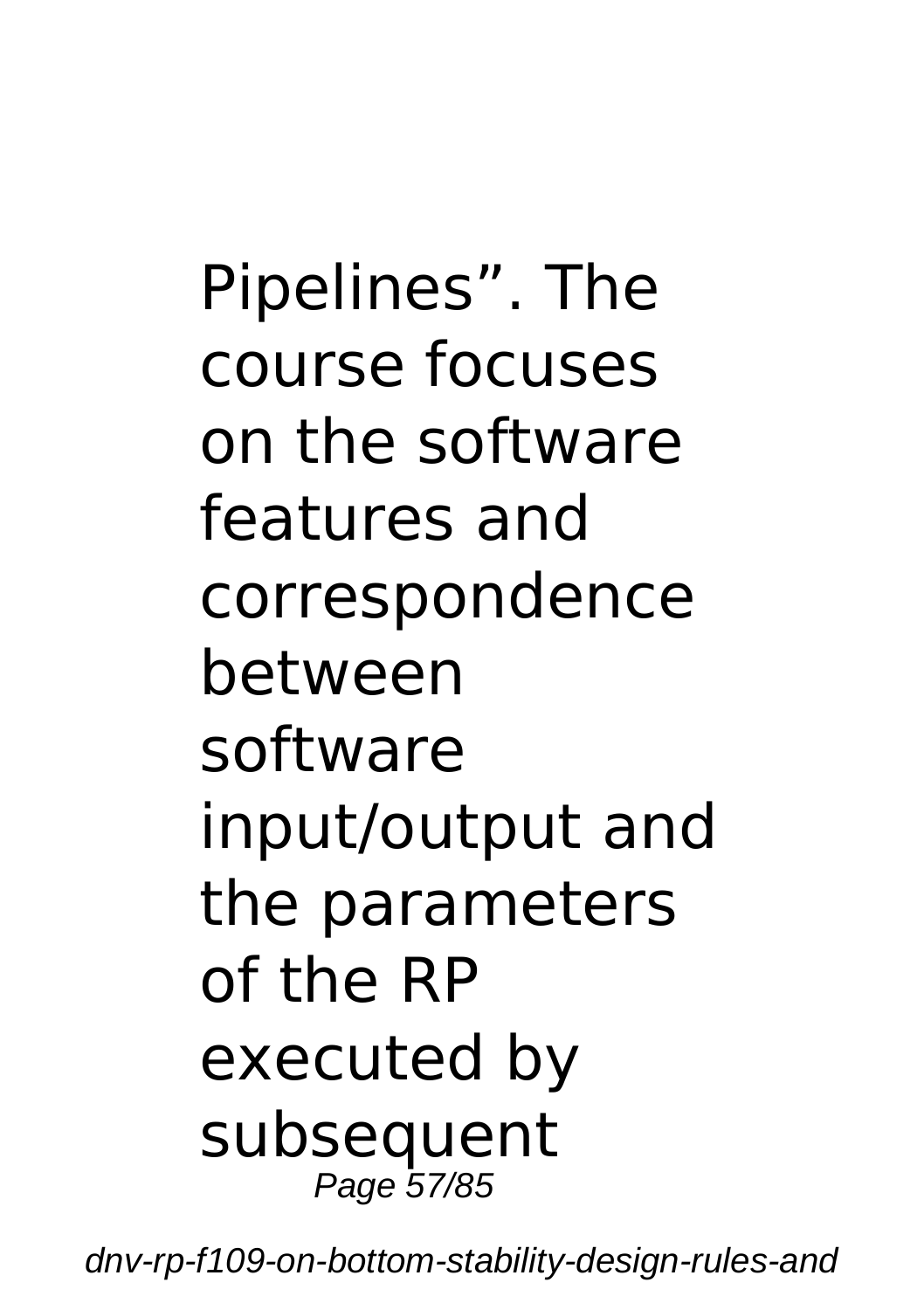Pipelines". The course focuses on the software features and correspondence between software input/output and the parameters of the RP executed by subsequent Page 57/85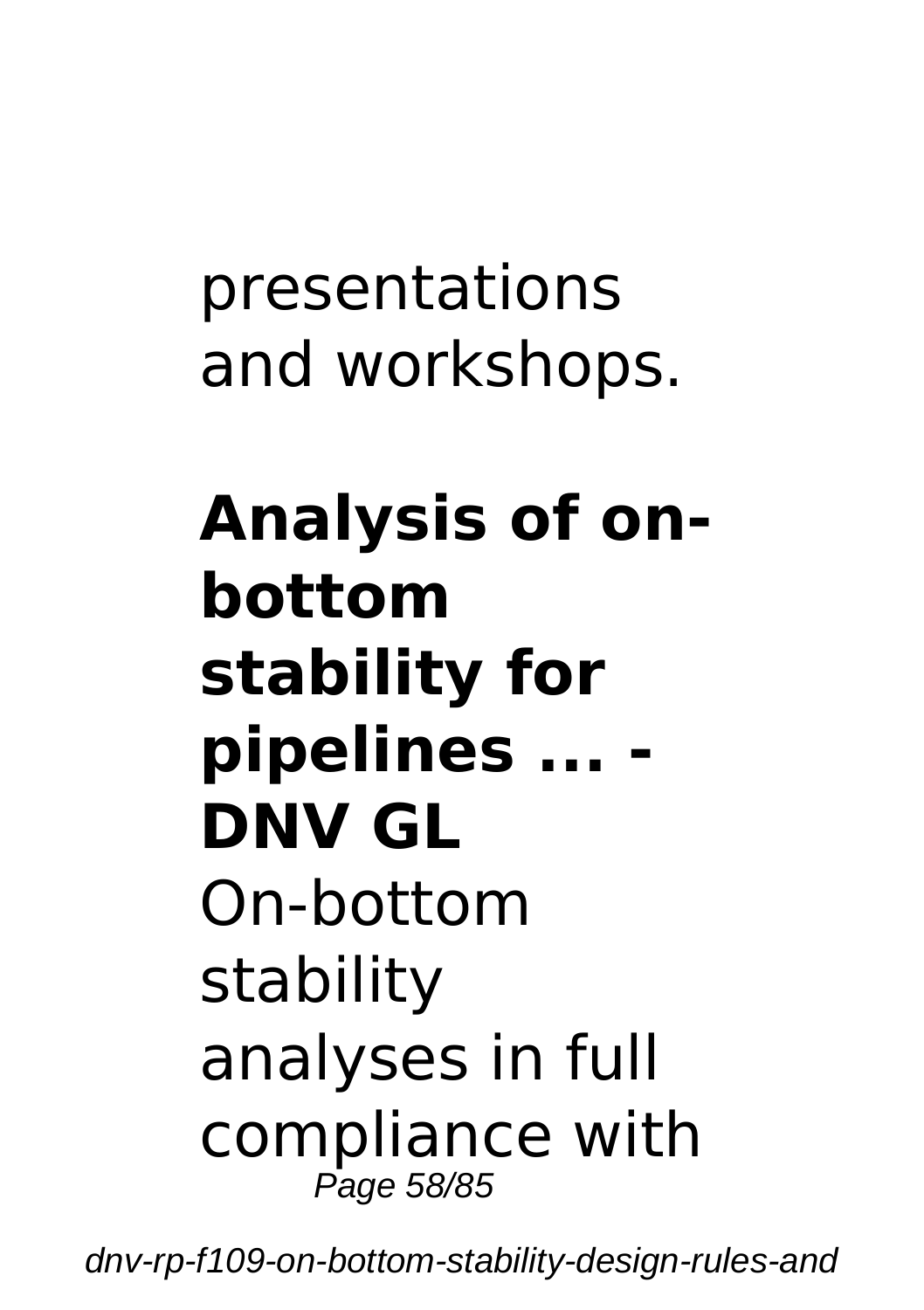presentations and workshops.

**Analysis of onbottom stability for pipelines ... - DNV GL** On-bottom stability analyses in full compliance with Page 58/85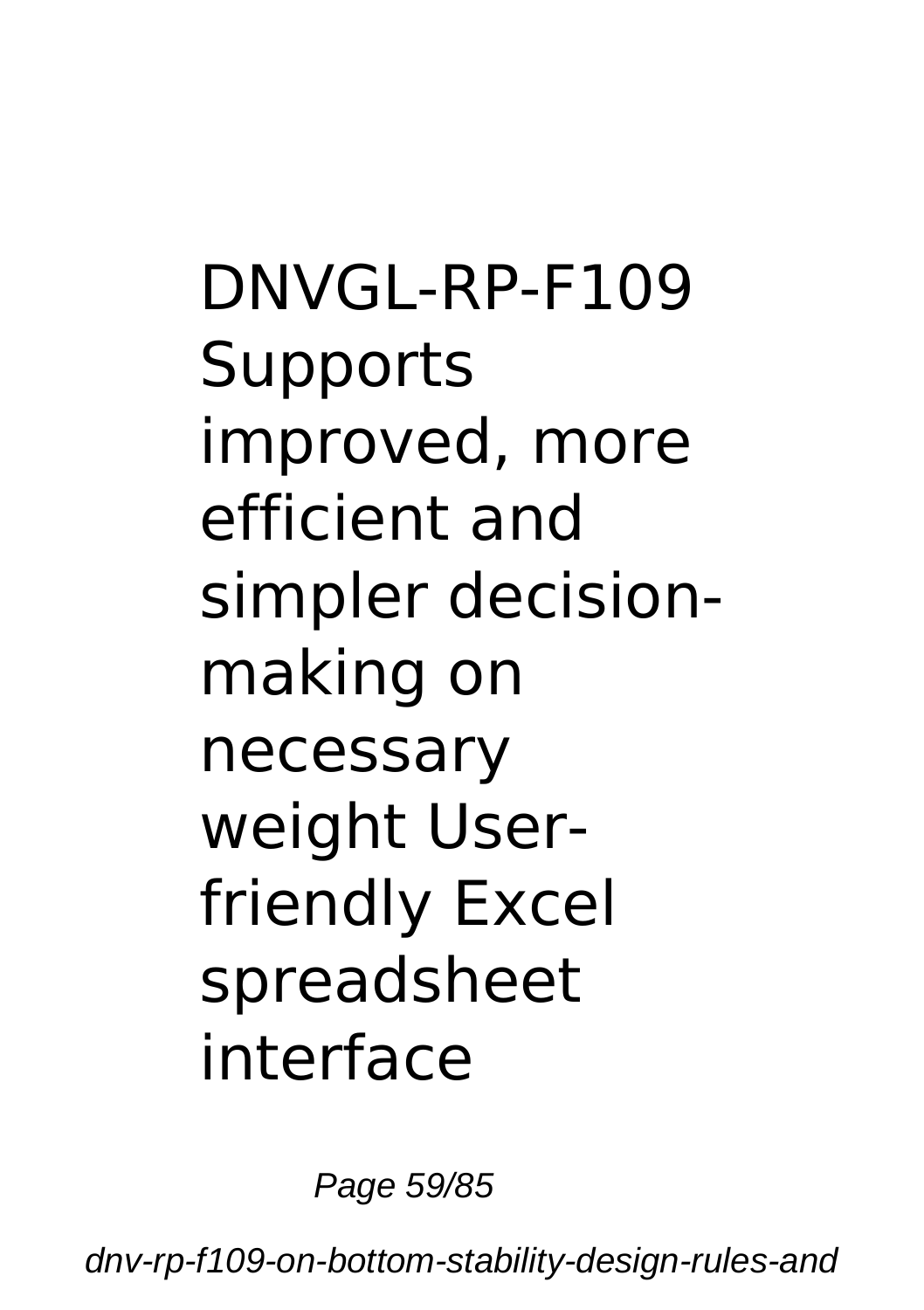DNVGL-RP-F109 **Supports** improved, more efficient and simpler decisionmaking on necessary weight Userfriendly Excel spreadsheet interface

Page 59/85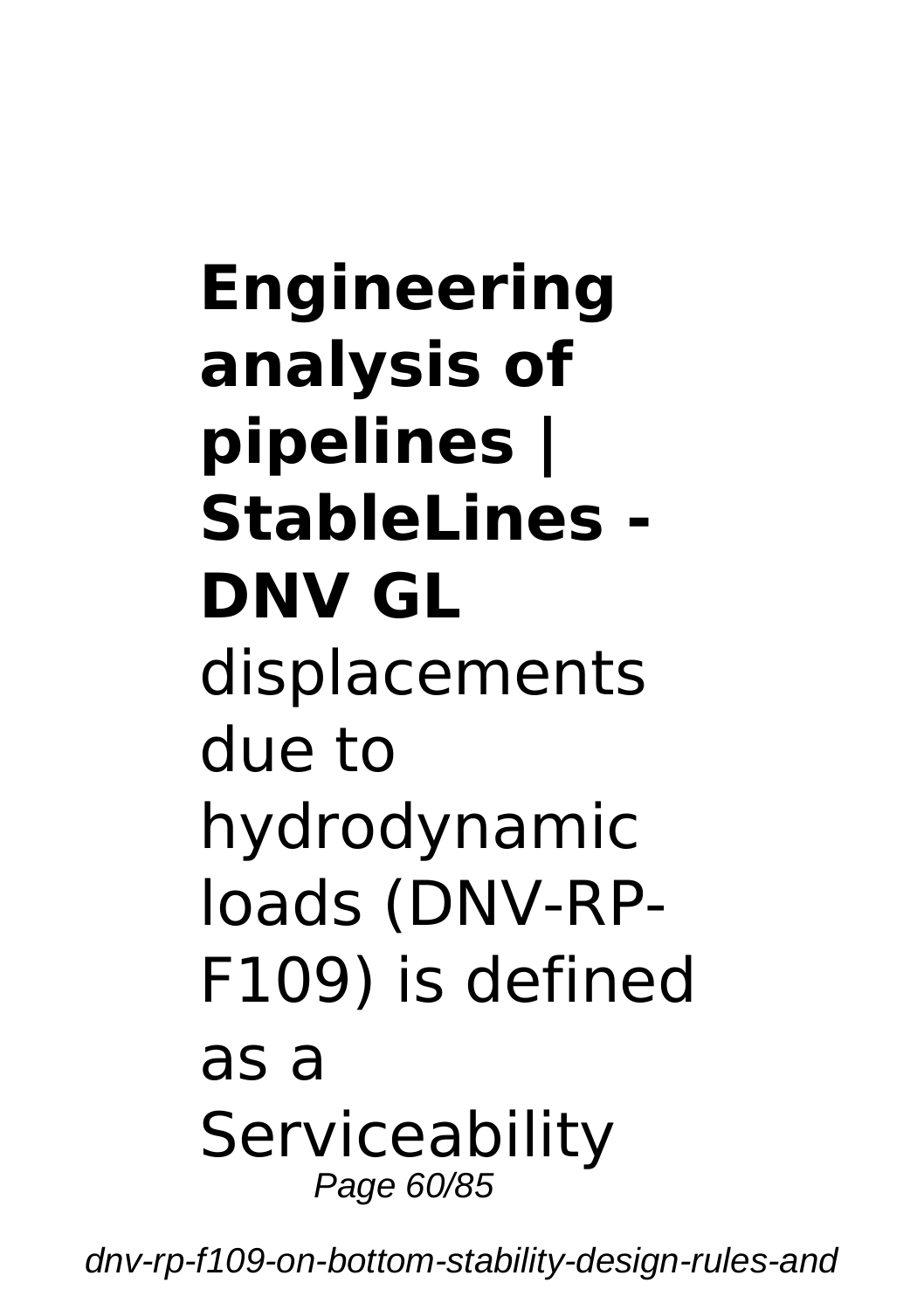## **Engineering analysis of pipelines | StableLines - DNV GL** displacements due to hydrodynamic loads (DNV-RP-F109) is defined as a **Serviceability** Page 60/85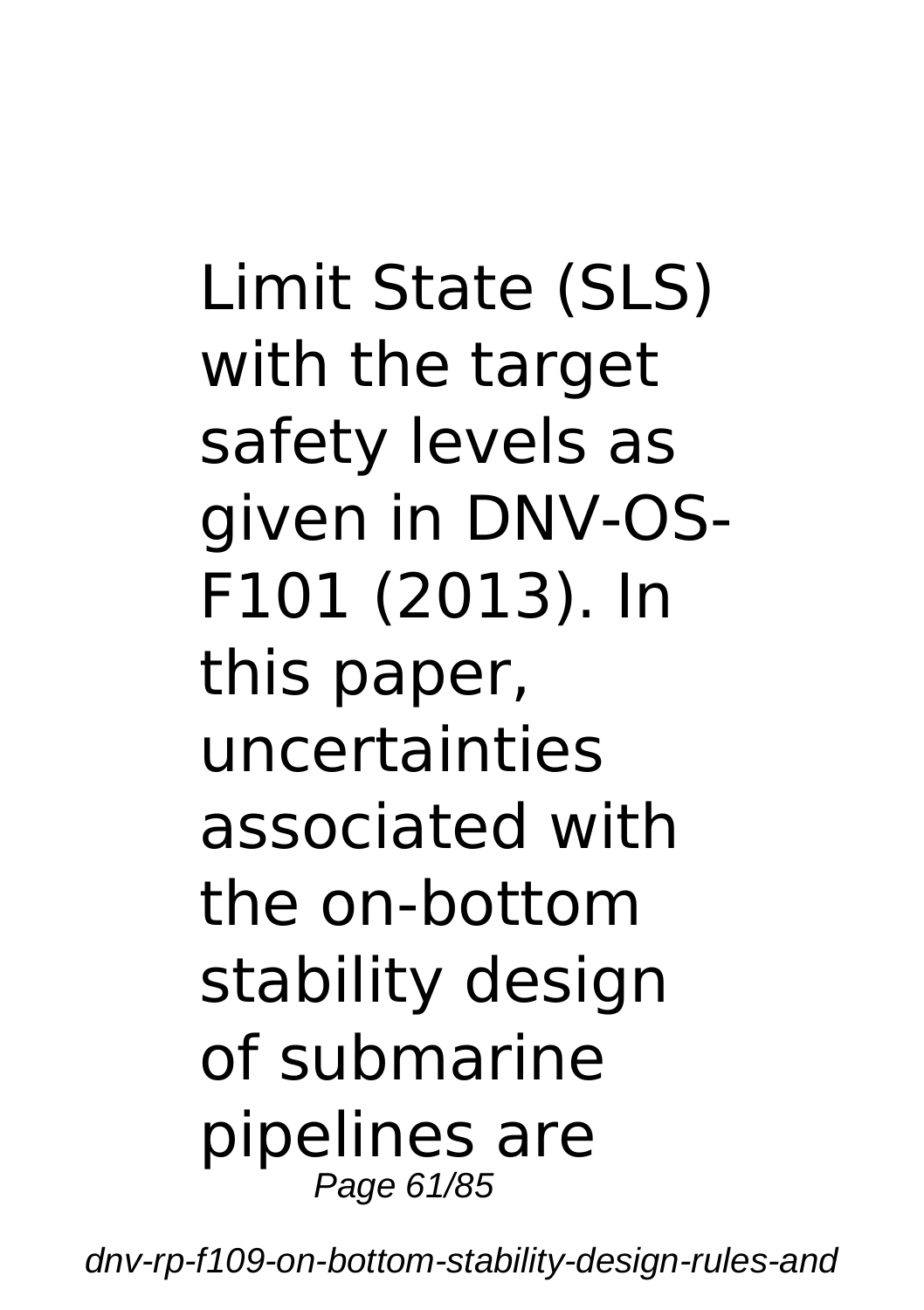Limit State (SLS) with the target safety levels as given in DNV-OS-F101 (2013). In this paper, uncertainties associated with the on-bottom stability design of submarine pipelines are Page 61/85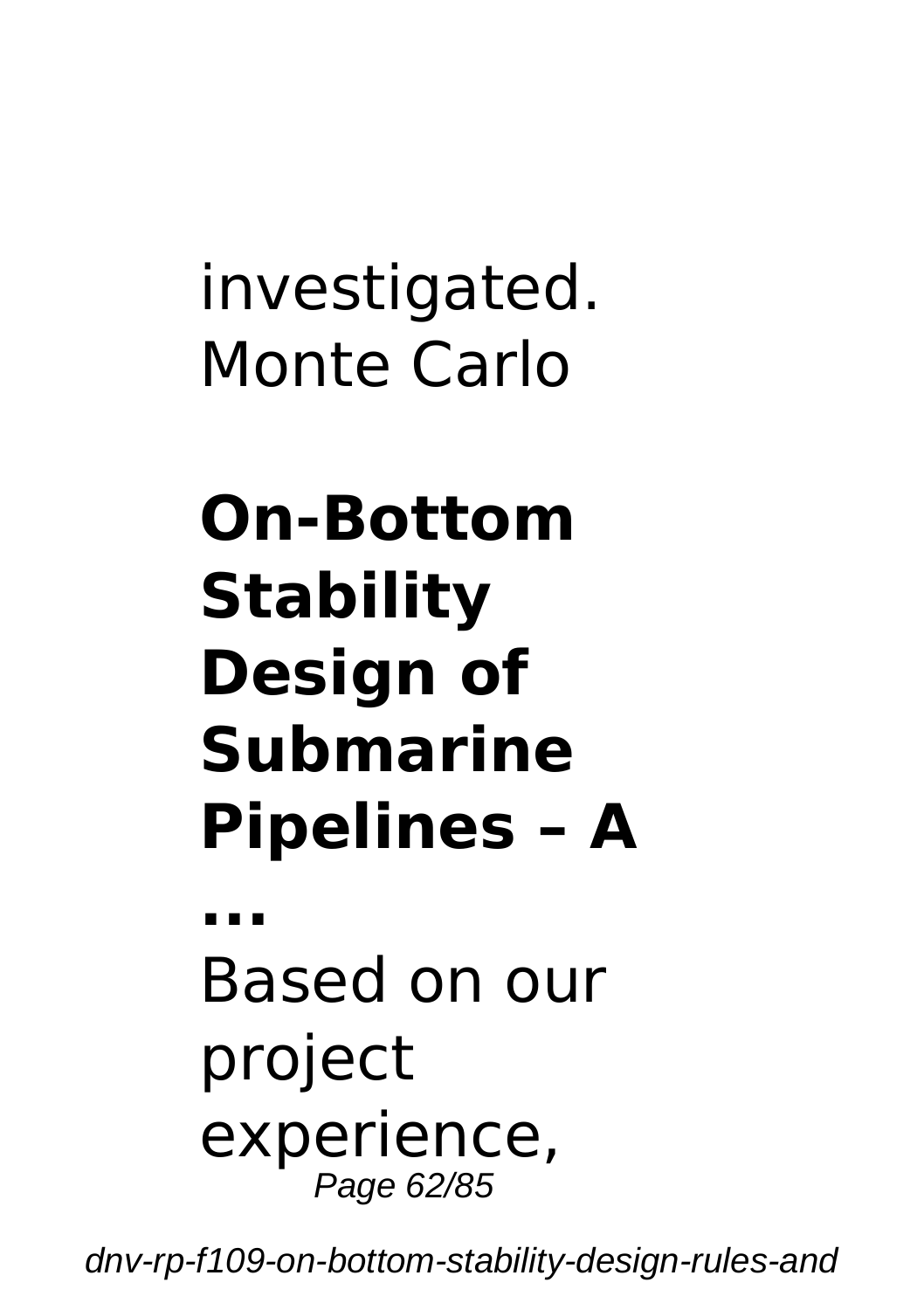investigated. Monte Carlo

# **On-Bottom Stability Design of Submarine Pipelines – A**

**...** Based on our project experience, Page 62/85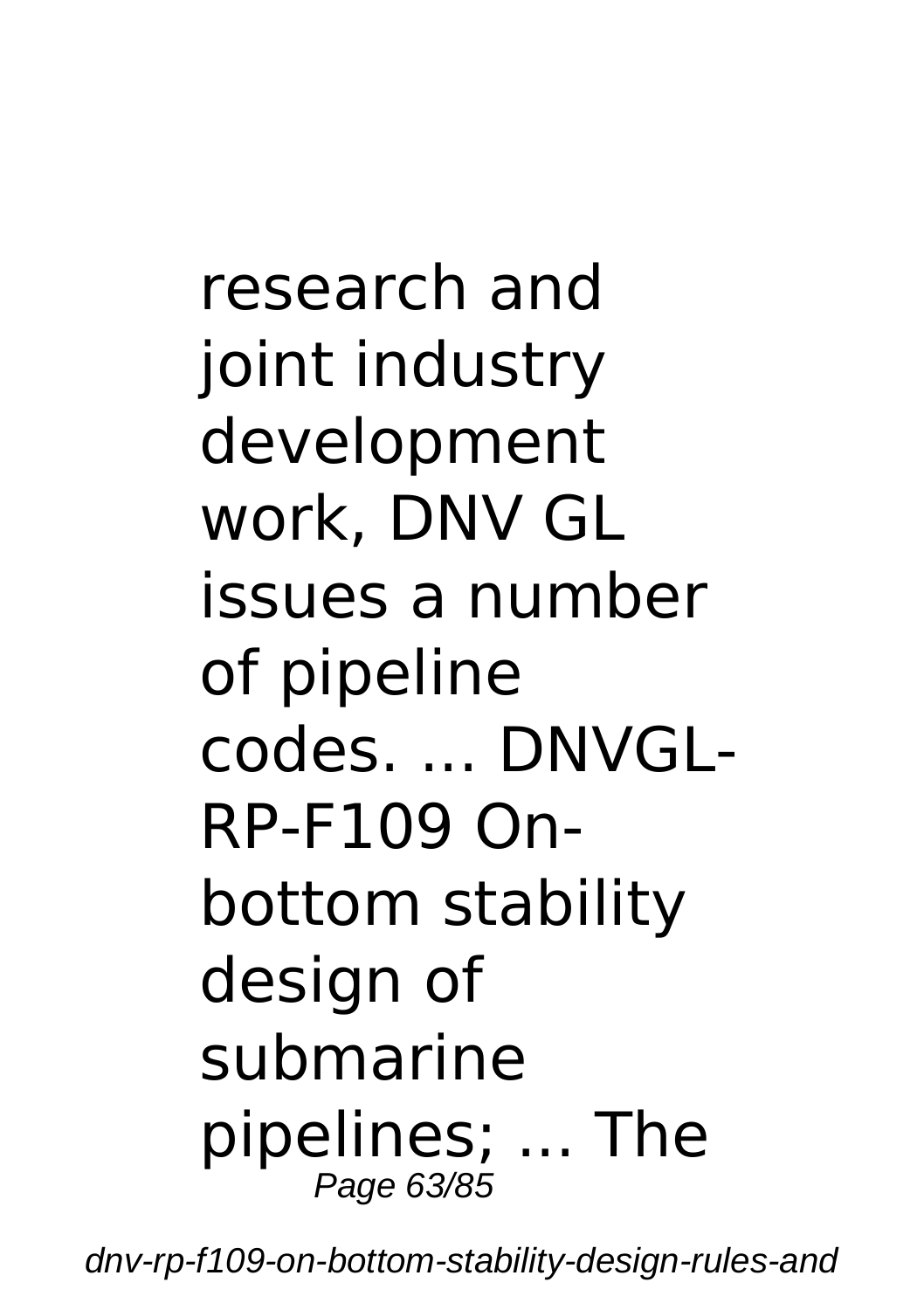research and ioint industry development work, DNV GL issues a number of pipeline codes. ... DNVGL-RP-F109 Onbottom stability design of submarine pipelines; ... The Page 63/85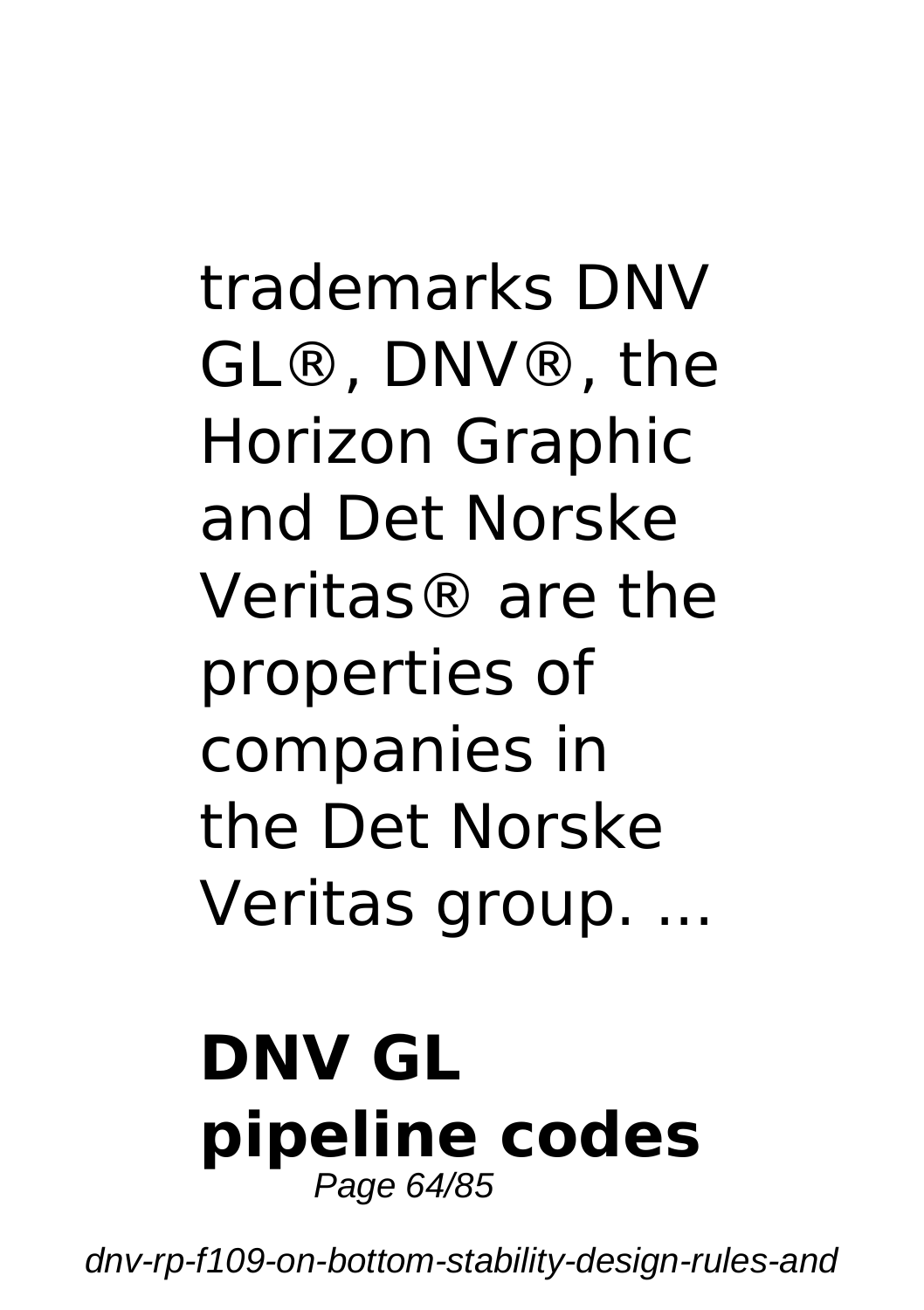trademarks DNV GL®, DNV®, the Horizon Graphic and Det Norske Veritas® are the properties of companies in the Det Norske Veritas group. ...

#### **DNV GL pipeline codes** Page 64/85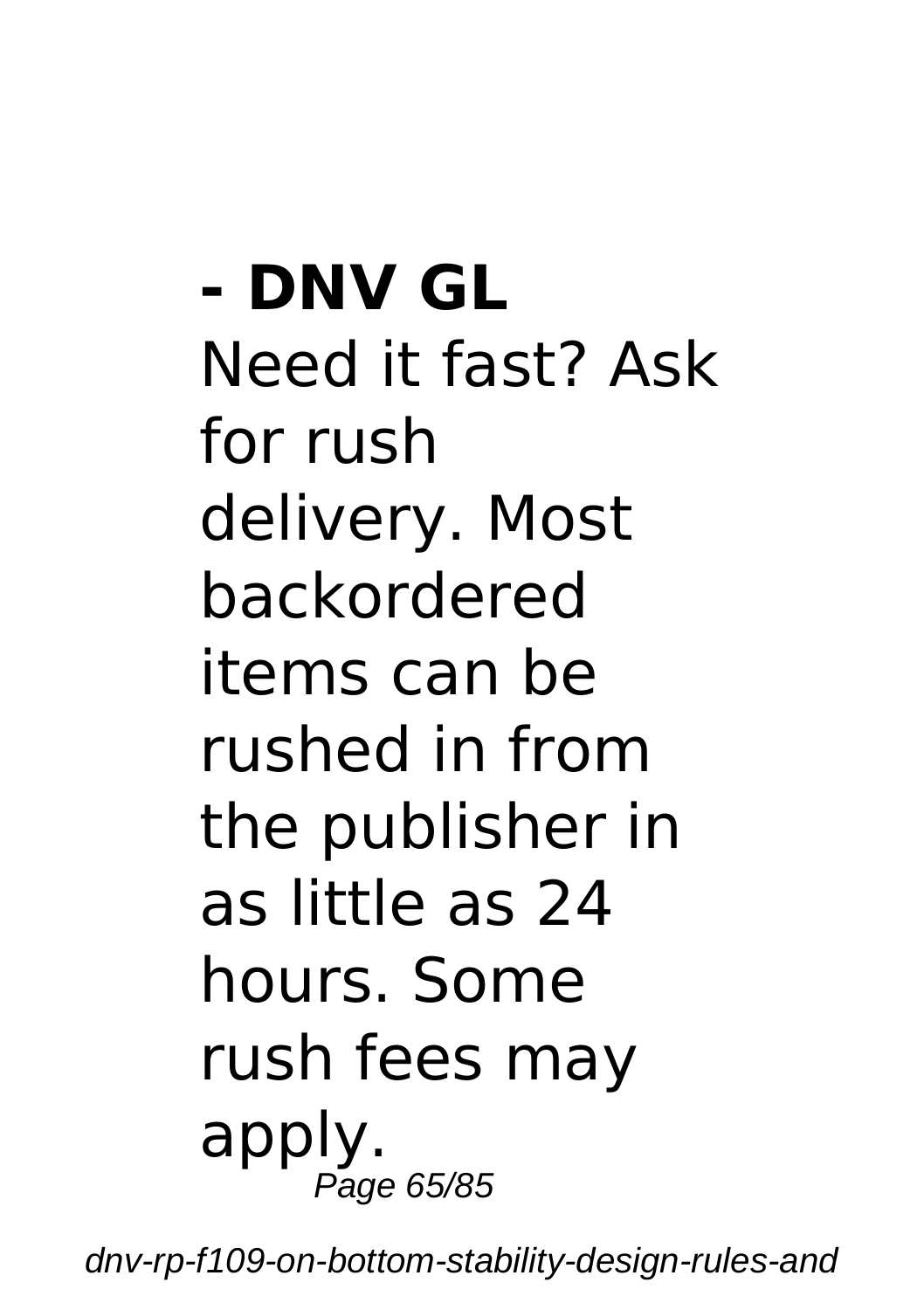**- DNV GL** Need it fast? Ask for rush delivery. Most backordered items can be rushed in from the publisher in as little as 24 hours. Some rush fees may apply. Page 65/85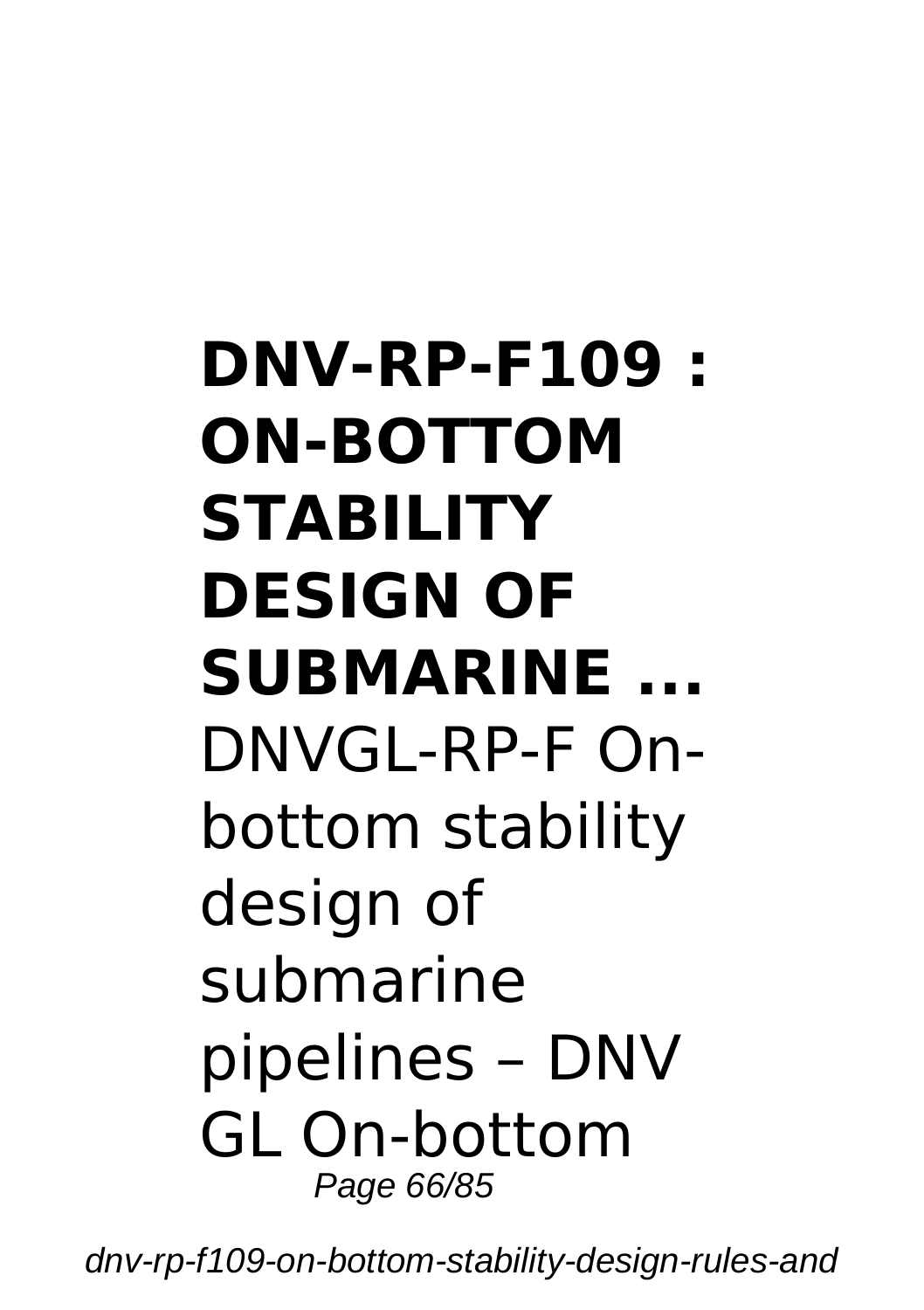## **DNV-RP-F109 : ON-BOTTOM STABILITY DESIGN OF SUBMARINE ...** DNVGL-RP-F Onbottom stability design of submarine pipelines – DNV GL On-bottom Page 66/85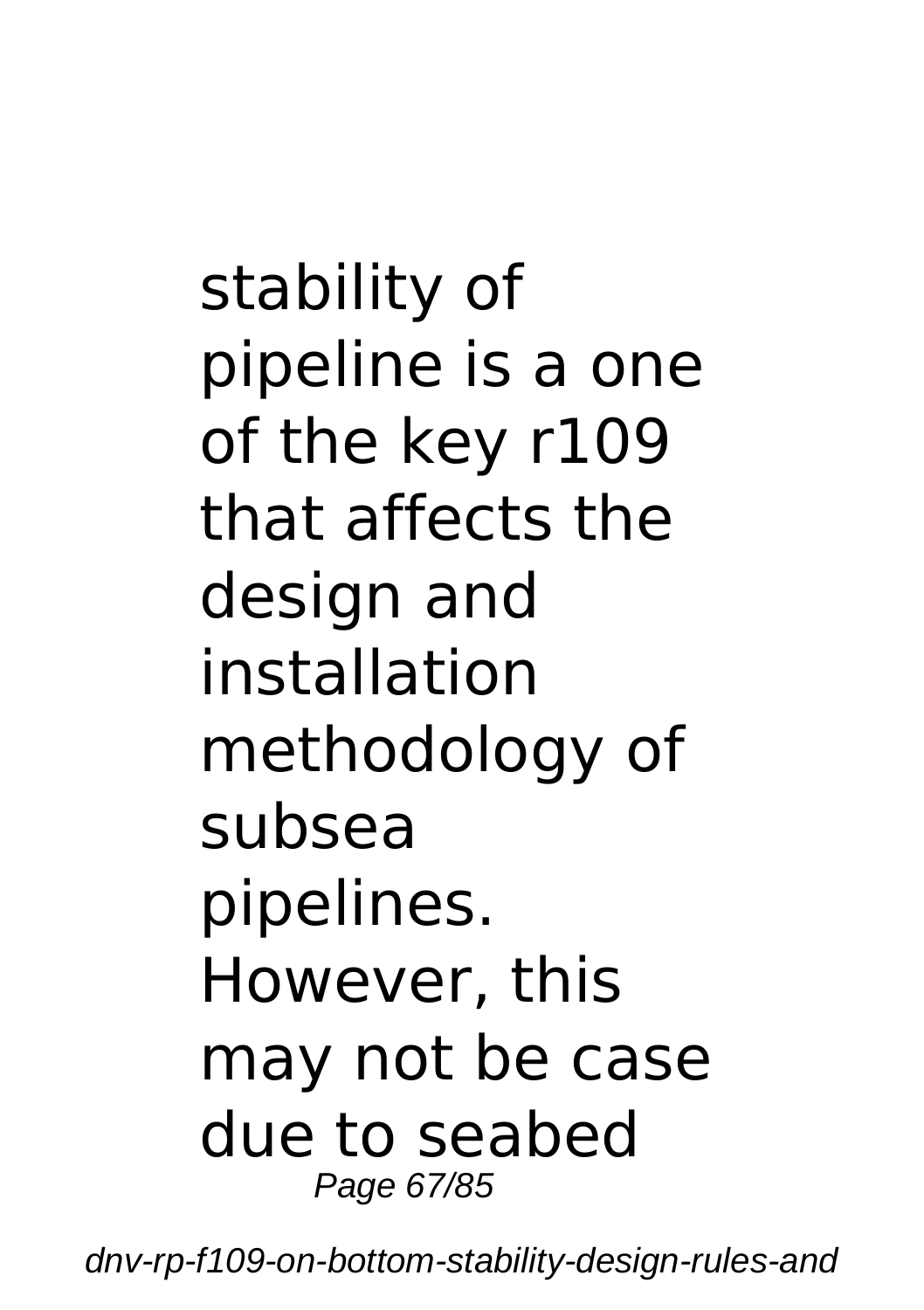stability of pipeline is a one of the key r109 that affects the design and installation methodology of subsea pipelines. However, this may not be case due to seabed Page 67/85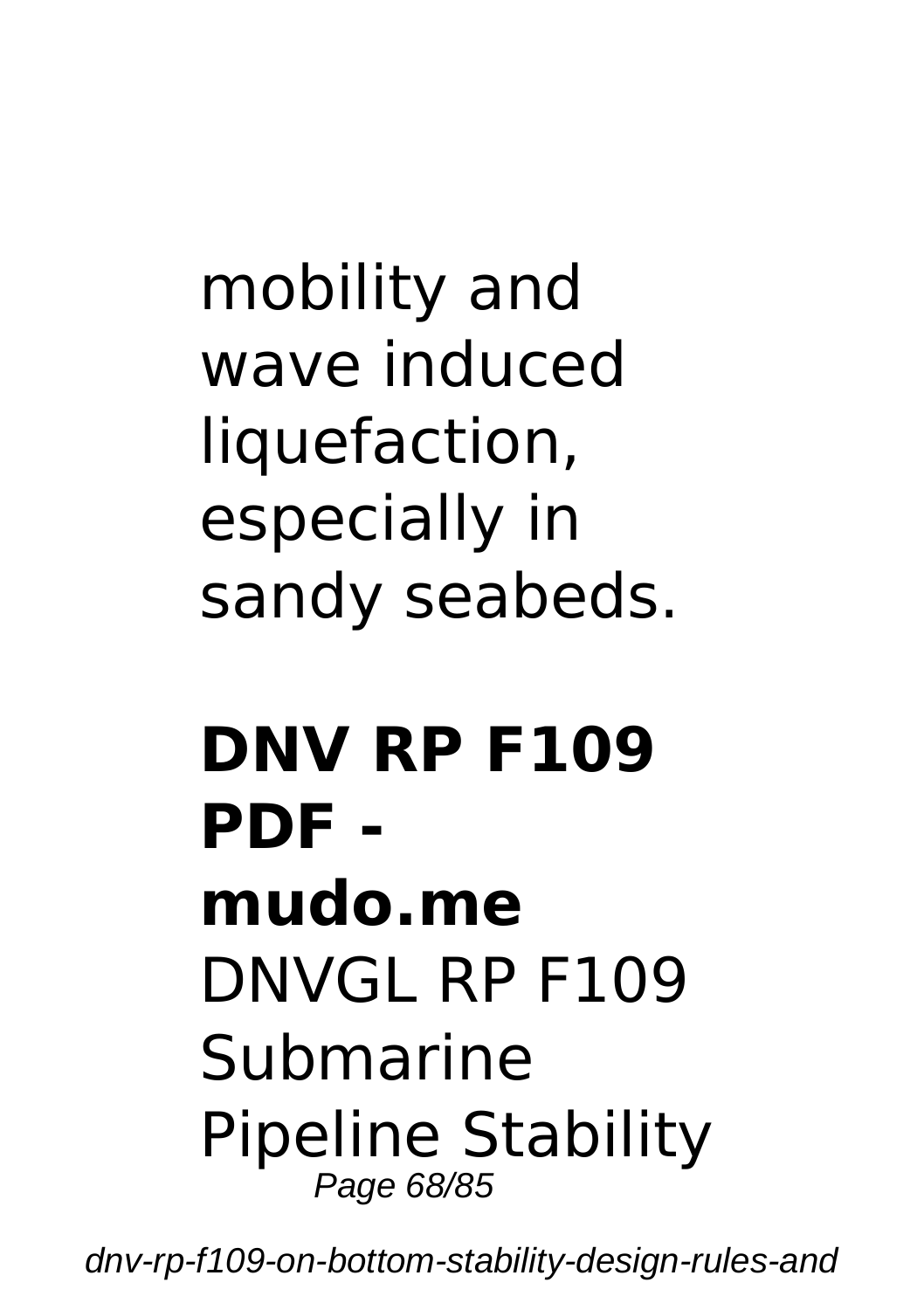mobility and wave induced liquefaction, especially in sandy seabeds.

#### **DNV RP F109 PDF mudo.me** DNVGL RP F109 Submarine Pipeline Stability Page 68/85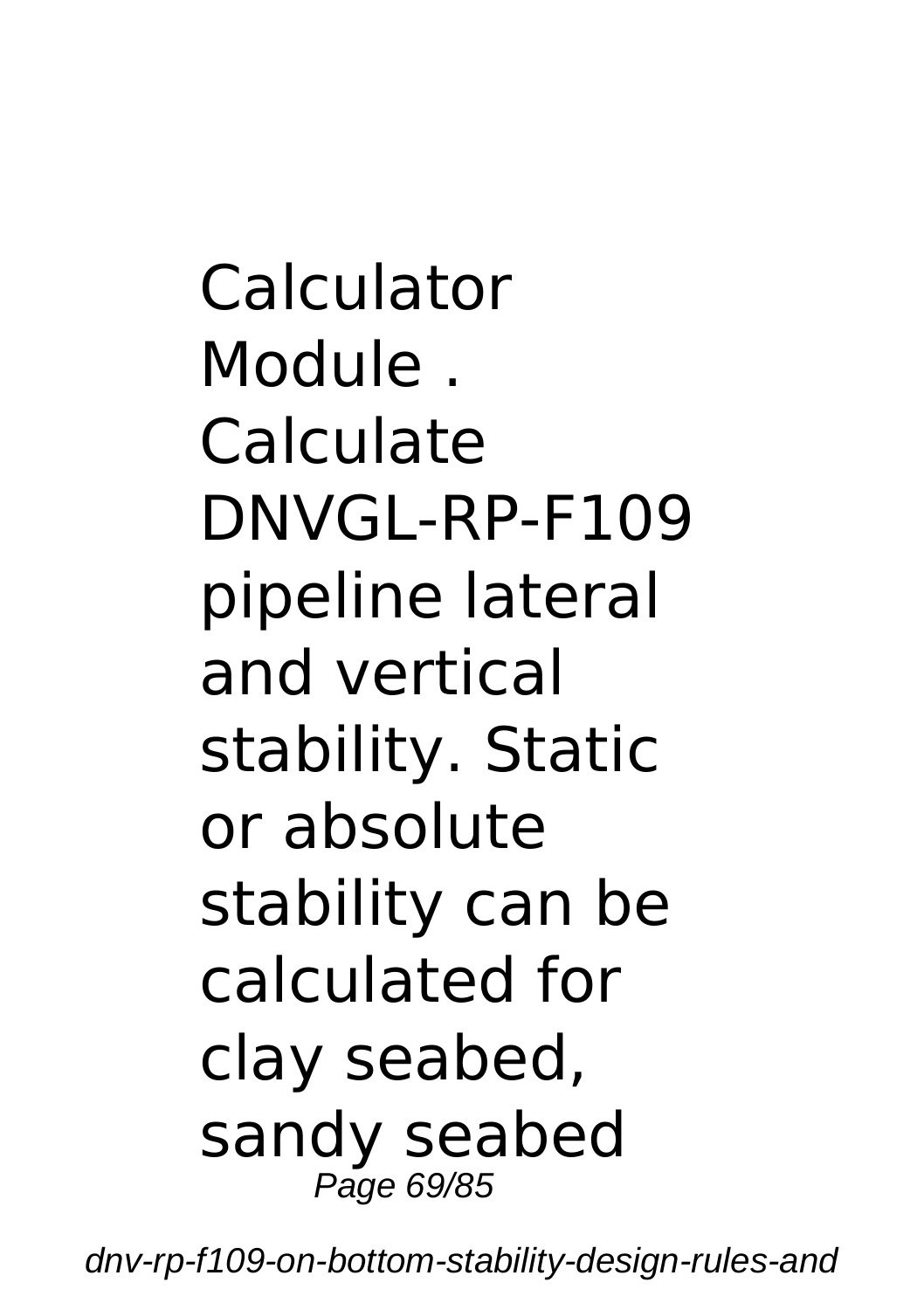Calculator Module . Calculate DNVGL-RP-F109 pipeline lateral and vertical stability. Static or absolute stability can be calculated for clay seabed, sandy seabed Page 69/85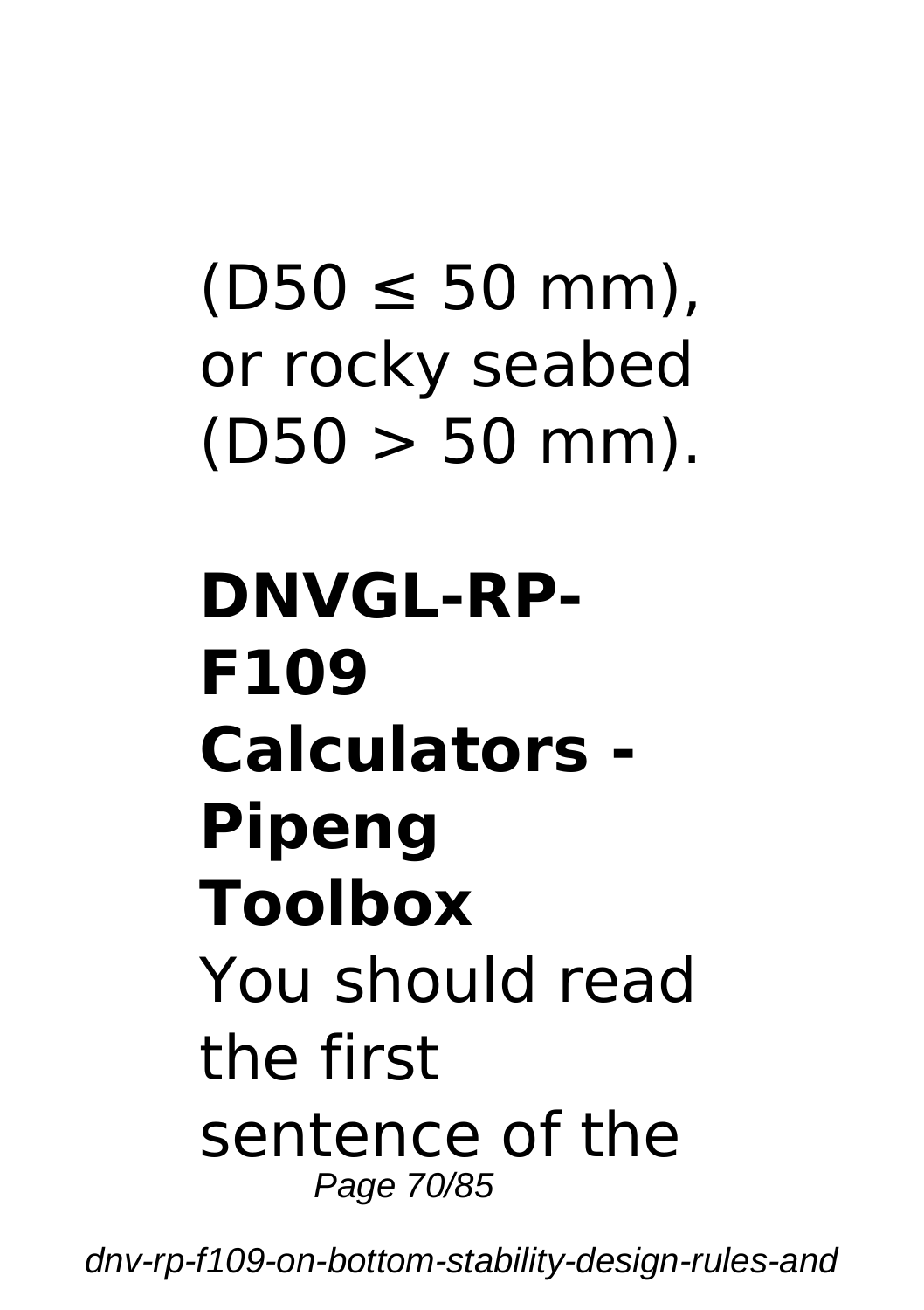# $(D50 \le 50$  mm). or rocky seabed  $(D50 > 50$  mm).

## **DNVGL-RP-F109 Calculators - Pipeng Toolbox** You should read the first sentence of the Page 70/85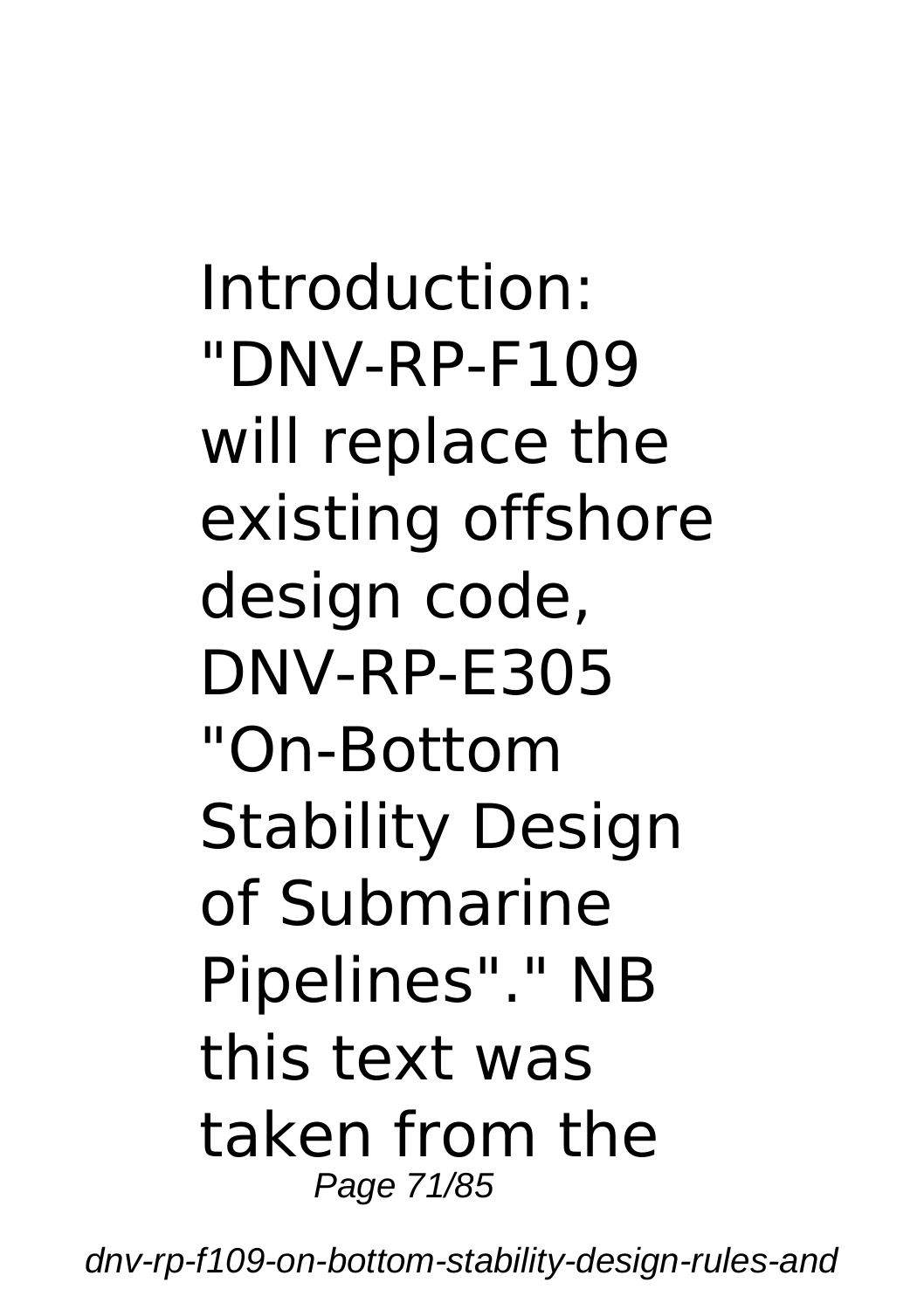Introduction: "DNV-RP-F109 will replace the existing offshore design code, DNV-RP-E305 "On-Bottom Stability Design of Submarine Pipelines"." NB this text was taken from the Page 71/85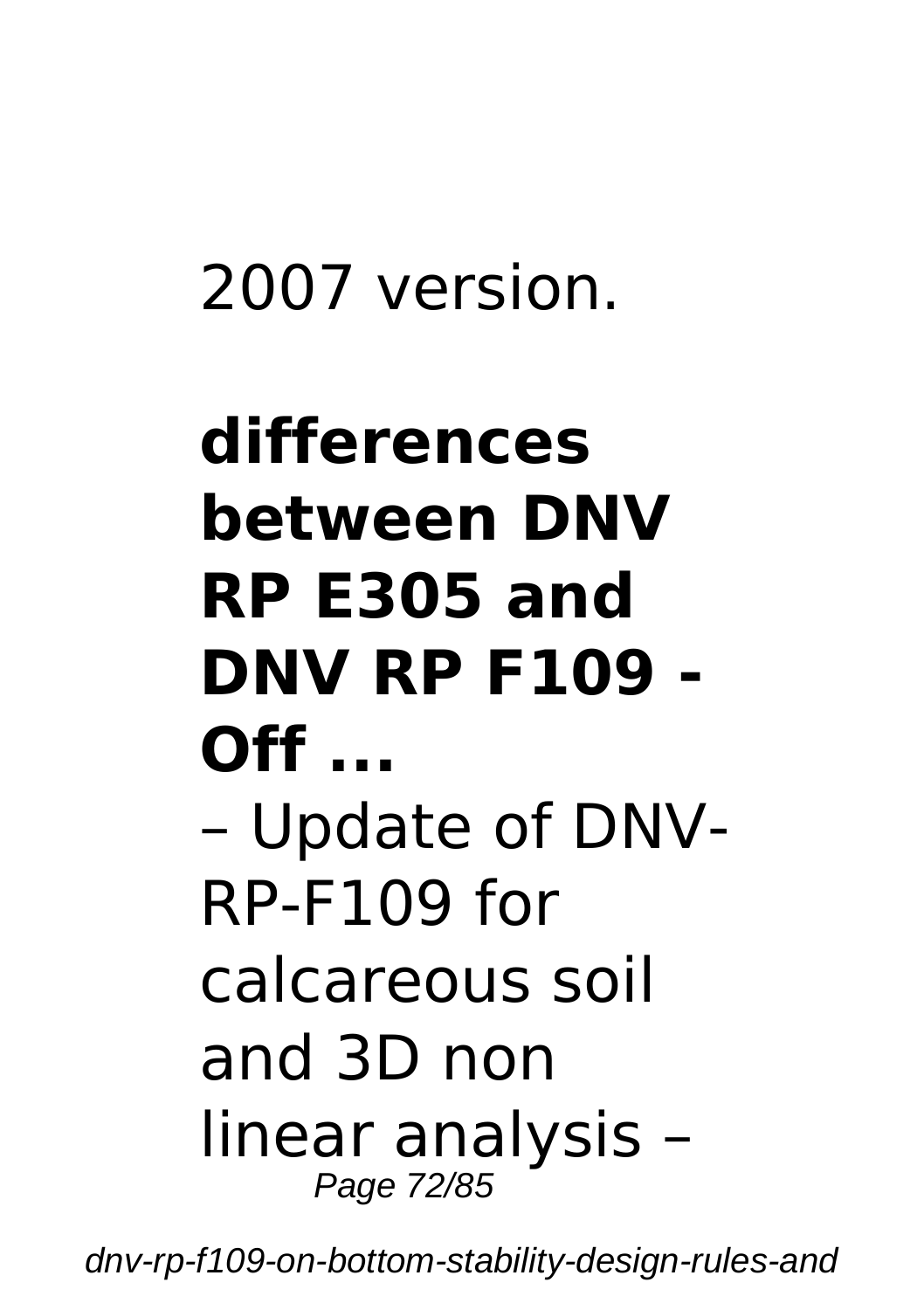#### 2007 version.

## **differences between DNV RP E305 and DNV RP F109 - Off ...** – Update of DNV-RP-F109 for calcareous soil and 3D non linear analysis – Page 72/85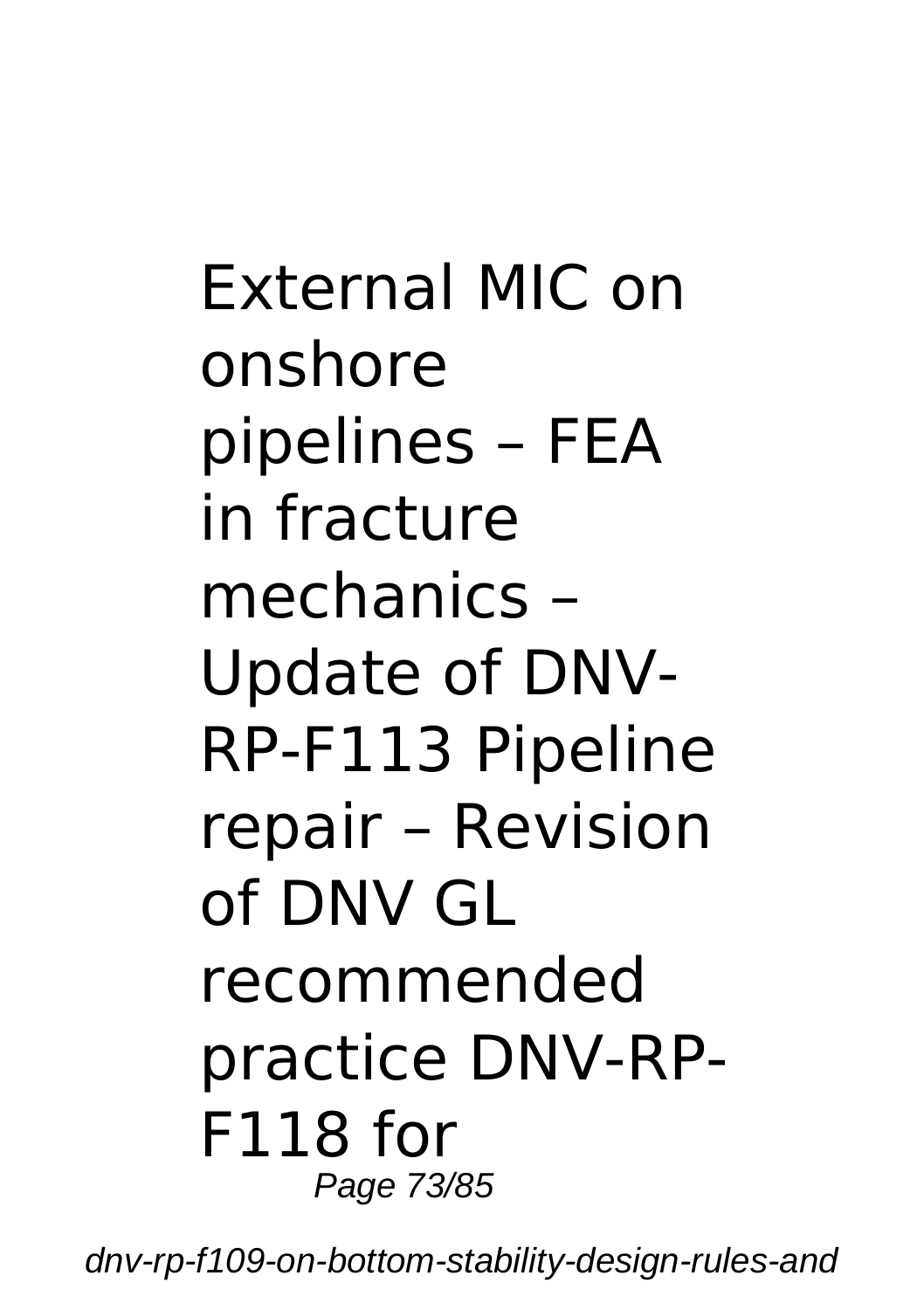External MIC on onshore pipelines – FEA in fracture mechanics – Update of DNV-RP-F113 Pipeline repair – Revision of DNV GL recommended practice DNV-RP-F118 for Page 73/85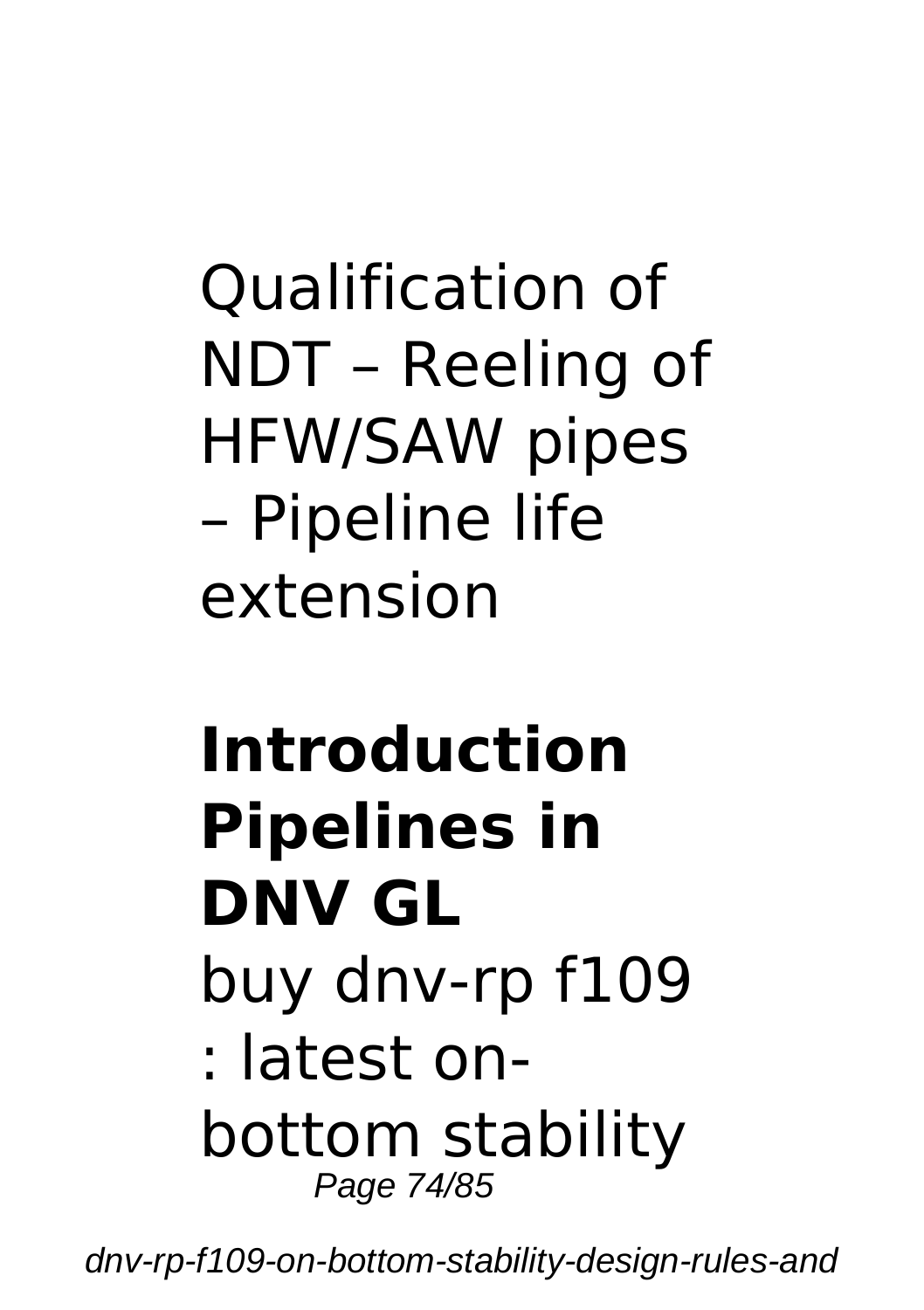## Qualification of NDT – Reeling of HFW/SAW pipes – Pipeline life extension

# **Introduction Pipelines in DNV GL**

- buy dnv-rp f109
- : latest onbottom stability Page 74/85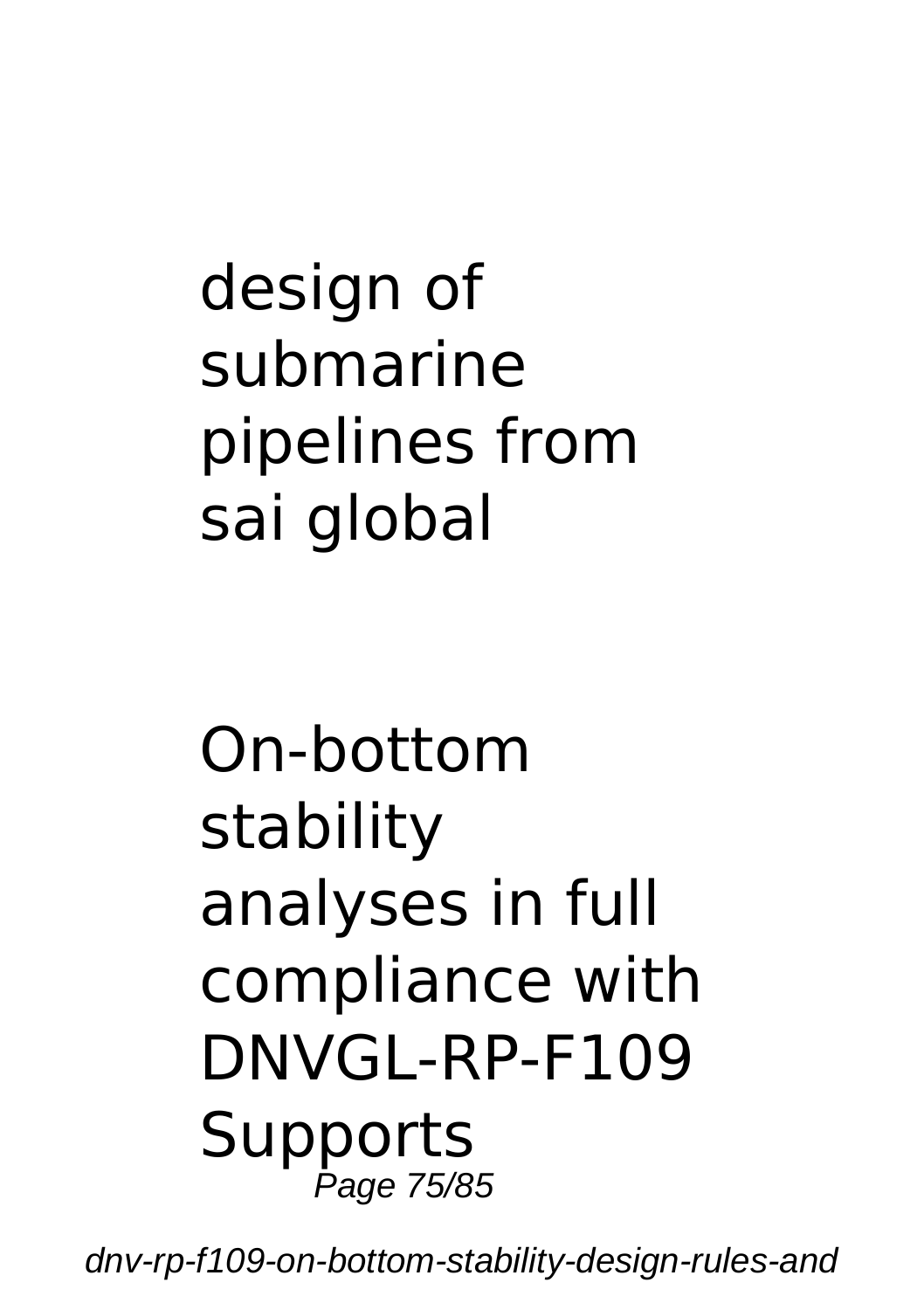## design of submarine pipelines from sai global

#### On-bottom stability analyses in full compliance with DNVGL-RP-F109 Supports Page 75/85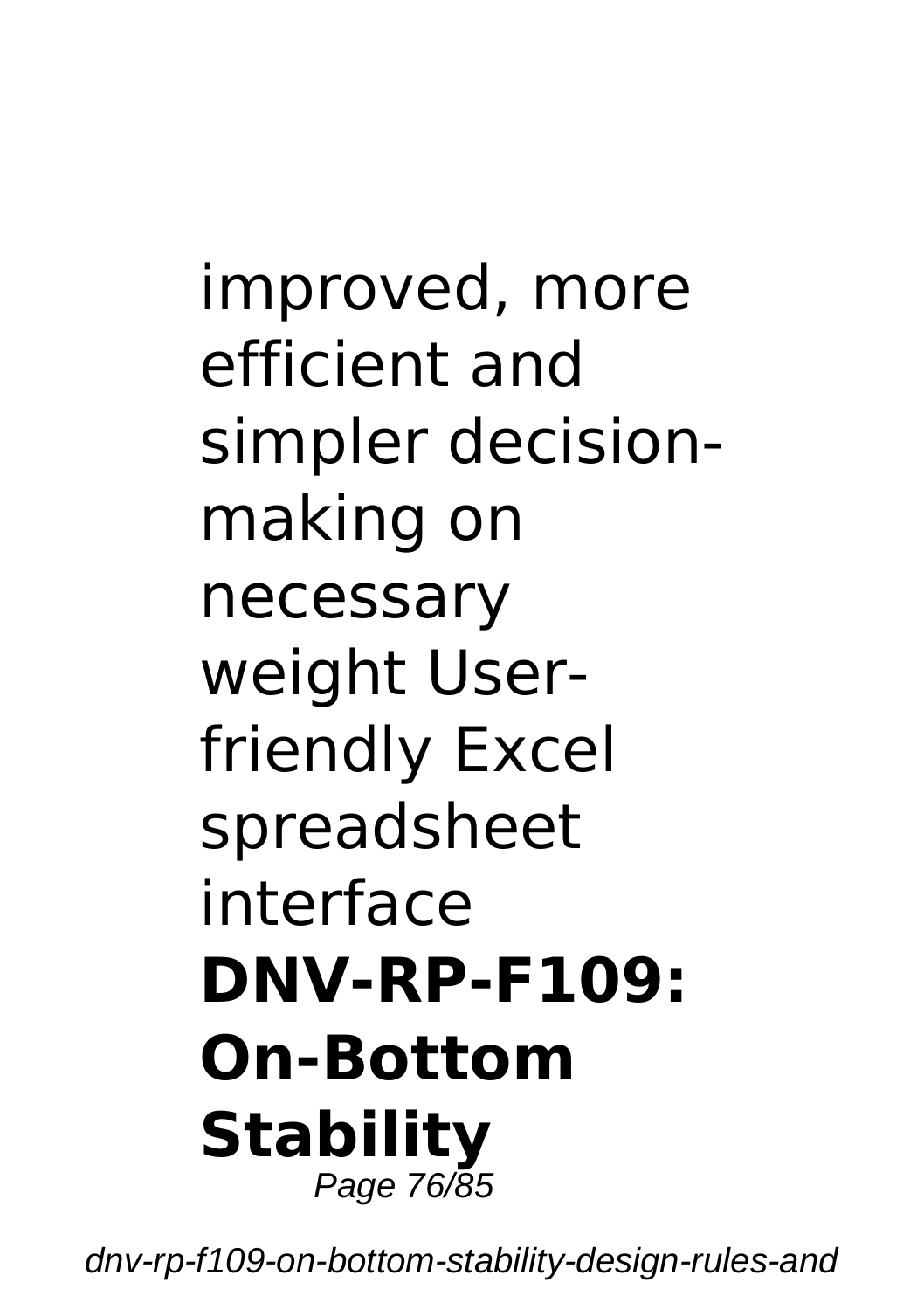improved, more efficient and simpler decisionmaking on necessary weight Userfriendly Excel spreadsheet interface **DNV-RP-F109: On-Bottom Stability** Page 76/85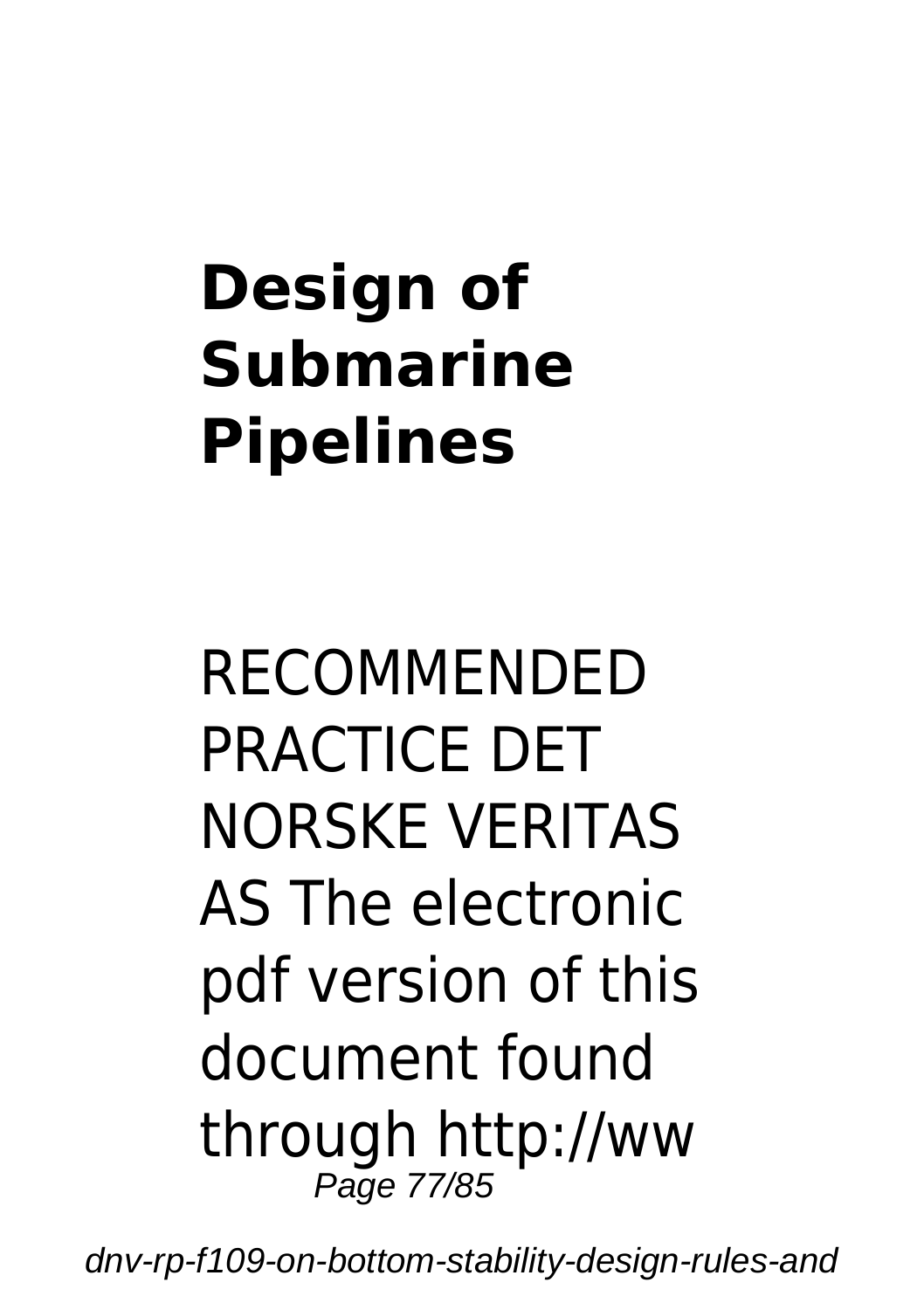## **Design of Submarine Pipelines**

RECOMMENDED PRACTICE DET NORSKE VERITAS AS The electronic pdf version of this document found through http://ww Page 77/85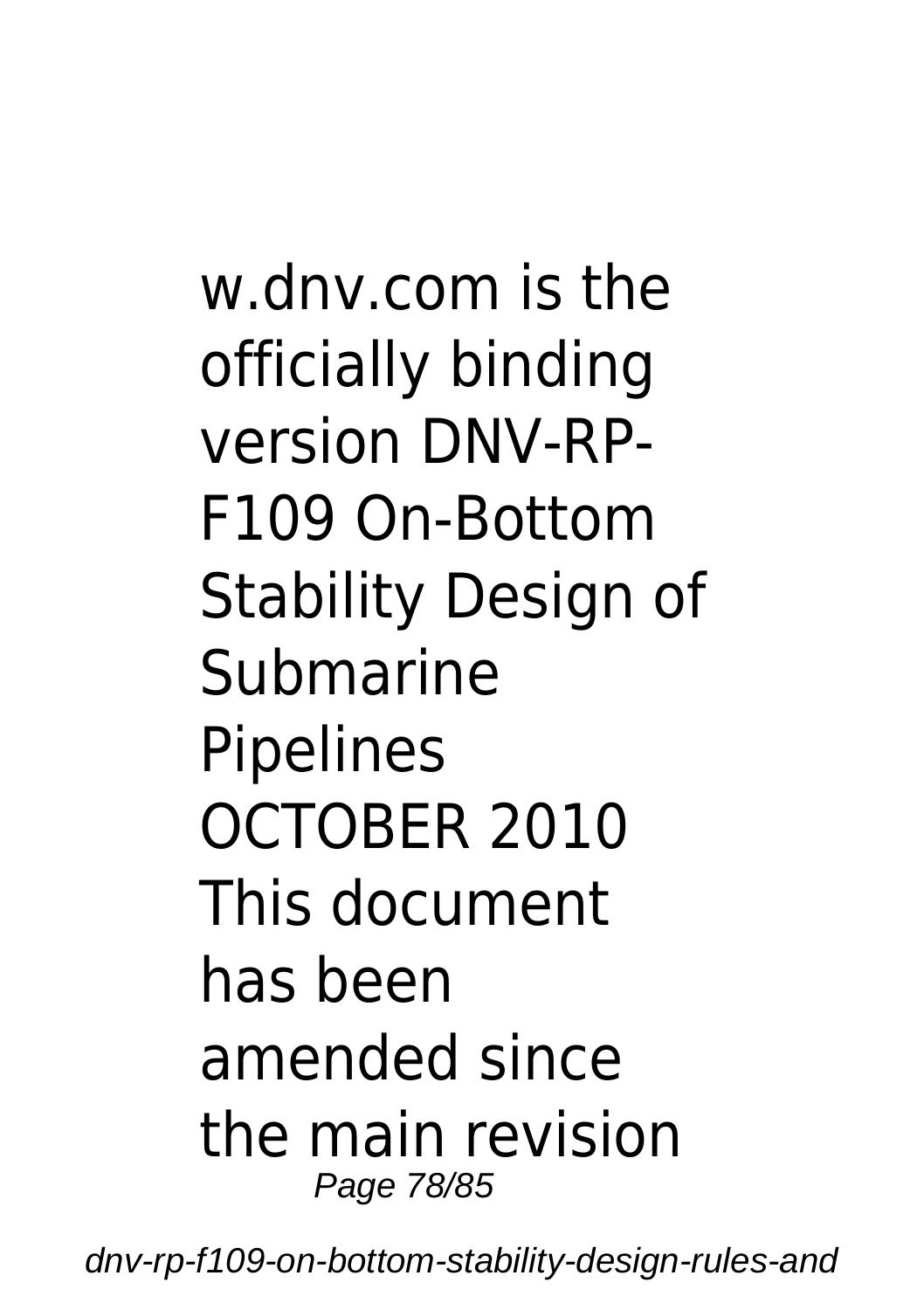w.dnv.com is the officially binding version DNV-RP-F109 On-Bottom Stability Design of Submarine Pipelines OCTOBER 2010 This document has been amended since the main revision Page 78/85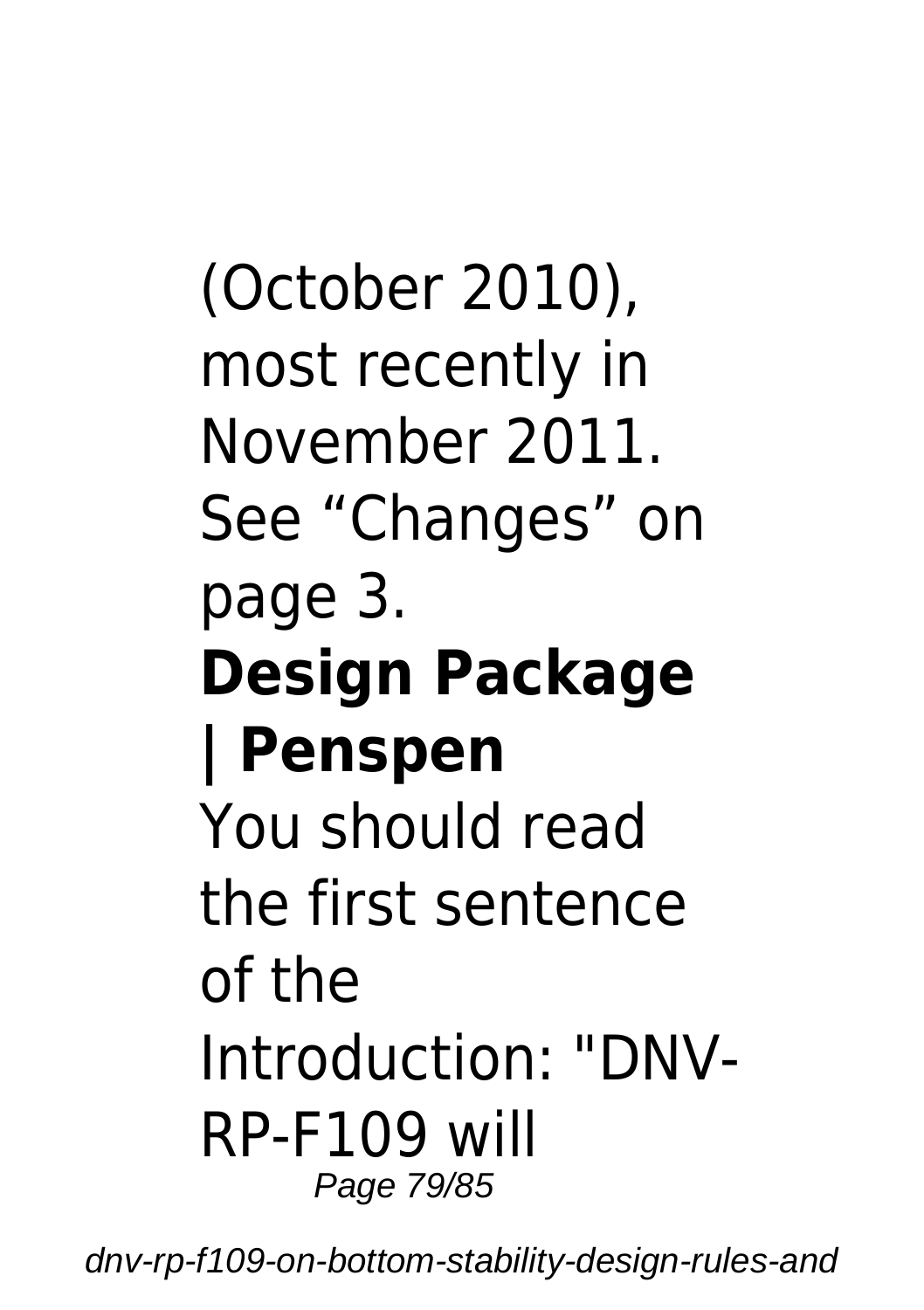### (October 2010), most recently in November 2011. See "Changes" on page 3. **Design Package | Penspen** You should read the first sentence of the Introduction: "DNV-RP-F109 will Page 79/85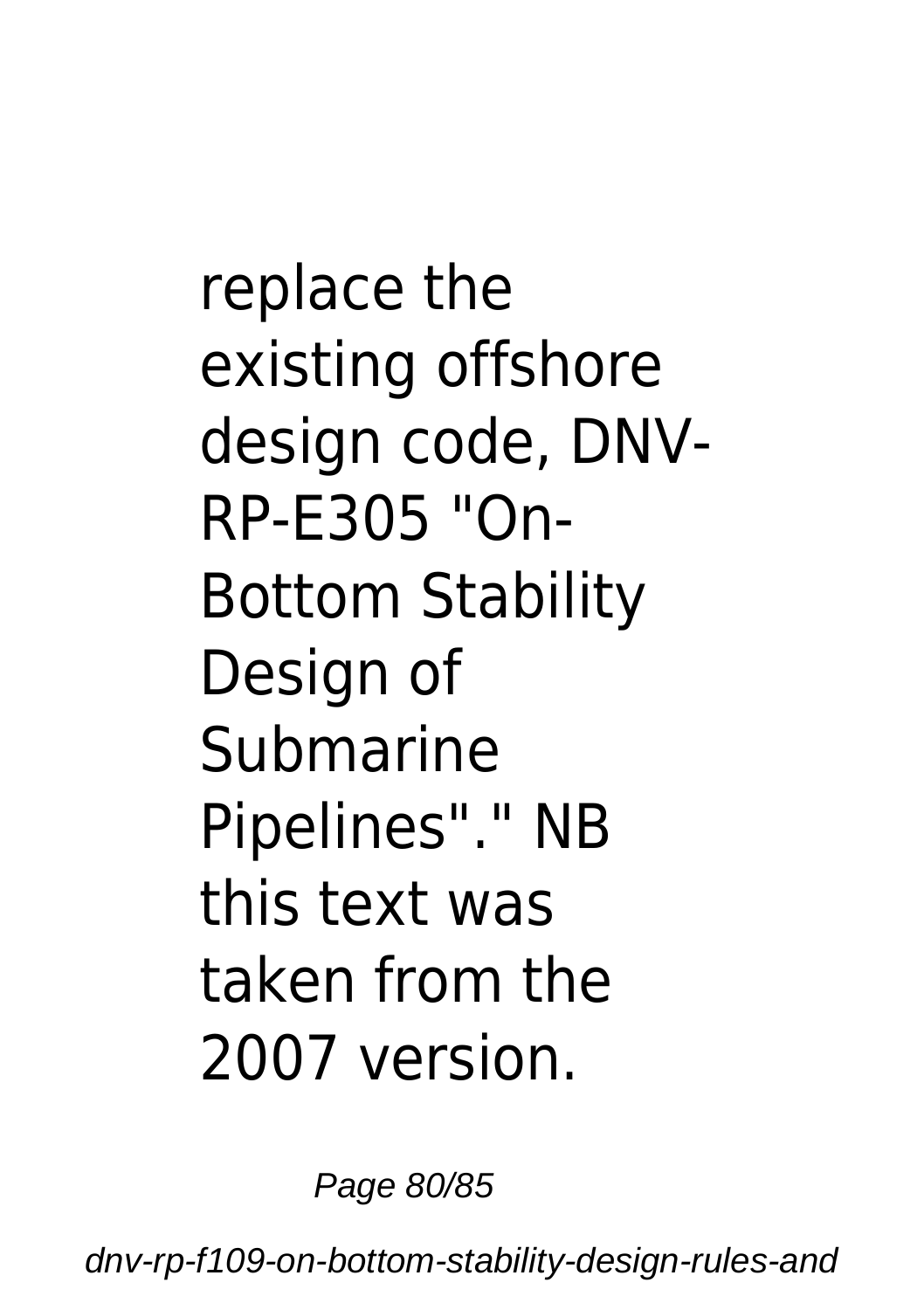replace the existing offshore design code, DNV-RP-E305 "On-Bottom Stability Design of Submarine Pipelines"." NB this text was taken from the 2007 version.

Page 80/85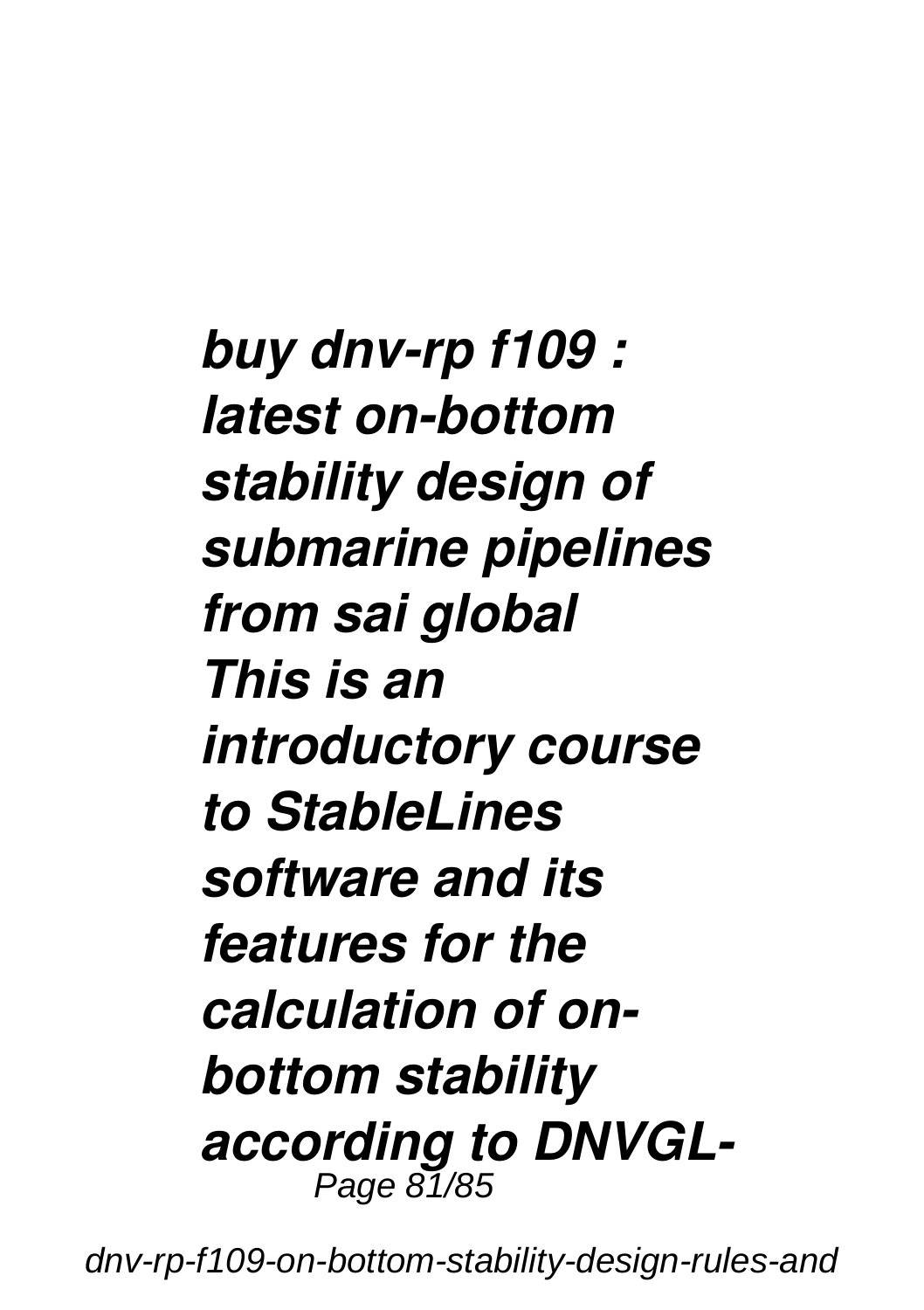*buy dnv-rp f109 : latest on-bottom stability design of submarine pipelines from sai global This is an introductory course to StableLines software and its features for the calculation of onbottom stability according to DNVGL-*Page 81/85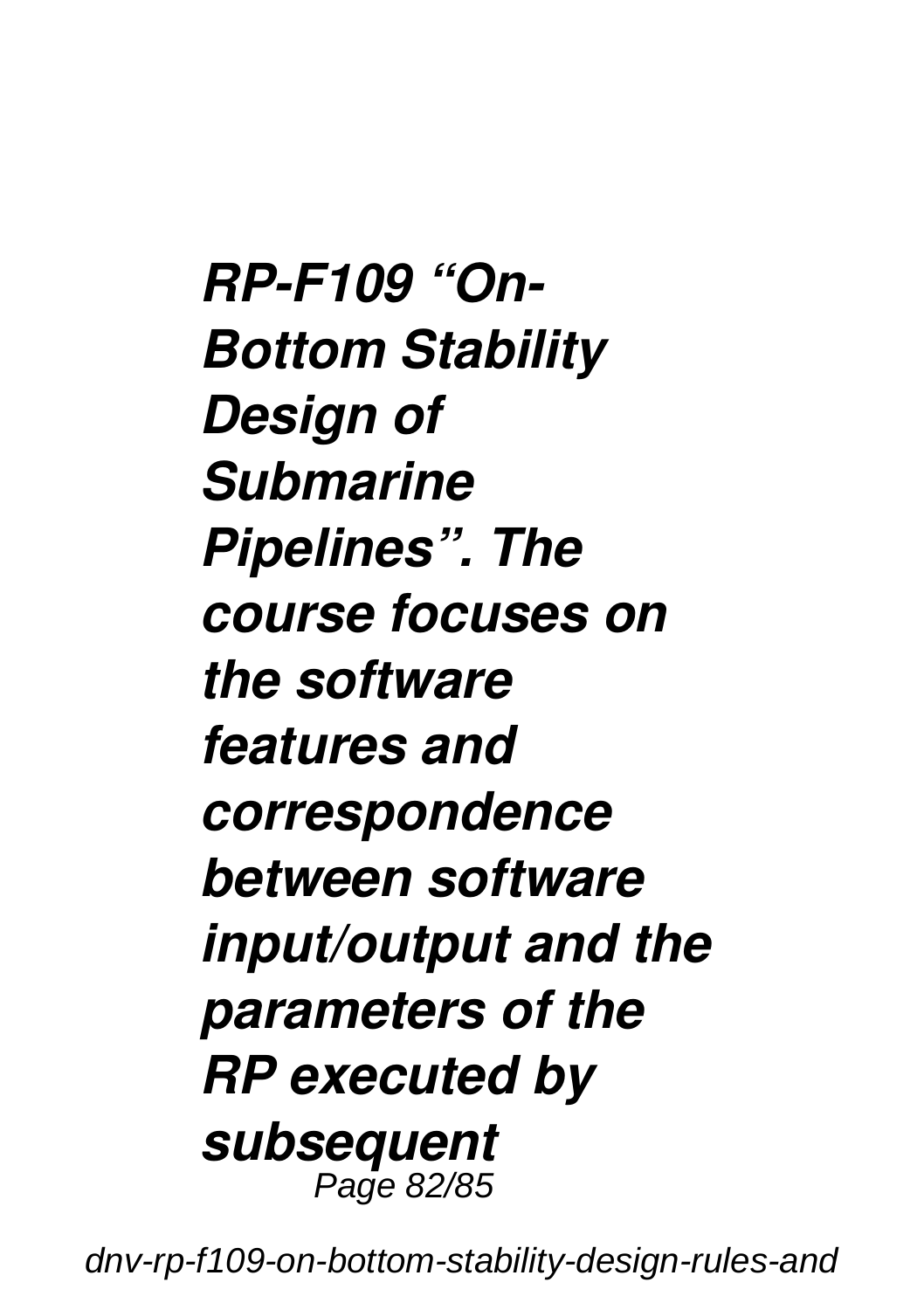*RP-F109 "On-Bottom Stability Design of Submarine Pipelines". The course focuses on the software features and correspondence between software input/output and the parameters of the RP executed by subsequent* Page 82/85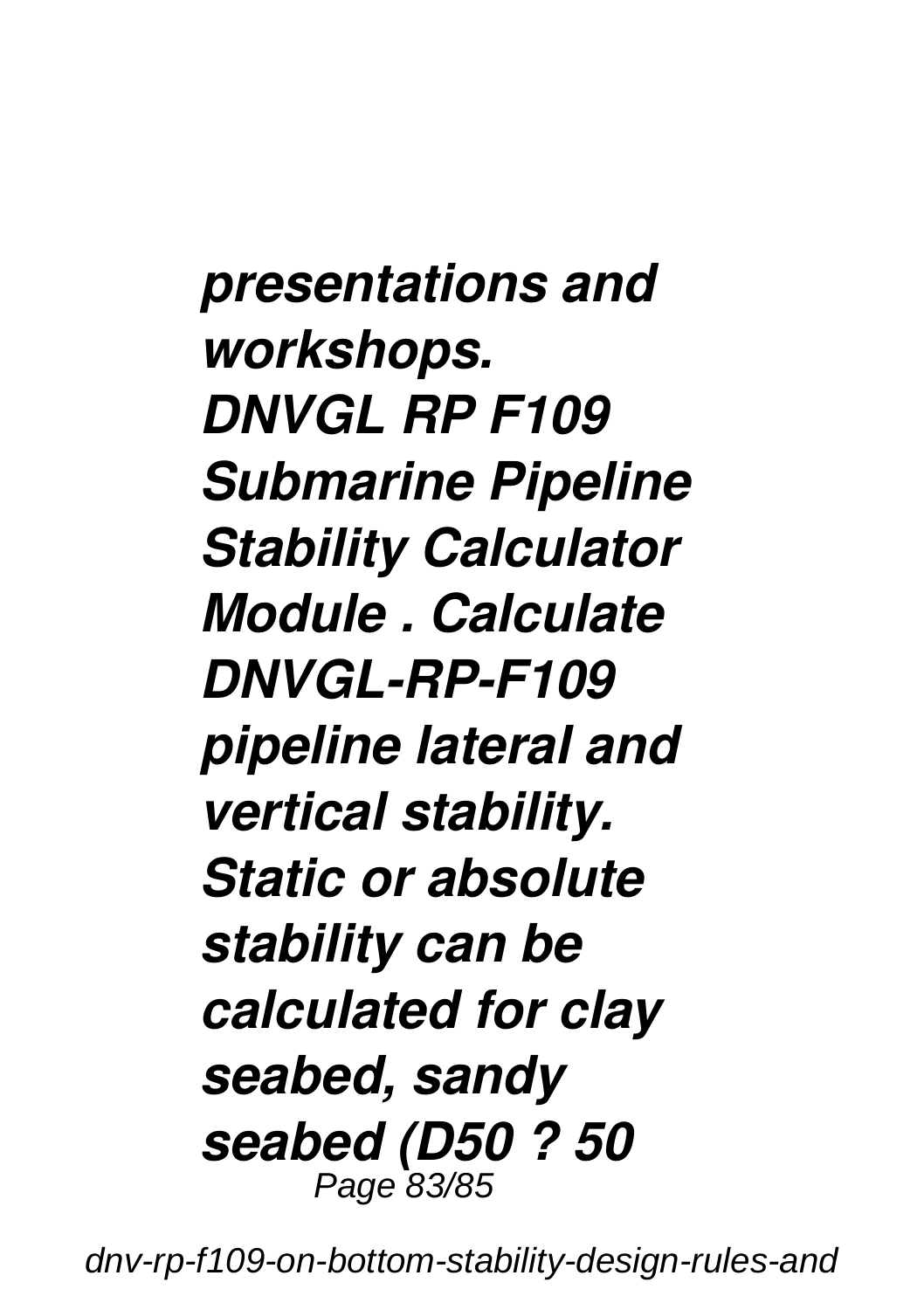*presentations and workshops. DNVGL RP F109 Submarine Pipeline Stability Calculator Module . Calculate DNVGL-RP-F109 pipeline lateral and vertical stability. Static or absolute stability can be calculated for clay seabed, sandy seabed (D50 ? 50* Page 83/85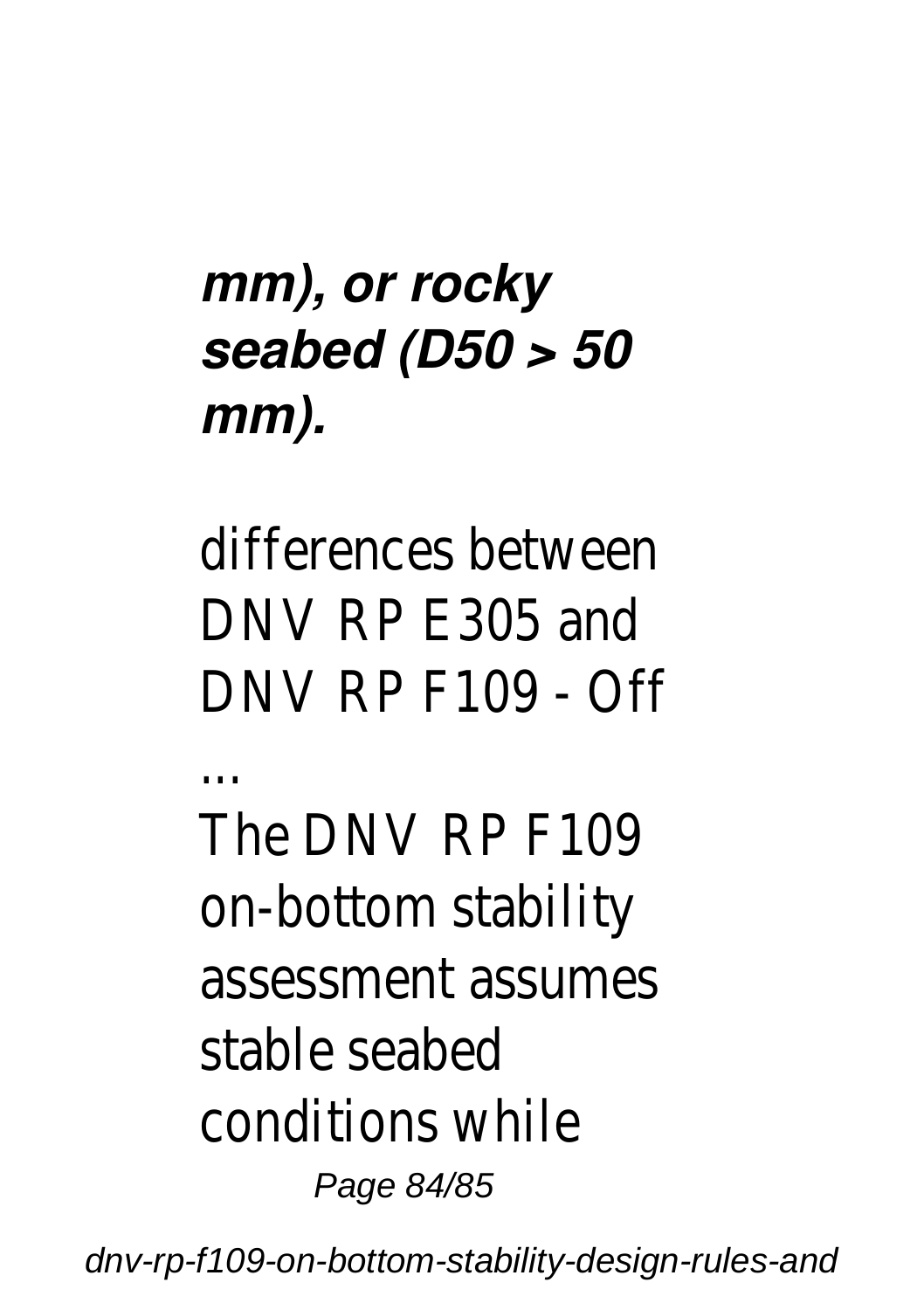#### *mm), or rocky seabed (D50 > 50 mm).*

differences between DNV RP E305 and DNV RP F109 - Off ... The DNV RP F109 on-bottom stability assessment assumes stable seabed conditions while Page 84/85